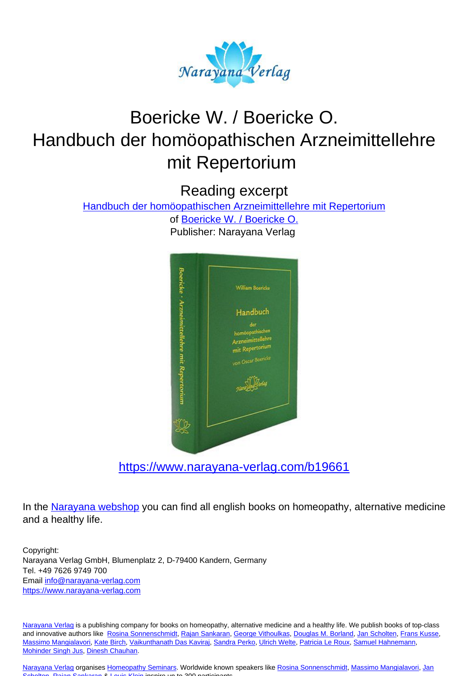

# Boericke W. / Boericke O. Handbuch der homöopathischen Arzneimittellehre mit Repertorium

Reading excerpt

[Handbuch der homöopathischen Arzneimittellehre mit Repertorium](https://www.narayana-verlag.com/Handbuch-der-homoeopathischen-Arzneimittellehre-mit-Repertorium-William-Boericke-Oscar-Boericke/b19661/partner/leseprobe)

of [Boericke W. / Boericke O.](https://www.narayana-verlag.com/Boericke-W-Boericke-O/a4514/partner/leseprobe) Publisher: Narayana Verlag



[https://www.narayana-verlag.com/b19661](https://www.narayana-verlag.com/Handbuch-der-homoeopathischen-Arzneimittellehre-mit-Repertorium-William-Boericke-Oscar-Boericke/b19661/partner/leseprobe)

In the [Narayana webshop](https://www.narayana-verlag.com/partner/leseprobe) you can find all english books on homeopathy, alternative medicine and a healthy life.

Copyright: Narayana Verlag GmbH, Blumenplatz 2, D-79400 Kandern, Germany Tel. +49 7626 9749 700 Email [info@narayana-verlag.com](mailto:info@narayana-verlag.com) [https://www.narayana-verlag.com](https://www.narayana-verlag.com/partner/leseprobe)

[Narayana Verlag](https://www.narayana-verlag.com/partner/leseprobe) is a publishing company for books on homeopathy, alternative medicine and a healthy life. We publish books of top-class and innovative authors like [Rosina Sonnenschmidt](https://www.narayana-verlag.com/Rosina-Sonnenschmidt/a835/partner/leseprobe), [Rajan Sankaran](https://www.narayana-verlag.com/Rajan-Sankaran/a747/partner/leseprobe), [George Vithoulkas](https://www.narayana-verlag.com/George-Vithoulkas/a917/partner/leseprobe), [Douglas M. Borland](https://www.narayana-verlag.com/Douglas-M-Borland/a86/partner/leseprobe), [Jan Scholten](https://www.narayana-verlag.com/Jan-Scholten/a777/partner/leseprobe), [Frans Kusse](https://www.narayana-verlag.com/Frans-Kusse/a1305/partner/leseprobe), [Massimo Mangialavori,](https://www.narayana-verlag.com/Massimo-Mangialavori/a538/partner/leseprobe) [Kate Birch,](https://www.narayana-verlag.com/Kate-Birch/a1439/partner/leseprobe) [Vaikunthanath Das Kaviraj,](https://www.narayana-verlag.com/Vaikunthanath-Das-Kaviraj/a1476/partner/leseprobe) [Sandra Perko,](https://www.narayana-verlag.com/Sandra-Perko/a642/partner/leseprobe) [Ulrich Welte](https://www.narayana-verlag.com/Ulrich-Welte/a935/partner/leseprobe), [Patricia Le Roux,](https://www.narayana-verlag.com/Patricia-Le-Roux/a1230/partner/leseprobe) [Samuel Hahnemann,](https://www.narayana-verlag.com/Samuel-Hahnemann/a329/partner/leseprobe) [Mohinder Singh Jus](https://www.narayana-verlag.com/Mohinder-Singh-Jus/a417/partner/leseprobe), [Dinesh Chauhan](https://www.narayana-verlag.com/Dinesh-Chauhan/a123/partner/leseprobe).

[Narayana Verlag](https://www.narayana-verlag.com/partner/leseprobe) organises [Homeopathy Seminars](https://www.narayana-verlag.com/Seminare/c162/partner/leseprobe). Worldwide known speakers like [Rosina Sonnenschmidt,](https://www.narayana-verlag.com/Rosina-Sonnenschmidt/a835/partner/leseprobe) [Massimo Mangialavori,](https://www.narayana-verlag.com/Massimo-Mangialavori/a538/partner/leseprobe) [Jan](https://www.narayana-verlag.com/Jan-Scholten/a777/partner/leseprobe) [Scholten](https://www.narayana-verlag.com/Jan-Scholten/a777/partner/leseprobe), [Rajan Sankaran](https://www.narayana-verlag.com/Rajan-Sankaran/a747/partner/leseprobe) & [Louis Klein](https://www.narayana-verlag.com/Louis-Klein/a450/partner/leseprobe) inspire up to 300 participants.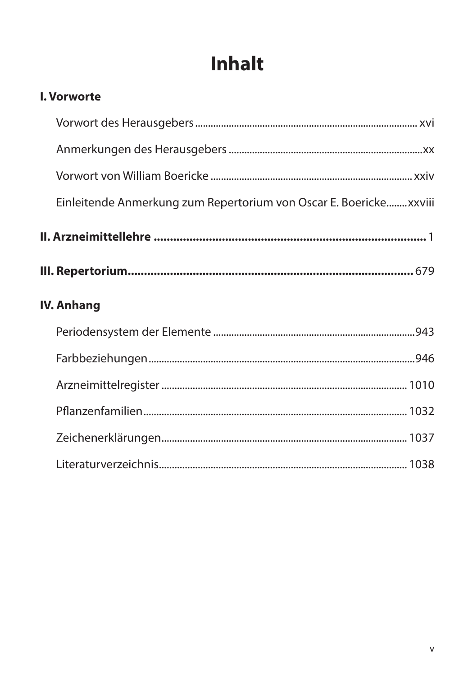# **Inhalt**

| <b>I. Vorworte</b>                                                 |  |
|--------------------------------------------------------------------|--|
|                                                                    |  |
|                                                                    |  |
|                                                                    |  |
| Einleitende Anmerkung zum Repertorium von Oscar E. Boericke xxviii |  |
|                                                                    |  |
|                                                                    |  |
| <b>IV. Anhang</b>                                                  |  |
|                                                                    |  |
|                                                                    |  |
|                                                                    |  |
|                                                                    |  |
|                                                                    |  |
|                                                                    |  |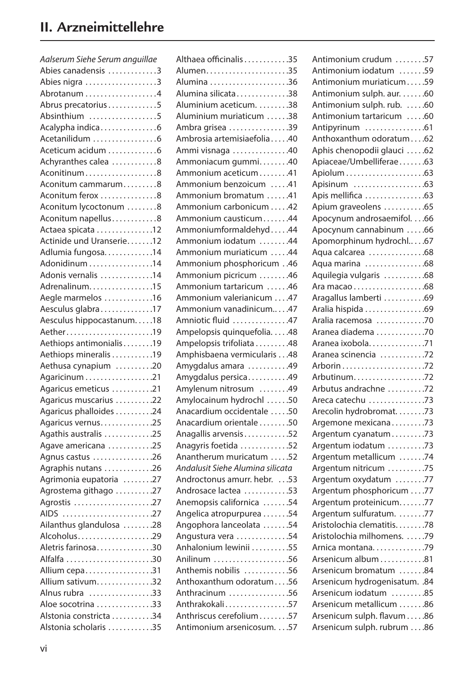| Aalserum Siehe Serum anguillae |
|--------------------------------|
| Abies canadensis 3             |
| Abies nigra 3                  |
| Abrotanum 4                    |
| Abrus precatorius5             |
| Absinthium 5                   |
| Acalypha indica6               |
| Acetanilidum 6                 |
| Aceticum acidum 6              |
| Achyranthes calea 8            |
| Aconitinum8                    |
| Aconitum cammarum8             |
| Aconitum ferox 8               |
| Aconitum lycoctonum 8          |
| Aconitum napellus8             |
| Actaea spicata 12              |
| Actinide und Uranserie12       |
| Adlumia fungosa14              |
| Adonidinum 14                  |
| Adonis vernalis 14             |
| Adrenalinum15                  |
| Aegle marmelos 16              |
| Aesculus glabra17              |
| Aesculus hippocastanum18       |
| Aether19                       |
| Aethiops antimonialis19        |
| Aethiops mineralis 19          |
| Aethusa cynapium 20            |
| Agaricinum 21                  |
| Agaricus emeticus 21           |
| Agaricus muscarius 22          |
| Agaricus phalloides 24         |
| Agaricus vernus25              |
| Agathis australis 25           |
| Agave americana 25             |
| Agnus castus 26                |
| Agraphis nutans 26             |
| Agrimonia eupatoria 27         |
| Agrostema githago 27           |
| Agrostis 27                    |
| AIDS 27                        |
| Ailanthus glandulosa 28        |
| Alcoholus29                    |
| Aletris farinosa30             |
| Alfalfa 30                     |
| Allium cepa31                  |
| Allium sativum32               |
| Alnus rubra 33                 |
| Aloe socotrina 33              |
| Alstonia constricta 34         |
| Alstonia scholaris 35          |

| Althaea officinalis 35                               |
|------------------------------------------------------|
|                                                      |
| Alumina 36                                           |
| Alumina silicata38                                   |
| Aluminium aceticum. 38                               |
| Aluminium muriaticum 38                              |
| Ambra grisea 39                                      |
| Ambrosia artemisiaefolia40                           |
| Ammi visnaga 40                                      |
| Ammoniacum gummi40                                   |
| Ammonium aceticum41                                  |
| Ammonium benzoicum 41                                |
| Ammonium bromatum 41                                 |
| Ammonium carbonicum 42                               |
| Ammonium causticum44                                 |
| Ammoniumformaldehyd44                                |
| Ammonium iodatum 44                                  |
| Ammonium muriaticum 44                               |
| Ammonium phosphoricum 46                             |
| Ammonium picricum 46                                 |
| Ammonium tartaricum 46                               |
| Ammonium valerianicum 47                             |
| Ammonium vanadinicum47                               |
| Amniotic fluid 47                                    |
| Ampelopsis quinquefolia48                            |
| Ampelopsis trifoliata 48                             |
| Amphisbaena vermicularis 48                          |
| Amygdalus amara 49                                   |
| Amygdalus persica49                                  |
| Amylenum nitrosum 49                                 |
| Amylocainum hydrochl 50                              |
|                                                      |
| Anacardium occidentale 50<br>Anacardium orientale 50 |
|                                                      |
| Anagallis arvensis52                                 |
| Anagyris foetida 52                                  |
| Anantherum muricatum 52                              |
| Andalusit Siehe Alumina silicata                     |
| Androctonus amurr. hebr. 53                          |
| Androsace lactea 53                                  |
| Anemopsis californica 54                             |
| Angelica atropurpurea 54                             |
| Angophora lanceolata 54                              |
| Angustura vera 54                                    |
| Anhalonium lewinii 55                                |
| Anilinum 56                                          |
| Anthemis nobilis 56                                  |
| Anthoxanthum odoratum56                              |
| Anthracinum 56                                       |
| Anthrakokali57                                       |
| Anthriscus cerefolium57                              |
| Antimonium arsenicosum. 57                           |

| Antimonium crudum 57          |  |
|-------------------------------|--|
| Antimonium iodatum 59         |  |
| Antimonium muriaticum59       |  |
| Antimonium sulph. aur. 60     |  |
| Antimonium sulph. rub. 60     |  |
| Antimonium tartaricum 60      |  |
| Antipyrinum 61                |  |
| Anthoxanthum odoratum62       |  |
| Aphis chenopodii glauci 62    |  |
| Apiaceae/Umbelliferae63       |  |
|                               |  |
| Apisinum 63                   |  |
| Apis mellifica 63             |  |
| Apium graveolens 65           |  |
| Apocynum androsaemifol. 66    |  |
| Apocynum cannabinum 66        |  |
| Apomorphinum hydrochl67       |  |
| Aqua calcarea 68              |  |
| Aqua marina 68                |  |
| Aquilegia vulgaris 68         |  |
|                               |  |
| Aragallus lamberti 69         |  |
| Aralia hispida 69             |  |
| Aralia racemosa 70            |  |
|                               |  |
| Aranea diadema 70             |  |
| Aranea ixobola. 71            |  |
| Aranea scinencia 72           |  |
|                               |  |
| Arbutinum72                   |  |
| Arbutus andrachne 72          |  |
| Areca catechu 73              |  |
| Arecolin hydrobromat. 73      |  |
| Argemone mexicana73           |  |
| Argentum cyanatum73           |  |
| Argentum iodatum 73           |  |
| Argentum metallicum 74        |  |
| Argentum nitricum 75          |  |
| Argentum oxydatum 77          |  |
| Argentum phosphoricum 77      |  |
| Argentum proteinicum77        |  |
| Argentum sulfuratum. 77       |  |
| Aristolochia clematitis78     |  |
| Aristolochia milhomens. 79    |  |
| Arnica montana. 79            |  |
| Arsenicum album 81            |  |
| Arsenicum bromatum 84         |  |
| Arsenicum hydrogenisatum. .84 |  |
| Arsenicum iodatum 85          |  |
| Arsenicum metallicum 86       |  |
| Arsenicum sulph. flavum 86    |  |
| Arsenicum sulph. rubrum 86    |  |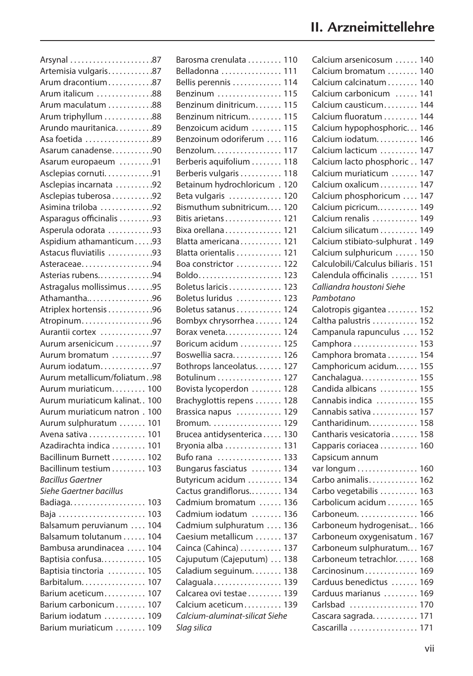| Arsynal 87                                     |
|------------------------------------------------|
| Artemisia vulgaris87                           |
| Arum dracontium87                              |
| Arum italicum 88                               |
| Arum maculatum 88                              |
| Arum triphyllum 88                             |
| Arundo mauritanica89                           |
| Asa foetida 89                                 |
| Asarum canadense90                             |
| Asarum europaeum 91                            |
| Asclepias cornuti. 91                          |
| Asclepias incarnata 92                         |
| Asclepias tuberosa92                           |
| Asimina triloba 92                             |
| Asparagus officinalis 93                       |
| Asperula odorata 93                            |
| Aspidium athamanticum93                        |
| Astacus fluviatilis 93                         |
| Asteraceae94                                   |
| Asterias rubens94                              |
| Astragalus mollissimus95                       |
| Athamantha96                                   |
| Atriplex hortensis96                           |
| Atropinum96                                    |
| Aurantii cortex 97                             |
| Aurum arsenicicum 97                           |
|                                                |
| Aurum bromatum 97                              |
| Aurum iodatum97<br>Aurum metallicum/foliatum98 |
|                                                |
| Aurum muriaticum<br>100                        |
| Aurum muriaticum kalinat<br>100                |
| Aurum muriaticum natron.<br>100                |
| Aurum sulphuratum<br>101                       |
| Avena sativa<br>101                            |
| Azadirachta indica<br>101                      |
| Bacillinum Burnett<br>102                      |
| Bacillinum testium<br>103                      |
| <b>Bacillus Gaertner</b>                       |
| Siehe Gaertner bacillus                        |
| Badiaga<br>103                                 |
| 103<br>Baja                                    |
| Balsamum peruvianum<br>104                     |
| Balsamum tolutanum<br>104                      |
| Bambusa arundinacea<br>104                     |
| Baptisia confusa<br>105                        |
| Baptisia tinctoria<br>105                      |
| Barbitalum<br>107                              |
| Barium aceticum<br>107                         |
| Barium carbonicum<br>107                       |
| Barium iodatum<br>109                          |
| Barium muriaticum<br>109                       |

| Barosma crenulata              | 110 |
|--------------------------------|-----|
| Belladonna                     | 111 |
| Bellis perennis                | 114 |
| Benzinum                       | 115 |
| Benzinum dinitricum            | 115 |
| Benzinum nitricum              | 115 |
| Benzoicum acidum               | 115 |
| Benzoinum odoriferum           | 116 |
| Benzolum                       | 117 |
| Berberis aquifolium            | 118 |
| Berberis vulgaris              | 118 |
| Betainum hydrochloricum        | 120 |
| Beta vulgaris                  | 120 |
| Bismuthum subnitricum          | 120 |
| Bitis arietans                 | 121 |
| Bixa orellana                  | 121 |
| Blatta americana               | 121 |
|                                | 121 |
| Blatta orientalis              |     |
| Boa constrictor                | 122 |
|                                | 123 |
| Boletus laricis                | 123 |
| Boletus luridus                | 123 |
| Boletus satanus                | 124 |
| Bombyx chrysorrhea             | 124 |
| Borax veneta                   | 124 |
| Boricum acidum                 | 125 |
| Boswellia sacra                | 126 |
| Bothrops lanceolatus           | 127 |
| Botulinum                      | 127 |
| Bovista lycoperdon             | 128 |
| Brachyglottis repens           | 128 |
| Brassica napus                 | 129 |
| Bromum.                        | 129 |
| Brucea antidysenterica         | 130 |
| Bryonia alba                   | 131 |
| Bufo rana                      | 133 |
| Bungarus fasciatus             | 134 |
| Butyricum acidum               | 134 |
| Cactus grandiflorus            | 134 |
| Cadmium bromatum               | 136 |
| Cadmium iodatum                | 136 |
| Cadmium sulphuratum            | 136 |
| Caesium metallicum             | 137 |
| Cainca (Cahinca)               | 137 |
| Cajuputum (Cajeputum)          | 138 |
| Caladium seguinum              | 138 |
| Calaguala                      | 139 |
| Calcarea ovi testae            | 139 |
| Calcium aceticum               | 139 |
| Calcium-aluminat-silicat Siehe |     |
|                                |     |
| Slag silica                    |     |

| Calcium arsenicosum            | 140 |
|--------------------------------|-----|
| Calcium bromatum               | 140 |
| Calcium calcinatum             | 140 |
| Calcium carbonicum             | 141 |
| Calcium causticum              | 144 |
| Calcium fluoratum              | 144 |
| Calcium hypophosphoric         | 146 |
| Calcium iodatum                | 146 |
| Calcium lacticum               | 147 |
| Calcium lacto phosphoric       | 147 |
| Calcium muriaticum             | 147 |
|                                |     |
| Calcium oxalicum               | 147 |
| Calcium phosphoricum           | 147 |
| Calcium picricum               | 149 |
| Calcium renalis                | 149 |
| Calcium silicatum              | 149 |
| Calcium stibiato-sulphurat.    | 149 |
| Calcium sulphuricum            | 150 |
| Calculobili/Calculus biliaris. | 151 |
| Calendula officinalis          | 151 |
| Calliandra houstoni Siehe      |     |
| Pambotano                      |     |
| Calotropis gigantea            | 152 |
| Caltha palustris               | 152 |
| Campanula rapunculus           | 152 |
| Camphora                       | 153 |
| Camphora bromata               | 154 |
| Camphoricum acidum             | 155 |
| Canchalagua                    | 155 |
| Candida albicans               | 155 |
| Cannabis indica                | 155 |
| Cannabis sativa                | 157 |
| Cantharidinum.                 | 158 |
| Cantharis vesicatoria          | 158 |
|                                | 160 |
| Capparis coriacea              |     |
| Capsicum annum                 |     |
| var longum                     | 160 |
| Carbo animalis                 | 162 |
| Carbo vegetabilis              | 163 |
| Carbolicum acidum              | 165 |
| Carboneum.                     | 166 |
| Carboneum hydrogenisat         | 166 |
| Carboneum oxygenisatum.        | 167 |
| Carboneum sulphuratum          | 167 |
| Carboneum tetrachlor           | 168 |
| Carcinosinum                   | 169 |
| Carduus benedictus             | 169 |
| Carduus marianus               | 169 |
| Carlsbad                       | 170 |
| Cascara sagrada                | 171 |
| Cascarilla                     | 171 |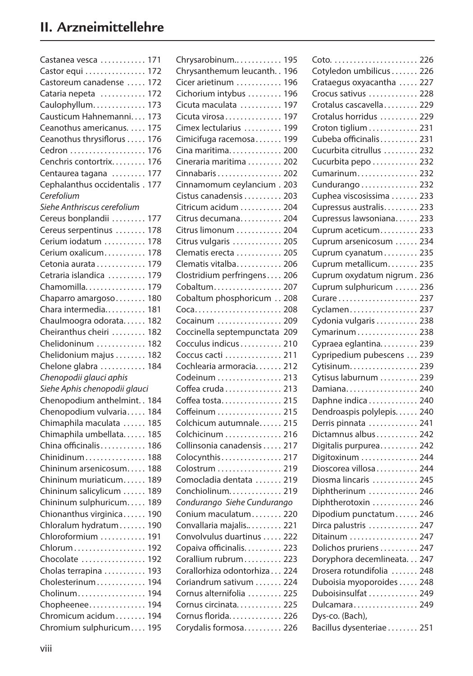| Castanea vesca                | 171 |
|-------------------------------|-----|
| Castor equi                   | 172 |
| Castoreum canadense           | 172 |
| Cataria nepeta                | 172 |
| Caulophyllum                  | 173 |
| Causticum Hahnemanni          | 173 |
| Ceanothus americanus.         | 175 |
| Ceanothus thrysiflorus        | 176 |
| Cedron                        | 176 |
| Cenchris contortrix           | 176 |
|                               | 177 |
| Centaurea tagana              | 177 |
| Cephalanthus occidentalis.    |     |
| Cerefolium                    |     |
| Siehe Anthriscus cerefolium   |     |
| Cereus bonplandii             | 177 |
| Cereus serpentinus            | 178 |
| Cerium iodatum                | 178 |
| Cerium oxalicum               | 178 |
| Cetonia aurata                | 179 |
| Cetraria islandica            | 179 |
| Chamomilla                    | 179 |
| Chaparro amargoso             | 180 |
| Chara intermedia              | 181 |
| Chaulmoogra odorata           | 182 |
| Cheiranthus cheiri            | 182 |
| Chelidoninum                  | 182 |
|                               |     |
| Chelidonium majus             | 182 |
| Chelone glabra                | 184 |
| Chenopodii glauci aphis       |     |
| Siehe Aphis chenopodii glauci |     |
| Chenopodium anthelmint        | 184 |
| Chenopodium vulvaria          | 184 |
| Chimaphila maculata           | 185 |
| Chimaphila umbellata          | 185 |
| China officinalis             | 186 |
| Chinidinum                    | 188 |
| Chininum arsenicosum          | 188 |
| Chininum muriaticum           | 189 |
| Chininum salicylicum          | 189 |
| Chininum sulphuricum          | 189 |
| Chionanthus virginica         | 190 |
|                               |     |
| Chloralum hydratum            | 190 |
| Chloroformium                 | 191 |
| Chlorum                       | 192 |
| Chocolate                     | 192 |
| Cholas terrapina              | 193 |
| Cholesterinum                 | 194 |
| Cholinum                      | 194 |
| Chopheenee                    | 194 |
| Chromicum acidum              | 194 |
| Chromium sulphuricum          | 195 |
|                               |     |

| Chrysarobinum                               | 195 |
|---------------------------------------------|-----|
| Chrysanthemum leucanth                      | 196 |
| Cicer arietinum                             | 196 |
| Cichorium intybus                           | 196 |
| Cicuta maculata                             | 197 |
| Cicuta virosa                               | 197 |
| Cimex lectularius                           | 199 |
| Cimicifuga racemosa                         | 199 |
| Cina maritima                               | 200 |
| Cineraria maritima                          | 202 |
| Cinnabaris                                  | 202 |
| Cinnamomum cevlancium                       | 203 |
| Cistus canadensis                           | 203 |
| Citricum acidum                             | 204 |
| Citrus decumana                             | 204 |
| Citrus limonum                              | 204 |
|                                             |     |
| Citrus vulgaris                             | 205 |
| Clematis erecta                             | 205 |
| Clematis vitalba                            | 206 |
| Clostridium perfringens                     | 206 |
| Cobaltum 207                                |     |
| Cobaltum phosphoricum 208                   |     |
| Coca 208                                    |     |
| Cocainum  209                               |     |
| Coccinella septempunctata                   | 209 |
|                                             |     |
| Cocculus indicus                            | 210 |
| Coccus cacti                                | 211 |
| Cochlearia armoracia                        | 212 |
| Codeinum  213                               |     |
| Coffea cruda 213                            |     |
|                                             |     |
| Coffea tosta                                | 215 |
| Coffeinum  215                              |     |
| Colchicum autumnale 215                     |     |
| Colchicinum  216                            |     |
| Collinsonia canadensis  217                 |     |
| Colocynthis 217                             |     |
| Colostrum 219                               |     |
| Comocladia dentata                          | 219 |
| Conchiolinum                                | 219 |
| Condurango Siehe Cundurango                 |     |
| Conium maculatum 220                        |     |
| Convallaria majalis                         | 221 |
| Convolvulus duartinus  222                  |     |
| Copaiva officinalis 223                     |     |
| Corallium rubrum 223                        |     |
| Corallorhiza odontorhiza 224                |     |
| Coriandrum sativum  224                     |     |
| Cornus alternifolia  225                    |     |
| Cornus circinata                            | 225 |
| Cornus florida 226<br>Corydalis formosa 226 |     |

| Cotyledon umbilicus 226                    |            |
|--------------------------------------------|------------|
| Crataegus oxyacantha  227                  |            |
| Crocus sativus  228                        |            |
| Crotalus cascavella 229                    |            |
| Crotalus horridus  229                     |            |
| Croton tiglium 231                         |            |
| Cubeba officinalis 231                     |            |
| Cucurbita citrullus  232                   |            |
| Cucurbita pepo                             | 232        |
| Cumarinum                                  | 232        |
| Cundurango  232                            |            |
| Cuphea viscosissima                        | 233        |
| Cupressus australis                        | 233        |
| Cupressus lawsoniana                       | 233        |
| Cuprum aceticum                            | 233        |
| Cuprum arsenicosum  234                    |            |
| Cuprum cyanatum 235                        |            |
| Cuprum metallicum                          | 235        |
| Cuprum oxydatum nigrum.                    | 236        |
| Cuprum sulphuricum                         | 236        |
| Curare                                     | 237        |
| Cyclamen                                   | 237        |
| Cydonia vulgaris                           | 238        |
|                                            | 238        |
| Cymarinum<br>Cypraea eglantina             | 239        |
| Cypripedium pubescens                      |            |
|                                            | 239<br>239 |
| Cytisinum.<br>Cytisus laburnum             |            |
|                                            | 239        |
| Damiana                                    | 240<br>240 |
| Daphne indica<br>Dendroaspis polylepis 240 |            |
|                                            |            |
| Derris pinnata                             | 241        |
| Dictamnus albus 242                        |            |
| Digitalis purpurea                         | 242        |
| Digitoxinum                                | 244        |
| Dioscorea villosa                          | 244        |
| Diosma lincaris                            | 245        |
| Diphtherinum                               | 246        |
| Diphtherotoxin                             | 246        |
| Dipodium punctatum                         | 246        |
| Dirca palustris                            | 247        |
| Ditainum                                   | 247        |
| Dolichos pruriens  247                     |            |
| Doryphora decemlineata 247                 |            |
| Drosera rotundifolia  248                  |            |
| Duboisia myoporoides  248                  |            |
| Duboisinsulfat                             | 249        |
| Dulcamara 249                              |            |
| Dys-co. (Bach),                            |            |
| Bacillus dysenteriae 251                   |            |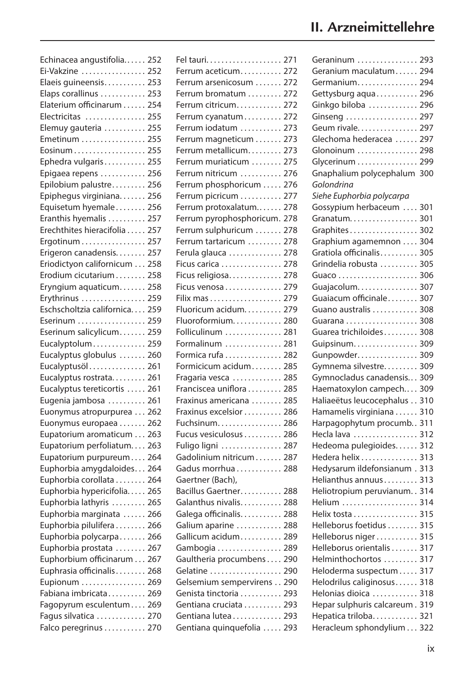| Echinacea angustifolia 252 |     |
|----------------------------|-----|
| Ei-Vakzine                 | 252 |
| Elaeis guineensis          | 253 |
| Elaps corallinus           | 253 |
| Elaterium officinarum      | 254 |
| Electricitas               | 255 |
| Elemuy gauteria            | 255 |
| Emetinum                   | 255 |
| Eosinum                    | 255 |
| Ephedra vulgaris           | 255 |
| Epigaea repens             | 256 |
| Epilobium palustre         | 256 |
| Epiphegus virginiana       | 256 |
| Equisetum hyemale          | 256 |
| Eranthis hyemalis          | 257 |
| Erechthites hieracifolia   | 257 |
| Ergotinum                  | 257 |
| Erigeron canadensis        | 257 |
| Eriodictyon californicum   | 258 |
| Erodium cicutarium         | 258 |
| Eryngium aquaticum         | 258 |
| Erythrinus                 | 259 |
| Eschscholtzia californica  | 259 |
| Eserinum                   | 259 |
| Eserinum salicylicum       | 259 |
| Eucalyptolum               | 259 |
| Eucalyptus globulus        | 260 |
| Eucalyptusöl               | 261 |
| Eucalyptus rostrata        | 261 |
| Eucalyptus tereticortis    | 261 |
| Eugenia jambosa            | 261 |
| Euonymus atropurpurea      | 262 |
| Euonymus europaea          | 262 |
| Eupatorium aromaticum      | 263 |
| Eupatorium perfoliatum     | 263 |
| Eupatorium purpureum       | 264 |
| Euphorbia amygdaloides     | 264 |
| Euphorbia corollata        | 264 |
| Euphorbia hypericifolia    | 265 |
| Euphorbia lathyris         | 265 |
| Euphorbia marginata        | 266 |
| Euphorbia pilulifera       | 266 |
| Euphorbia polycarpa        | 266 |
| Euphorbia prostata         | 267 |
| Euphorbium officinarum     | 267 |
| Euphrasia officinalis      | 268 |
| Eupionum                   | 269 |
| Fabiana imbricata 269      |     |
| Fagopyrum esculentum 269   |     |
| Fagus silvatica 270        |     |
| Falco peregrinus 270       |     |

|                                     | 271 |
|-------------------------------------|-----|
| Ferrum aceticum                     | 272 |
| Ferrum arsenicosum  272             |     |
| Ferrum bromatum                     | 272 |
| Ferrum citricum                     | 272 |
| Ferrum cyanatum                     | 272 |
| Ferrum iodatum                      | 273 |
| Ferrum magneticum                   | 273 |
| Ferrum metallicum                   | 273 |
| Ferrum muriaticum                   | 275 |
| Ferrum nitricum  276                |     |
| Ferrum phosphoricum                 | 276 |
| Ferrum picricum                     | 277 |
| Ferrum protoxalatum                 | 278 |
| Ferrum pyrophosphoricum.            | 278 |
| Ferrum sulphuricum                  | 278 |
| Ferrum tartaricum                   | 278 |
| Ferula glauca                       | 278 |
| Ficus carica                        | 278 |
| Ficus religiosa                     | 278 |
| Ficus venosa                        | 279 |
| Filix mas                           | 279 |
| Fluoricum acidum                    | 279 |
| Fluoroformium                       | 280 |
| Folliculinum                        | 281 |
| Formalinum                          | 281 |
| Formica rufa                        | 282 |
| Formicicum acidum                   | 285 |
| Fragaria vesca                      | 285 |
| Franciscea uniflora                 | 285 |
| Fraxinus americana                  | 285 |
| Fraxinus excelsior                  | 286 |
| Fuchsinum                           | 286 |
| Fucus vesiculosus                   | 286 |
|                                     | 287 |
| Fuligo ligni<br>Gadolinium nitricum | 287 |
| Gadus morrhua                       | 288 |
| Gaertner (Bach),                    |     |
| Bacillus Gaertner 288               |     |
| Galanthus nivalis 288               |     |
| Galega officinalis                  | 288 |
|                                     | 288 |
| Galium aparine                      |     |
| Gallicum acidum                     | 289 |
| Gambogia<br>Gaultheria procumbens   | 289 |
|                                     | 290 |
| Gelatine                            | 290 |
| Gelsemium sempervirens              | 290 |
| Genista tinctoria                   | 293 |
| Gentiana cruciata                   | 293 |
| Gentiana lutea                      | 293 |
| Gentiana quinquefolia               | 293 |

| Geraninum                  | 293 |
|----------------------------|-----|
| Geranium maculatum         | 294 |
| Germanium                  | 294 |
| Gettysburg aqua            | 296 |
| Ginkgo biloba              | 296 |
| Ginseng                    | 297 |
| Geum rivale                | 297 |
| Glechoma hederacea         | 297 |
| Glonoinum                  | 298 |
| Glycerinum                 | 299 |
| Gnaphalium polycephalum    | 300 |
| Golondrina                 |     |
| Siehe Euphorbia polycarpa  |     |
| Gossypium herbaceum        | 301 |
| Granatum                   | 301 |
| Graphites                  | 302 |
| Graphium agamemnon         | 304 |
| Gratiola officinalis       | 305 |
|                            |     |
| Grindelia robusta          | 305 |
| Guaco                      | 306 |
| Guajacolum                 | 307 |
| Guaiacum officinale        | 307 |
| Guano australis            | 308 |
| Guarana                    | 308 |
| Guarea trichiloides        | 308 |
| Guipsinum                  | 309 |
| Gunpowder                  | 309 |
| Gymnema silvestre          | 309 |
| Gymnocladus canadensis     | 309 |
| Haematoxylon campech       | 309 |
| Haliaeëtus leucocephalus   | 310 |
| Hamamelis virginiana       | 310 |
| Harpagophytum procumb      | 311 |
| Hecla lava                 | 312 |
| Hedeoma pulegioides        | 312 |
| Hedera helix               | 313 |
| Hedysarum ildefonsianum.   | 313 |
| Helianthus annuus          | 313 |
| Heliotropium peruvianum    | 314 |
| Helium                     | 314 |
| Helix tosta                | 315 |
| Helleborus foetidus        | 315 |
| Helleborus niger           | 315 |
| Helleborus orientalis      | 317 |
| Helminthochortos           | 317 |
|                            |     |
| Heloderma suspectum        | 317 |
| Helodrilus caliginosus     | 318 |
| Helonias dioica            | 318 |
| Hepar sulphuris calcareum. | 319 |
| Hepatica triloba           | 321 |
| Heracleum sphondylium      | 322 |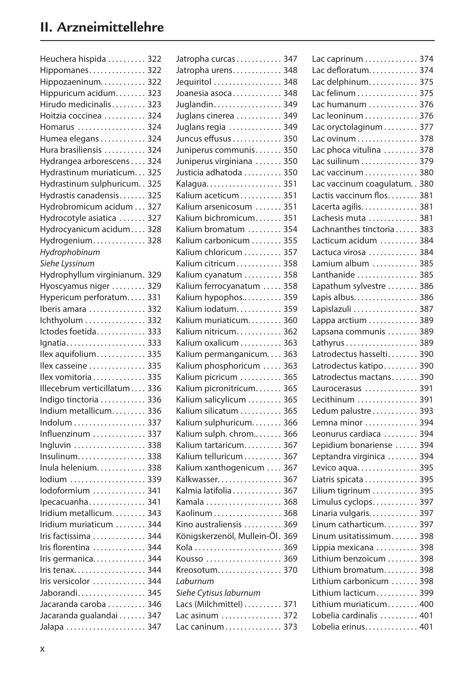| Heuchera hispida                              | 322 |
|-----------------------------------------------|-----|
| Hippomanes                                    | 322 |
| Hippozaeninum                                 | 322 |
| Hippuricum acidum                             | 323 |
| Hirudo medicinalis                            | 323 |
| Hoitzia coccinea                              | 324 |
| Homarus                                       | 324 |
| Humea elegans                                 | 324 |
| Hura brasiliensis                             | 324 |
| Hydrangea arborescens                         | 324 |
| Hydrastinum muriaticum                        | 325 |
| Hydrastinum sulphuricum                       | 325 |
| Hydrastis canadensis                          | 325 |
| Hydrobromicum acidum                          | 327 |
| Hydrocotyle asiatica                          | 327 |
|                                               |     |
| Hydrocyanicum acidum                          | 328 |
| Hydrogenium                                   | 328 |
| Hydrophobinum                                 |     |
| Siehe Lyssinum                                |     |
| Hydrophyllum virginianum.                     | 329 |
| Hyoscyamus niger                              | 329 |
| Hypericum perforatum                          | 331 |
| Iberis amara                                  | 332 |
| Ichthyolum                                    | 332 |
| Ictodes foetida                               | 333 |
| Ignatia                                       | 333 |
| llex aquifolium                               | 335 |
| llex casseine                                 | 335 |
| Ilex vomitoria                                | 335 |
| Illecebrum verticillatum                      | 336 |
| Indigo tinctoria                              | 336 |
| Indium metallicum                             | 336 |
| Indolum                                       | 337 |
| Influenzinum                                  | 337 |
| Ingluvin $\ldots \ldots \ldots \ldots \ldots$ | 338 |
| $Insulinum.$                                  | 338 |
| Inula helenium                                | 338 |
| lodium                                        | 339 |
| lodoformium                                   | 341 |
| Ipecacuanha                                   | 341 |
|                                               | 343 |
| Iridium metallicum                            |     |
| Iridium muriaticum                            | 344 |
| Iris factissima                               | 344 |
| Iris florentina                               | 344 |
| Iris germanica                                | 344 |
| Iris tenax                                    | 344 |
| Iris versicolor                               | 344 |
| Jaborandi                                     | 345 |
| Jacaranda caroba                              | 346 |
| Jacaranda gualandai                           | 347 |
| Jalapa                                        | 347 |

| Jatropha curcas             | 347        |
|-----------------------------|------------|
| Jatropha urens              | 348        |
| Jequiritol                  | 348        |
| Joanesia asoca              | 348        |
| Juglandin.                  | 349        |
| Juglans cinerea             | 349        |
| Juglans regia               | 349        |
| Juncus effusus              | 350        |
| Juniperus communis          | 350        |
| Juniperus virginiana        | 350        |
| Justicia adhatoda           | 350        |
| Kalagua.                    | 351        |
| Kalium aceticum             | 351        |
| Kalium arsenicosum          | 351        |
| Kalium bichromicum          | 351        |
| Kalium bromatum             | 354        |
| Kalium carbonicum           | 355        |
| Kalium chloricum            | 357        |
| Kalium citricum             | 358        |
| Kalium cyanatum             | 358        |
| Kalium ferrocyanatum        | 358        |
| Kalium hypophos             | 359        |
| Kalium iodatum              | 359        |
| Kalium muriaticum           | 360        |
| Kalium nitricum             | 362        |
|                             | 363        |
| Kalium oxalicum             |            |
| Kalium permanganicum        | 363        |
| Kalium phosphoricum         | 363        |
| Kalium picricum             | 365<br>365 |
| Kalium picronitricum        |            |
| Kalium salicylicum          | 365        |
| Kalium silicatum            | 365        |
| Kalium sulphuricum          | 366        |
| Kalium sulph. chrom         | 366        |
| Kalium tartaricum           | 367        |
| Kalium telluricum           | 367        |
| Kalium xanthogenicum        | 367        |
| Kalkwasser                  | 367        |
| Kalmia latifolia            | 367        |
|                             | 368        |
| Kaolinum                    | 368        |
| Kino australiensis          | 369        |
| Königskerzenöl, Mullein-Öl. | 369        |
|                             | 369        |
| Kousso  369                 |            |
| Kreosotum                   | 370        |
| Laburnum                    |            |
| Siehe Cytisus laburnum      |            |
| Lacs (Milchmittel) 371      |            |
| Lac asinum  372             |            |
| Lac caninum 373             |            |
|                             |            |

| Lac caprinum                                           | 374 |
|--------------------------------------------------------|-----|
| Lac defloratum                                         | 374 |
| Lac delphinum                                          | 375 |
| Lac felinum                                            | 375 |
| Lac humanum                                            | 376 |
| Lac leoninum                                           | 376 |
| Lac oryctolaginum                                      | 377 |
| Lac ovinum                                             | 378 |
| Lac phoca vitulina                                     | 378 |
| Lac suilinum                                           | 379 |
| Lac vaccinum                                           | 380 |
| Lac vaccinum coagulatum                                | 380 |
| Lactis vaccinum flos                                   | 381 |
| Lacerta agilis                                         | 381 |
| Lachesis muta                                          | 381 |
| Lachnanthes tinctoria                                  | 383 |
| Lacticum acidum                                        | 384 |
| Lactuca virosa                                         | 384 |
| Lamium album                                           | 385 |
| Lanthanide                                             | 385 |
| Lapathum sylvestre                                     | 386 |
| Lapis albus                                            | 386 |
| Lapislazuli                                            | 387 |
| Lappa arctium                                          | 389 |
| Lapsana communis                                       | 389 |
|                                                        | 389 |
| Latrodectus hasselti                                   | 390 |
| Latrodectus katipo                                     | 390 |
| Latrodectus mactans                                    | 390 |
| Laurocerasus                                           | 391 |
| Lecithinum                                             | 391 |
| Ledum palustre                                         | 393 |
| Lemna minor                                            | 394 |
| Leonurus cardiaca                                      | 394 |
| Lepidium bonariense                                    | 394 |
| Leptandra virginica                                    | 394 |
| Levico aqua                                            | 395 |
| Liatris spicata                                        | 395 |
| Lilium tigrinum                                        | 395 |
| Limulus cyclops                                        | 397 |
| Linaria vulgaris                                       | 397 |
| Linum catharticum                                      | 397 |
| Linum usitatissimum                                    | 398 |
| Lippia mexicana                                        | 398 |
| Lithium benzoicum                                      | 398 |
| Lithium bromatum                                       | 398 |
| Lithium carbonicum  398                                |     |
| Lithium lacticum                                       | 399 |
| Lithium muriaticum                                     | 400 |
| Lobelia cardinalis<br>$\overline{a}$<br>$\overline{a}$ | 401 |
| Lobelia erinus.                                        | 401 |
|                                                        |     |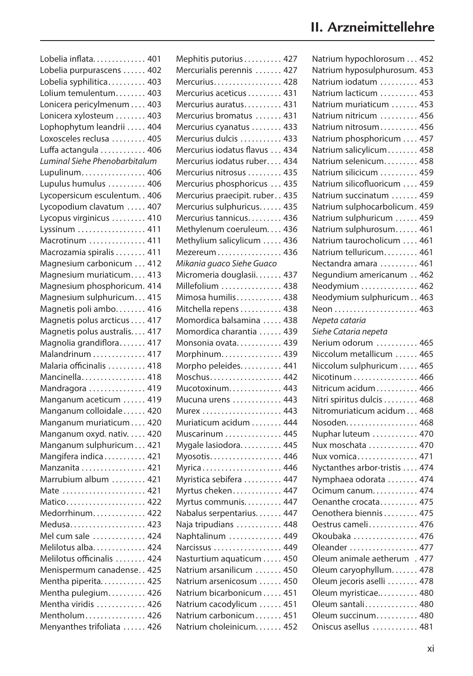| Lobelia inflata 401                                 |
|-----------------------------------------------------|
| Lobelia purpurascens  402                           |
| Lobelia syphilitica 403                             |
| Lolium temulentum 403                               |
| Lonicera pericylmenum  403                          |
| Lonicera xylosteum  403                             |
| Lophophytum leandrii  404                           |
| Loxosceles reclusa  405                             |
| Luffa actangula  406                                |
| Luminal Siehe Phenobarbitalum                       |
| Lupulinum 406                                       |
| Lupulus humulus  406                                |
| Lycopersicum esculentum. . 406                      |
| Lycopodium clavatum  407                            |
| Lycopus virginicus  410                             |
| Lyssinum  411                                       |
| Macrotinum  411                                     |
| Macrozamia spiralis 411                             |
| Magnesium carbonicum  412                           |
| Magnesium muriaticum 413                            |
| Magnesium phosphoricum. 414                         |
|                                                     |
| Magnesium sulphuricum 415<br>Magnetis poli ambo 416 |
|                                                     |
| Magnetis polus arcticus 417                         |
| Magnetis polus australis 417                        |
| Magnolia grandiflora 417                            |
| Malandrinum  417<br>Malaria officinalis  418        |
|                                                     |
| Mancinella 418                                      |
| Mandragora  419                                     |
| Manganum aceticum  419                              |
| Manganum colloidale 420                             |
| Manganum muriaticum 420                             |
| Manganum oxyd. nativ. 420                           |
| Manganum sulphuricum 421                            |
| Mangifera indica 421                                |
| Manzanita 421                                       |
| Marrubium album  421                                |
| Mate  421                                           |
| Matico 422                                          |
| Medorrhinum 422                                     |
| Medusa 423                                          |
| Mel cum sale  424                                   |
| Melilotus alba 424                                  |
| Melilotus officinalis  424                          |
| Menispermum canadense 425                           |
| Mentha piperita 425                                 |
| Mentha pulegium 426                                 |
| Mentha viridis  426                                 |
| Mentholum 426                                       |
| Menyanthes trifoliata  426                          |

| Mephitis putorius 427          |
|--------------------------------|
| Mercurialis perennis  427      |
| Mercurius. 428                 |
| Mercurius aceticus 431         |
| Mercurius auratus 431          |
| Mercurius bromatus  431        |
| Mercurius cyanatus  433        |
| Mercurius dulcis  433          |
| Mercurius iodatus flavus  434  |
| Mercurius iodatus ruber 434    |
| Mercurius nitrosus  435        |
| Mercurius phosphoricus  435    |
| Mercurius praecipit. ruber 435 |
| Mercurius sulphuricus 435      |
| Mercurius tannicus 436         |
| Methylenum coeruleum 436       |
| Methylium salicylicum  436     |
| Mezereum 436                   |
| Mikania guaco Siehe Guaco      |
| Micromeria douglasii 437       |
| Millefolium  438               |
| Mimosa humilis 438             |
| Mitchella repens  438          |
| Momordica balsamina  438       |
| Momordica charantia  439       |
| Monsonia ovata 439             |
| Morphinum 439                  |
| Morpho peleides. 441           |
| Moschus 442                    |
| Mucotoxinum 443                |
| Mucuna urens  443              |
| Murex  443                     |
| Muriaticum acidum 444          |
| Muscarinum  445                |
| Mygale lasiodora 445           |
| Myosotis 446                   |
| Myrica 446                     |
| Myristica sebifera  447        |
| Myrtus cheken 447              |
| Myrtus communis. 447           |
| Nabalus serpentarius 447       |
| Naja tripudians  448           |
| Naphtalinum  449               |
| Narcissus  449                 |
| Nasturtium aquaticum  450      |
| Natrium arsanilicum  450       |
| Natrium arsenicosum  450       |
| Natrium bicarbonicum 451       |
| Natrium cacodylicum  451       |
| Natrium carbonicum 451         |
| Natrium choleinicum 452        |
|                                |

| Natrium hypochlorosum 452     |  |
|-------------------------------|--|
| Natrium hyposulphurosum. 453  |  |
| Natrium iodatum  453          |  |
| Natrium lacticum  453         |  |
| Natrium muriaticum  453       |  |
| Natrium nitricum  456         |  |
| Natrium nitrosum 456          |  |
| Natrium phosphoricum  457     |  |
| Natrium salicylicum 458       |  |
| Natrium selenicum 458         |  |
| Natrium silicicum  459        |  |
| Natrium silicofluoricum  459  |  |
| Natrium succinatum  459       |  |
| Natrium sulphocarbolicum. 459 |  |
| Natrium sulphuricum  459      |  |
| Natrium sulphurosum 461       |  |
| Natrium taurocholicum  461    |  |
| Natrium telluricum 461        |  |
| Nectandra amara  461          |  |
| Negundium americanum  462     |  |
| Neodymium  462                |  |
| Neodymium sulphuricum 463     |  |
| Neon  463                     |  |
| Nepeta cataria                |  |
| Siehe Cataria nepeta          |  |
|                               |  |
|                               |  |
| Nerium odorum  465            |  |
| Niccolum metallicum  465      |  |
| Niccolum sulphuricum 465      |  |
| Nicotinum 466                 |  |
| Nitricum acidum 466           |  |
| Nitri spiritus dulcis  468    |  |
| Nitromuriaticum acidum 468    |  |
| Nosoden. 468                  |  |
| Nuphar luteum  470            |  |
| Nux moschata  470             |  |
| Nux vomica 471                |  |
| Nyctanthes arbor-tristis  474 |  |
| Nymphaea odorata  474         |  |
| Ocimum canum 474              |  |
| Oenanthe crocata 475          |  |
| Oenothera biennis 475         |  |
| Oestrus cameli 476            |  |
| Okoubaka  476                 |  |
| Oleander  477                 |  |
| Oleum animale aetherum . 477  |  |
| Oleum caryophyllum 478        |  |
| Oleum jecoris aselli  478     |  |
| Oleum myristicae 480          |  |
| Oleum santali 480             |  |
| Oleum succinum 480            |  |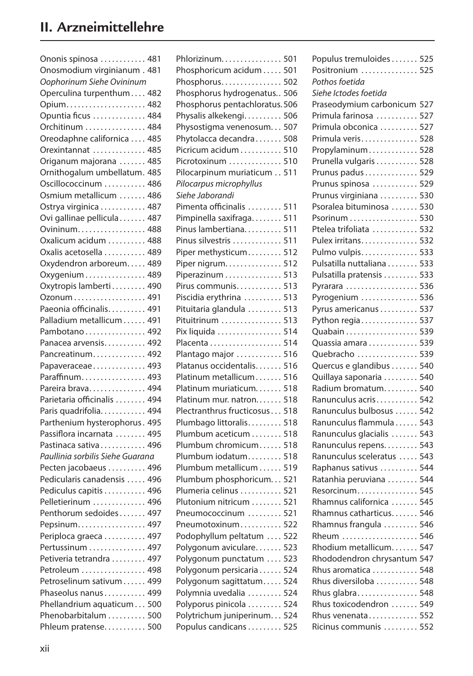| Ononis spinosa  481              |     |
|----------------------------------|-----|
| Onosmodium virginianum. 481      |     |
| Oophorinum Siehe Ovininum        |     |
| Operculina turpenthum 482        |     |
| Opium 482                        |     |
| Opuntia ficus  484               |     |
| Orchitinum  484                  |     |
| Oreodaphne californica  485      |     |
| Orexintannat  485                |     |
| Origanum majorana  485           |     |
| Ornithogalum umbellatum. 485     |     |
| Oscillococcinum  486             |     |
| Osmium metallicum  486           |     |
| Ostrya virginica 487             |     |
| Ovi gallinae pellicula 487       |     |
| Ovininum 488                     |     |
| Oxalicum acidum  488             |     |
| Oxalis acetosella  489           |     |
| Oxydendron arboreum 489          |     |
|                                  |     |
| Oxygenium 489                    |     |
| Oxytropis lamberti 490           |     |
| Ozonum 491                       |     |
| Paeonia officinalis 491          |     |
| Palladium metallicum 491         |     |
| Pambotano 492                    |     |
| Panacea arvensis 492             |     |
| Pancreatinum 492                 |     |
| Papaveraceae 493                 |     |
| Paraffinum 493                   |     |
| Pareira brava 494                |     |
| Parietaria officinalis  494      |     |
| Paris quadrifolia 494            |     |
| Parthenium hysterophorus. 495    |     |
| Passiflora incarnata  495        |     |
| Pastinaca sativa 496             |     |
| Paullinia sorbilis Siehe Guarana |     |
| Pecten jacobaeus  496            |     |
| Pedicularis canadensis  496      |     |
| Pediculus capitis  496           |     |
| Pelletierinum  496               |     |
| Penthorum sedoides 497           |     |
|                                  |     |
| Pepsinum. 497                    |     |
| Periploca graeca  497            |     |
| Pertussinum  497                 |     |
| Petiveria tetrandra  497         |     |
| Petroleum  498                   |     |
| Petroselinum sativum  499        |     |
| Phaseolus nanus 499              |     |
| Phellandrium aquaticum 500       |     |
| Phenobarbitalum  500             |     |
| Phleum pratense                  | 500 |

| Phlorizinum. 501                 |
|----------------------------------|
| Phosphoricum acidum 501          |
| Phosphorus<br>502                |
| Phosphorus hydrogenatus<br>506   |
| Phosphorus pentachloratus. 506   |
| Physalis alkekengi<br>506        |
| Physostigma venenosum<br>507     |
| Phytolacca decandra<br>508       |
| Picricum acidum<br>510           |
| 510<br>Picrotoxinum              |
| Pilocarpinum muriaticum 511      |
| Pilocarpus microphyllus          |
| Siehe Jaborandi                  |
| Pimenta officinalis<br>511       |
| Pimpinella saxifraga<br>511      |
| Pinus lambertiana<br>511         |
| 511<br>Pinus silvestris          |
| Piper methysticum<br>512         |
| 512<br>Piper nigrum.             |
| Piperazinum<br>513               |
| Pirus communis<br>513            |
| Piscidia erythrina<br>513        |
| 513<br>Pituitaria glandula       |
| 513<br>Pituitrinum               |
| 514<br>Pix liquida               |
| 514<br>Placenta                  |
| Plantago major<br>516            |
| Platanus occidentalis<br>516     |
| 516<br>Platinum metallicum       |
| 518<br>Platinum muriaticum       |
| Platinum mur. natron<br>518      |
| Plectranthrus fructicosus<br>518 |
| Plumbago littoralis<br>518       |
| Plumbum aceticum<br>518          |
| Plumbum chromicum<br>518         |
| 518<br>Plumbum iodatum           |
| 519<br>Plumbum metallicum        |
| Plumbum phosphoricum<br>521      |
| 521<br>Plumeria celinus          |
| Plutonium nitricum<br>521        |
| Pneumococcinum<br>521            |
| Pneumotoxinum<br>522             |
| Podophyllum peltatum<br>522      |
| Polygonum aviculare<br>523       |
| 523                              |
| Polygonum punctatum              |
| Polygonum persicaria<br>524      |
| Polygonum sagittatum<br>524      |
| Polymnia uvedalia<br>524         |
| Polyporus pinicola<br>524        |
| Polytrichum juniperinum<br>524   |
| Populus candicans<br>525         |

| Populus tremuloides 525 |     |
|-------------------------|-----|
| Positronium  525        |     |
| Pothos foetida          |     |
| Siehe Ictodes foetida   |     |
| Praseodymium carbonicum | 527 |
| Primula farinosa        | 527 |
| Primula obconica        | 527 |
| Primula veris           | 528 |
| Propylaminum            | 528 |
| Prunella vulgaris       | 528 |
| Prunus padus            | 529 |
| Prunus spinosa          | 529 |
| Prunus virginiana       | 530 |
| Psoralea bituminosa     | 530 |
| Psorinum                | 530 |
| Ptelea trifoliata       | 532 |
| Pulex irritans          | 532 |
| Pulmo vulpis            | 533 |
| Pulsatilla nuttaliana   | 533 |
| Pulsatilla pratensis    | 533 |
| Pyrarara                | 536 |
| Pyrogenium              | 536 |
| Pyrus americanus        | 537 |
| Python regia            | 537 |
| Quabain                 | 539 |
| Quassia amara           | 539 |
| Quebracho               | 539 |
| Quercus e glandibus     | 540 |
| Quillaya saponaria      | 540 |
| Radium bromatum         | 540 |
| Ranunculus acris        | 542 |
| Ranunculus bulbosus     | 542 |
| Ranunculus flammula     | 543 |
| Ranunculus glacialis    | 543 |
| Ranunculus repens       | 543 |
| Ranunculus sceleratus   | 543 |
| Raphanus sativus        | 544 |
| Ratanhia peruviana      | 544 |
| Resorcinum              | 545 |
| Rhamnus californica     | 545 |
| Rhamnus catharticus     | 546 |
| Rhamnus frangula        | 546 |
| Rheum                   | 546 |
| Rhodium metallicum      | 547 |
| Rhododendron chrysantum | 547 |
| Rhus aromatica          | 548 |
| Rhus diversiloba        | 548 |
| Rhus glabra             | 548 |
| Rhus toxicodendron      | 549 |
| Rhus venenata           | 552 |
| Ricinus communis        | 552 |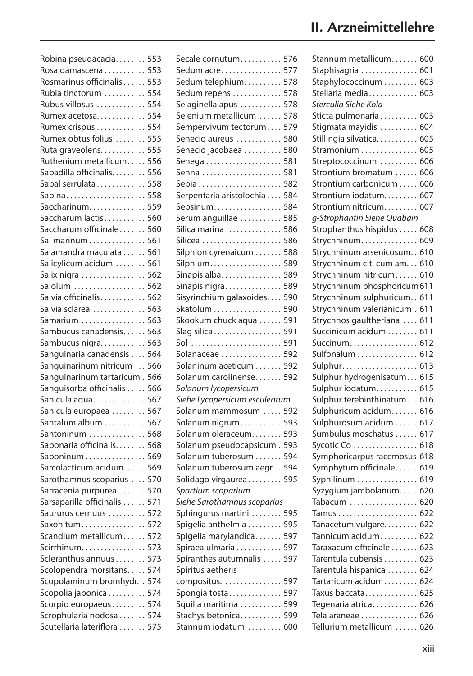| Robina pseudacacia           | 553 |
|------------------------------|-----|
| Rosa damascena               | 553 |
| Rosmarinus officinalis       | 553 |
| Rubia tinctorum              | 554 |
| Rubus villosus               | 554 |
| Rumex acetosa                | 554 |
| Rumex crispus                | 554 |
| Rumex obtusifolius           | 555 |
| Ruta graveolens              | 555 |
| Ruthenium metallicum         | 556 |
| Sabadilla officinalis        | 556 |
| Sabal serrulata              | 558 |
| Sabina                       | 558 |
| Saccharinum                  | 559 |
| Saccharum lactis             | 560 |
| Saccharum officinale         | 560 |
| Sal marinum                  | 561 |
| Salamandra maculata          | 561 |
| Salicylicum acidum           | 561 |
| Salix nigra                  | 562 |
| Salolum                      | 562 |
| Salvia officinalis           | 562 |
| Salvia sclarea               | 563 |
| Samarium                     | 563 |
| Sambucus canadensis          | 563 |
| Sambucus nigra               | 563 |
| Sanguinaria canadensis       | 564 |
|                              | 566 |
| Sanguinarinum nitricum       | 566 |
| Sanguinarinum tartaricum.    |     |
| Sanguisorba officinalis      | 566 |
| Sanicula aqua                | 567 |
| Sanicula europaea            | 567 |
| Santalum album               | 567 |
| Santoninum                   | 568 |
| Saponaria officinalis.       | 568 |
| Saponinum                    | 569 |
| Sarcolacticum acidum         | 569 |
| Sarothamnus scoparius        | 570 |
| Sarracenia purpurea          | 570 |
| Sarsaparilla officinalis     | 571 |
| Saururus cernuus             | 572 |
| Saxonitum                    | 572 |
| Scandium metallicum          | 572 |
| Scirrhinum                   | 573 |
| Scleranthus annuus           | 573 |
| Scolopendra morsitans        | 574 |
| Scopolaminum bromhydr. . 574 |     |
| Scopolia japonica  574       |     |
| Scorpio europaeus            | 574 |
| Scrophularia nodosa          | 574 |

Scutellaria lateriflora . . . . . . . 575

| Secale cornutum 576           |     |
|-------------------------------|-----|
| Sedum acre 577                |     |
| Sedum telephium 578           |     |
| Sedum repens  578             |     |
| Selaginella apus              | 578 |
| Selenium metallicum           |     |
|                               | 578 |
| Sempervivum tectorum          | 579 |
| Senecio aureus                | 580 |
| Senecio jacobaea              | 580 |
|                               | 581 |
| Senna                         | 581 |
|                               | 582 |
| Serpentaria aristolochia      | 584 |
| Sepsinum                      | 584 |
| Serum anguillae               | 585 |
| Silica marina                 | 586 |
|                               | 586 |
| Silphion cyrenaicum           | 588 |
| Silphium                      | 589 |
| Sinapis alba                  | 589 |
| Sinapis nigra                 | 589 |
| Sisyrinchium galaxoides       | 590 |
| Skatolum                      | 590 |
| Skookum chuck aqua            | 591 |
| Slag silica 591               |     |
| Sol  591                      |     |
| Solanaceae  592               |     |
| Solaninum aceticum  592       |     |
| Solanum carolinense 592       |     |
| Solanum lycopersicum          |     |
| Siehe Lycopersicum esculentum |     |
| Solanum mammosum  592         |     |
| Solanum nigrum 593            |     |
| Solanum oleraceum 593         |     |
| Solanum pseudocapsicum. 593   |     |
| Solanum tuberosum  594        |     |
|                               |     |
| Solanum tuberosum aegr 594    |     |
| Solidago virgaurea 595        |     |
| Spartium scoparium            |     |
| Siehe Sarothamnus scoparius   |     |
| Sphingurus martini  595       |     |
| Spigelia anthelmia  595       |     |
| Spigelia marylandica 597      |     |
| Spiraea ulmaria 597           |     |
| Spiranthes autumnalis  597    |     |
| Spiritus aetheris             |     |
| compositus. 597               |     |
| Spongia tosta 597             |     |
| Squilla maritima  599         |     |
| Stachys betonica 599          |     |
| Stannum iodatum  600          |     |

| Stannum metallicum 600         |  |
|--------------------------------|--|
| Staphisagria  601              |  |
| Staphylococcinum  603          |  |
| Stellaria media 603            |  |
| Sterculia Siehe Kola           |  |
| Sticta pulmonaria 603          |  |
| Stigmata mayidis  604          |  |
| Stillingia silvatica 605       |  |
| Stramonium  605                |  |
| Streptococcinum  606           |  |
| Strontium bromatum  606        |  |
| Strontium carbonicum  606      |  |
| Strontium iodatum 607          |  |
| Strontium nitricum 607         |  |
| g-Strophantin Siehe Quabain    |  |
| Strophanthus hispidus  608     |  |
| Strychninum 609                |  |
| Strychninum arsenicosum. . 610 |  |
| Strychninum cit. cum am. 610   |  |
| Strychninum nitricum 610       |  |
| Strychninum phosphoricum 611   |  |
|                                |  |
| Strychninum sulphuricum 611    |  |
| Strychninum valerianicum . 611 |  |
| Strychnos gaultheriana  611    |  |
| Succinicum acidum  611         |  |
| Succinum 612                   |  |
| Sulfonalum  612                |  |
| Sulphur 613                    |  |
| Sulphur hydrogenisatum 615     |  |
| Sulphur iodatum 615            |  |
| Sulphur terebinthinatum 616    |  |
| Sulphuricum acidum 616         |  |
| Sulphurosum acidum  617        |  |
| Sumbulus moschatus  617        |  |
| Sycotic Co  618                |  |
| Symphoricarpus racemosus 618   |  |
| Symphytum officinale 619       |  |
| Syphilinum  619                |  |
| Syzygium jambolanum 620        |  |
| Tabacum  620                   |  |
|                                |  |
| Tanacetum vulgare 622          |  |
| Tannicum acidum 622            |  |
| Taraxacum officinale  623      |  |
| Tarentula cubensis 623         |  |
| Tarentula hispanica  624       |  |
| Tartaricum acidum 624          |  |
| Taxus baccata 625              |  |
| Tegenaria atrica 626           |  |
| Tela araneae  626              |  |
| Tellurium metallicum  626      |  |
|                                |  |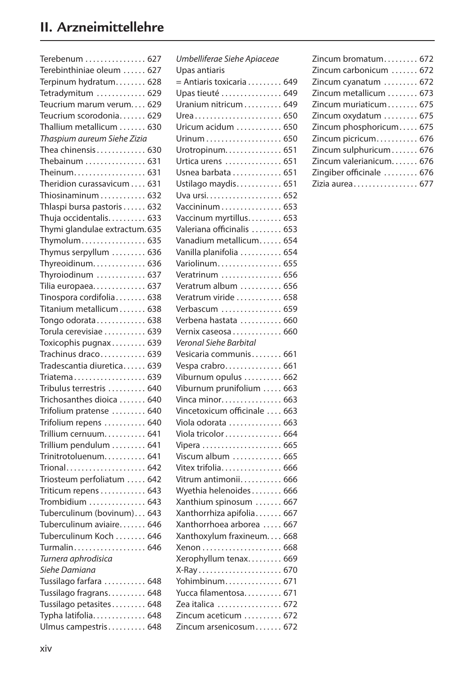| Terebenum  627                 |  |
|--------------------------------|--|
| Terebinthiniae oleum  627      |  |
| Terpinum hydratum 628          |  |
| Tetradymitum  629              |  |
| Teucrium marum verum 629       |  |
| Teucrium scorodonia 629        |  |
| Thallium metallicum  630       |  |
| Thaspium aureum Siehe Zizia    |  |
| Thea chinensis 630             |  |
| Thebainum  631                 |  |
| Theinum. 631                   |  |
| Theridion curassavicum  631    |  |
| Thiosinaminum  632             |  |
| Thlaspi bursa pastoris  632    |  |
| Thuja occidentalis. 633        |  |
| Thymi glandulae extractum. 635 |  |
|                                |  |
| Thymolum 635                   |  |
| Thymus serpyllum  636          |  |
| Thyreoidinum 636               |  |
| Thyroiodinum  637              |  |
| Tilia europaea 637             |  |
| Tinospora cordifolia 638       |  |
| Titanium metallicum 638        |  |
| Tongo odorata 638              |  |
| Torula cerevisiae  639         |  |
| Toxicophis pugnax 639          |  |
| Trachinus draco 639            |  |
| Tradescantia diuretica 639     |  |
| Triatema 639                   |  |
| Tribulus terrestris  640       |  |
| Trichosanthes dioica  640      |  |
| Trifolium pratense  640        |  |
| Trifolium repens  640          |  |
| Trillium cernuum 641           |  |
| Trillium pendulum  641         |  |
| Trinitrotoluenum 641           |  |
| Trional 642                    |  |
| Triosteum perfoliatum  642     |  |
| Triticum repens 643            |  |
| Trombidium  643                |  |
| Tuberculinum (bovinum) 643     |  |
| Tuberculinum aviaire 646       |  |
| Tuberculinum Koch  646         |  |
| Turmalin 646                   |  |
| Turnera aphrodisica            |  |
| Siehe Damiana                  |  |
| Tussilago farfara  648         |  |
| Tussilago fragrans 648         |  |
| Tussilago petasites 648        |  |
| Typha latifolia 648            |  |
| Ulmus campestris 648           |  |

| $=$ Antiaris toxicaria 649                     |
|------------------------------------------------|
| Upas tieuté  649                               |
| Uranium nitricum 649                           |
| Urea 650                                       |
| Uricum acidum  650                             |
|                                                |
| Urotropinum 651                                |
| Urtica urens  651                              |
| Usnea barbata  651                             |
| Ustilago maydis 651                            |
|                                                |
| Vaccininum 653                                 |
| Vaccinum myrtillus 653                         |
| Valeriana officinalis  653                     |
| Vanadium metallicum 654                        |
| Vanilla planifolia  654                        |
| Variolinum 655                                 |
| Veratrinum  656                                |
| Veratrum album  656                            |
| Veratrum viride  658                           |
| Verbascum  659                                 |
| Verbena hastata  660                           |
|                                                |
|                                                |
| Vernix caseosa 660                             |
|                                                |
| Vesicaria communis 661                         |
| Vespa crabro 661                               |
| Viburnum opulus  662                           |
| Viburnum prunifolium  663                      |
| Vinca minor 663                                |
| Vincetoxicum officinale  663                   |
| Viola odorata  663                             |
| Viola tricolor 664                             |
|                                                |
| Viscum album  665                              |
| Vitex trifolia 666                             |
| Vitrum antimonii 666                           |
| Wyethia helenoides 666                         |
| Xanthium spinosum  667                         |
| Xanthorrhiza apifolia 667                      |
| Xanthorrhoea arborea  667                      |
| Xanthoxylum fraxineum 668                      |
|                                                |
| Xerophyllum tenax 669                          |
| X-Ray 670                                      |
| Yohimbinum 671                                 |
| Yucca filamentosa 671                          |
| Zea italica  672                               |
| Zincum aceticum  672<br>Zincum arsenicosum 672 |
|                                                |

| Zincum bromatum 672      |
|--------------------------|
| Zincum carbonicum  672   |
| Zincum cyanatum  672     |
| Zincum metallicum  673   |
| Zincum muriaticum 675    |
| Zincum oxydatum  675     |
| Zincum phosphoricum 675  |
| Zincum picricum 676      |
| Zincum sulphuricum 676   |
| Zincum valerianicum 676  |
| Zingiber officinale  676 |
| Zizia aurea 677          |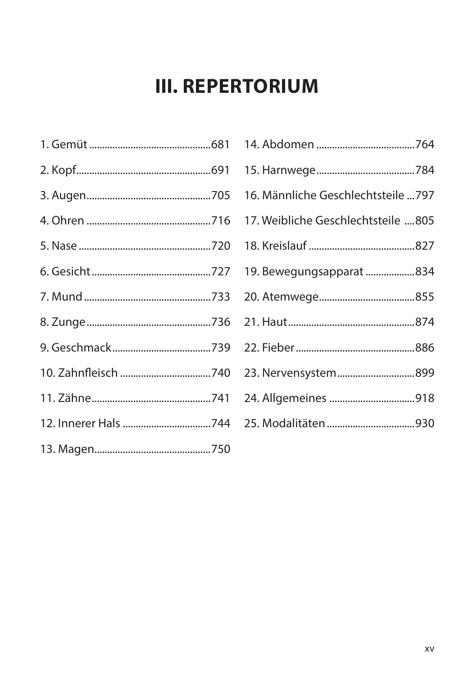# **III. REPERTORIUM**

| 16. Männliche Geschlechtsteile  797 |
|-------------------------------------|
| 17. Weibliche Geschlechtsteile 805  |
|                                     |
| 19. Bewegungsapparat 834            |
|                                     |
|                                     |
|                                     |
| 23. Nervensystem899                 |
|                                     |
| 25. Modalitäten 930                 |
|                                     |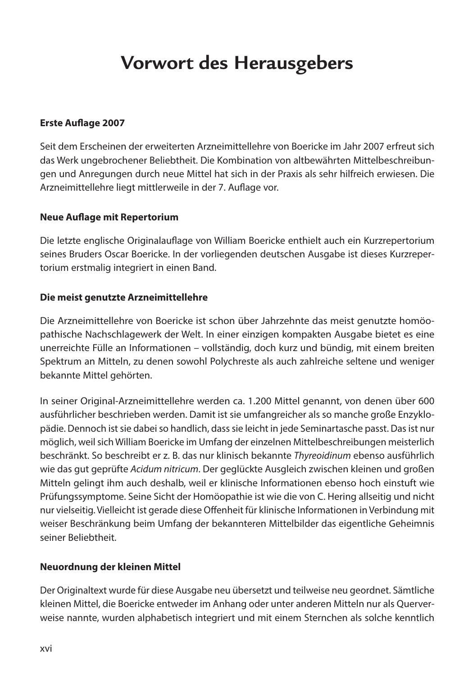# **Vorwort des Herausgebers**

#### **Erste Auflage 2007**

Seit dem Erscheinen der erweiterten Arzneimittellehre von Boericke im Jahr 2007 erfreut sich das Werk ungebrochener Beliebtheit. Die Kombination von altbewährten Mittelbeschreibungen und Anregungen durch neue Mittel hat sich in der Praxis als sehr hilfreich erwiesen. Die Arzneimittellehre liegt mittlerweile in der 7. Auflage vor.

#### **Neue Auflage mit Repertorium**

Die letzte englische Originalauflage von William Boericke enthielt auch ein Kurzrepertorium seines Bruders Oscar Boericke. In der vorliegenden deutschen Ausgabe ist dieses Kurzreper‑ torium erstmalig integriert in einen Band.

#### **Die meist genutzte Arzneimittellehre**

Die Arzneimittellehre von Boericke ist schon über Jahrzehnte das meist genutzte homöopathische Nachschlagewerk der Welt. In einer einzigen kompakten Ausgabe bietet es eine unerreichte Fülle an Informationen – vollständig, doch kurz und bündig, mit einem breiten Spektrum an Mitteln, zu denen sowohl Polychreste als auch zahlreiche seltene und weniger bekannte Mittel gehörten.

In seiner Original-Arzneimittellehre werden ca. 1.200 Mittel genannt, von denen über 600 ausführlicher beschrieben werden. Damit ist sie umfangreicher als so manche große Enzyklopädie. Dennoch ist sie dabei so handlich, dass sie leicht in jede Seminartasche passt. Das ist nur möglich, weil sich William Boericke im Umfang der einzelnen Mittelbeschreibungen meisterlich beschränkt. So beschreibt er z. B. das nur klinisch bekannte *Thyreoidinum* ebenso ausführlich wie das gut geprüfte *Acidum nitricum*. Der geglückte Ausgleich zwischen kleinen und großen Mitteln gelingt ihm auch deshalb, weil er klinische Informationen ebenso hoch einstuft wie Prüfungssymptome. Seine Sicht der Homöopathie ist wie die von C. Hering allseitig und nicht nur vielseitig. Vielleicht ist gerade diese Offenheit für klinische Informationen in Verbindung mit weiser Beschränkung beim Umfang der bekannteren Mittelbilder das eigentliche Geheimnis seiner Beliebtheit.

#### **Neuordnung der kleinen Mittel**

Der Originaltext wurde für diese Ausgabe neu übersetzt und teilweise neu geordnet. Sämtliche kleinen Mittel, die Boericke entweder im Anhang oder unter anderen Mitteln nur als Querver‑ weise nannte, wurden alphabetisch integriert und mit einem Sternchen als solche kenntlich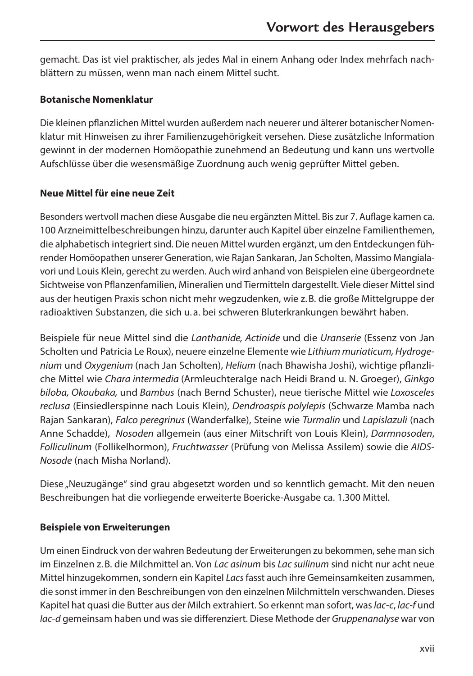gemacht. Das ist viel praktischer, als jedes Mal in einem Anhang oder Index mehrfach nach‑ blättern zu müssen, wenn man nach einem Mittel sucht.

#### **Botanische Nomenklatur**

Die kleinen pflanzlichen Mittel wurden außerdem nach neuerer und älterer botanischer Nomen‑ klatur mit Hinweisen zu ihrer Familienzugehörigkeit versehen. Diese zusätzliche Information gewinnt in der modernen Homöopathie zunehmend an Bedeutung und kann uns wertvolle Aufschlüsse über die wesensmäßige Zuordnung auch wenig geprüfter Mittel geben.

#### **Neue Mittel für eine neue Zeit**

Besonders wertvoll machen diese Ausgabe die neu ergänzten Mittel. Bis zur 7. Auflage kamen ca. 100 Arzneimittelbeschreibungen hinzu, darunter auch Kapitel über einzelne Familienthemen, die alphabetisch integriert sind. Die neuen Mittel wurden ergänzt, um den Entdeckungen füh‑ render Homöopathen unserer Generation, wie Rajan Sankaran, Jan Scholten, Massimo Mangialavori und Louis Klein, gerecht zu werden. Auch wird anhand von Beispielen eine übergeordnete Sichtweise von Pflanzenfamilien, Mineralien und Tiermitteln dargestellt. Viele dieser Mittel sind aus der heutigen Praxis schon nicht mehr wegzudenken, wie z.B. die große Mittelgruppe der radioaktiven Substanzen, die sich u. a. bei schweren Bluterkrankungen bewährt haben.

Beispiele für neue Mittel sind die *Lanthanide, Actinide* und die *Uranserie* (Essenz von Jan Scholten und Patricia Le Roux), neuere einzelne Elemente wie *Lithium muriaticum, Hydrogenium* und *Oxygenium* (nach Jan Scholten), *Helium* (nach Bhawisha Joshi), wichtige pflanzli‑ che Mittel wie *Chara intermedia* (Armleuchteralge nach Heidi Brand u. N. Groeger), *Ginkgo biloba, Okoubaka,* und *Bambus* (nach Bernd Schuster), neue tierische Mittel wie *Loxosceles reclusa* (Einsiedlerspinne nach Louis Klein), *Dendroaspis polylepis* (Schwarze Mamba nach Rajan Sankaran), *Falco peregrinus* (Wanderfalke), Steine wie *Turmalin* und *Lapislazuli* (nach Anne Schadde), *Nosoden* allgemein (aus einer Mitschrift von Louis Klein), *Darmnosoden*, *Folliculinum* (Follikelhormon), *Fruchtwasser* (Prüfung von Melissa Assilem) sowie die *AIDS-Nosode* (nach Misha Norland).

Diese "Neuzugänge" sind grau abgesetzt worden und so kenntlich gemacht. Mit den neuen Beschreibungen hat die vorliegende erweiterte Boericke-Ausgabe ca. 1.300 Mittel.

#### **Beispiele von Erweiterungen**

Um einen Eindruck von der wahren Bedeutung der Erweiterungen zu bekommen, sehe man sich im Einzelnen z.B. die Milchmittel an. Von *Lac asinum* bis *Lac suilinum* sind nicht nur acht neue Mittel hinzugekommen, sondern ein Kapitel *Lacs* fasst auch ihre Gemeinsamkeiten zusammen, die sonst immer in den Beschreibungen von den einzelnen Milchmitteln verschwanden. Dieses Kapitel hat quasi die Butter aus der Milch extrahiert. So erkennt man sofort, was *lac-c*, *lac-f* und *lac-d* gemeinsam haben und was sie differenziert. Diese Methode der *Gruppenanalyse* war von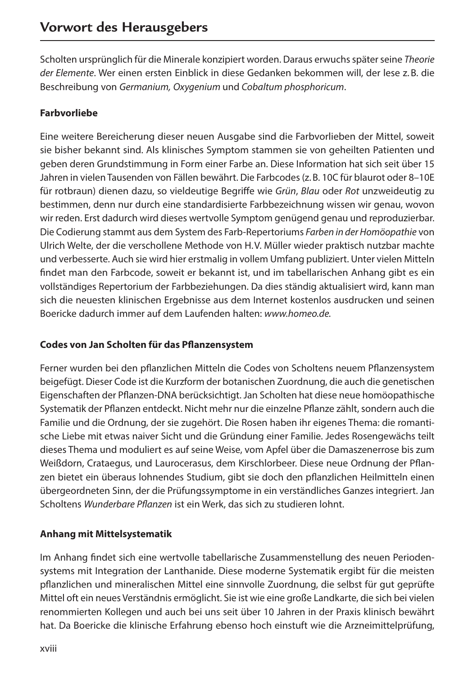Scholten ursprünglich für die Minerale konzipiert worden. Daraus erwuchs später seine *Theorie der Elemente*. Wer einen ersten Einblick in diese Gedanken bekommen will, der lese z.B. die Beschreibung von *Germanium, Oxygenium* und *Cobaltum phosphoricum*.

#### **Farbvorliebe**

Eine weitere Bereicherung dieser neuen Ausgabe sind die Farbvorlieben der Mittel, soweit sie bisher bekannt sind. Als klinisches Symptom stammen sie von geheilten Patienten und geben deren Grundstimmung in Form einer Farbe an. Diese Information hat sich seit über 15 Jahren in vielen Tausenden von Fällen bewährt. Die Farbcodes (z.B. 10C für blaurot oder 8–10E für rotbraun) dienen dazu, so vieldeutige Begriffe wie *Grün*, *Blau* oder *Rot* unzweideutig zu bestimmen, denn nur durch eine standardisierte Farbbezeichnung wissen wir genau, wovon wir reden. Erst dadurch wird dieses wertvolle Symptom genügend genau und reproduzierbar. Die Codierung stammt aus dem System des Farb-Repertoriums *Farben in der Homöopathie* von Ulrich Welte, der die verschollene Methode von H.V. Müller wieder praktisch nutzbar machte und verbesserte. Auch sie wird hier erstmalig in vollem Umfang publiziert. Unter vielen Mitteln findet man den Farbcode, soweit er bekannt ist, und im tabellarischen Anhang gibt es ein vollständiges Repertorium der Farbbeziehungen. Da dies ständig aktualisiert wird, kann man sich die neuesten klinischen Ergebnisse aus dem Internet kostenlos ausdrucken und seinen Boericke dadurch immer auf dem Laufenden halten: *www.homeo.de.*

#### **Codes von Jan Scholten für das Pflanzensystem**

Ferner wurden bei den pflanzlichen Mitteln die Codes von Scholtens neuem Pflanzensystem beigefügt. Dieser Code ist die Kurzform der botanischen Zuordnung, die auch die genetischen Eigenschaften der Pflanzen-DNA berücksichtigt. Jan Scholten hat diese neue homöopathische Systematik der Pflanzen entdeckt. Nicht mehr nur die einzelne Pflanze zählt, sondern auch die Familie und die Ordnung, der sie zugehört. Die Rosen haben ihr eigenes Thema: die romanti‑ sche Liebe mit etwas naiver Sicht und die Gründung einer Familie. Jedes Rosengewächs teilt dieses Thema und moduliert es auf seine Weise, vom Apfel über die Damaszenerrose bis zum Weißdorn, Crataegus, und Laurocerasus, dem Kirschlorbeer. Diese neue Ordnung der Pflan‑ zen bietet ein überaus lohnendes Studium, gibt sie doch den pflanzlichen Heilmitteln einen übergeordneten Sinn, der die Prüfungssymptome in ein verständliches Ganzes integriert. Jan Scholtens *Wunderbare Pflanzen* ist ein Werk, das sich zu studieren lohnt.

#### **Anhang mit Mittelsystematik**

Im Anhang findet sich eine wertvolle tabellarische Zusammenstellung des neuen Periodensystems mit Integration der Lanthanide. Diese moderne Systematik ergibt für die meisten pflanzlichen und mineralischen Mittel eine sinnvolle Zuordnung, die selbst für gut geprüfte Mittel oft ein neues Verständnis ermöglicht. Sie ist wie eine große Landkarte, die sich bei vielen renommierten Kollegen und auch bei uns seit über 10 Jahren in der Praxis klinisch bewährt hat. Da Boericke die klinische Erfahrung ebenso hoch einstuft wie die Arzneimittelprüfung,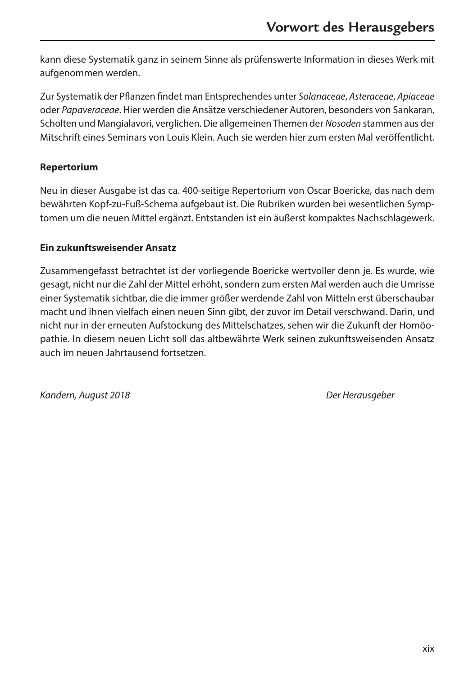kann diese Systematik ganz in seinem Sinne als prüfenswerte Information in dieses Werk mit aufgenommen werden.

Zur Systematik der Pflanzen findet man Entsprechendes unter *Solanaceae*, *Asteraceae*, *Apiaceae* oder *Papaveraceae*. Hier werden die Ansätze verschiedener Autoren, besonders von Sankaran, Scholten und Mangialavori, verglichen. Die allgemeinen Themen der *Nosoden* stammen aus der Mitschrift eines Seminars von Louis Klein. Auch sie werden hier zum ersten Mal veröffentlicht.

#### **Repertorium**

Neu in dieser Ausgabe ist das ca. 400-seitige Repertorium von Oscar Boericke, das nach dem bewährten Kopf-zu-Fuß-Schema aufgebaut ist. Die Rubriken wurden bei wesentlichen Symptomen um die neuen Mittel ergänzt. Entstanden ist ein äußerst kompaktes Nachschlagewerk.

#### **Ein zukunftsweisender Ansatz**

Zusammengefasst betrachtet ist der vorliegende Boericke wertvoller denn je. Es wurde, wie gesagt, nicht nur die Zahl der Mittel erhöht, sondern zum ersten Mal werden auch die Umrisse einer Systematik sichtbar, die die immer größer werdende Zahl von Mitteln erst überschaubar macht und ihnen vielfach einen neuen Sinn gibt, der zuvor im Detail verschwand. Darin, und nicht nur in der erneuten Aufstockung des Mittelschatzes, sehen wir die Zukunft der Homöopathie. In diesem neuen Licht soll das altbewährte Werk seinen zukunftsweisenden Ansatz auch im neuen Jahrtausend fortsetzen.

*Kandern, August 2018 Der Herausgeber*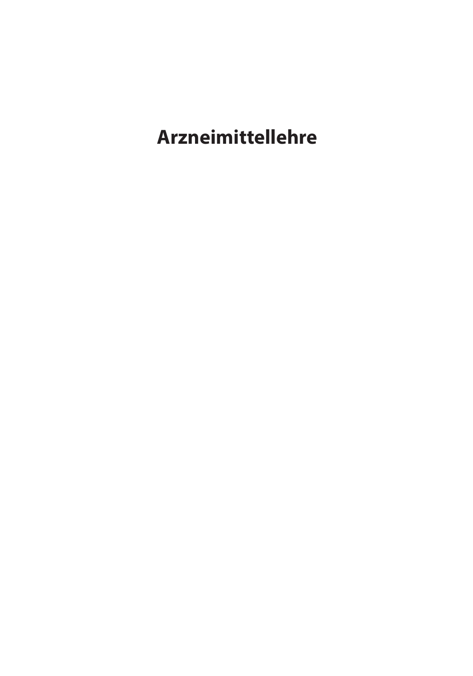**Arzneimittellehre**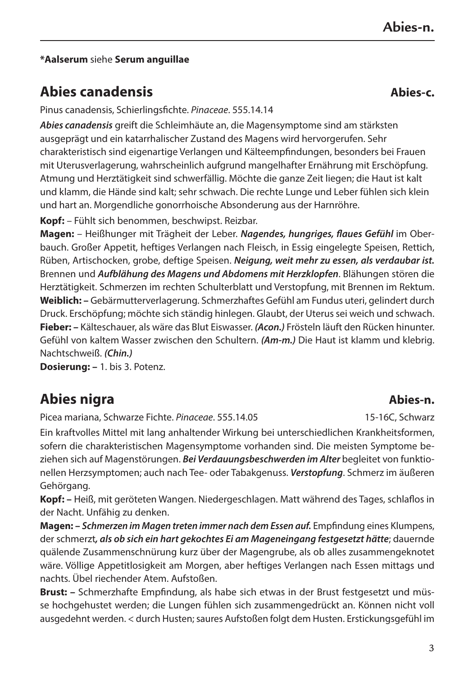3

**Abies-n.**

#### **\*Aalserum** siehe **Serum anguillae**

# **Abies canadensis Abies-c.**

Pinus canadensis, Schierlingsfichte. *Pinaceae*. 555.14.14

*Abies canadensis* greift die Schleimhäute an, die Magensymptome sind am stärksten ausgeprägt und ein katarrhalischer Zustand des Magens wird hervorgerufen. Sehr charakteristisch sind eigenartige Verlangen und Kälteempfindungen, besonders bei Frauen mit Uterusverlagerung, wahrscheinlich aufgrund mangelhafter Ernährung mit Erschöpfung. Atmung und Herztätigkeit sind schwerfällig. Möchte die ganze Zeit liegen; die Haut ist kalt und klamm, die Hände sind kalt; sehr schwach. Die rechte Lunge und Leber fühlen sich klein und hart an. Morgendliche gonorrhoische Absonderung aus der Harnröhre.

**Kopf:** – Fühlt sich benommen, beschwipst. Reizbar.

**Magen:** – Heißhunger mit Trägheit der Leber. *Nagendes, hungriges, flaues Gefühl* im Ober‑ bauch. Großer Appetit, heftiges Verlangen nach Fleisch, in Essig eingelegte Speisen, Rettich, Rüben, Artischocken, grobe, deftige Speisen. *Neigung, weit mehr zu essen, als verdaubar ist.* Brennen und *Aufblähung des Magens und Abdomens mit Herzklopfen*. Blähungen stören die Herztätigkeit. Schmerzen im rechten Schulterblatt und Verstopfung, mit Brennen im Rektum. **Weiblich: –** Gebärmutterverlagerung. Schmerzhaftes Gefühl am Fundus uteri, gelindert durch Druck. Erschöpfung; möchte sich ständig hinlegen. Glaubt, der Uterus sei weich und schwach. **Fieber: –** Kälteschauer, als wäre das Blut Eiswasser. *(Acon.)* Frösteln läuft den Rücken hinunter. Gefühl von kaltem Wasser zwischen den Schultern. *(Am‑m.)* Die Haut ist klamm und klebrig. Nachtschweiß. *(Chin.)*

**Dosierung: –** 1. bis 3. Potenz.

# **Abies nigra Abies-n.**

Picea mariana, Schwarze Fichte. *Pinaceae*. 555.14.05 15-16C, Schwarz

Ein kraftvolles Mittel mit lang anhaltender Wirkung bei unterschiedlichen Krankheitsformen, sofern die charakteristischen Magensymptome vorhanden sind. Die meisten Symptome be‑ ziehen sich auf Magenstörungen. Bei Verdauungsbeschwerden im Alter begleitet von funktionellen Herzsymptomen; auch nach Tee- oder Tabakgenuss. *Verstopfung*. Schmerz im äußeren Gehörgang.

**Kopf: –** Heiß, mit geröteten Wangen. Niedergeschlagen. Matt während des Tages, schlaflos in der Nacht. Unfähig zu denken.

**Magen: –** *Schmerzen im Magen treten immer nach dem Essen auf.* Empfindung eines Klumpens, der schmerzt*, als ob sich ein hart gekochtes Ei am Mageneingang festgesetzt hätte*; dauernde quälende Zusammenschnürung kurz über der Magengrube, als ob alles zusammengeknotet wäre. Völlige Appetitlosigkeit am Morgen, aber heftiges Verlangen nach Essen mittags und nachts. Übel riechender Atem. Aufstoßen.

**Brust: –** Schmerzhafte Empfindung, als habe sich etwas in der Brust festgesetzt und müs‑ se hochgehustet werden; die Lungen fühlen sich zusammengedrückt an. Können nicht voll ausgedehnt werden. < durch Husten; saures Aufstoßen folgt dem Husten. Erstickungsgefühl im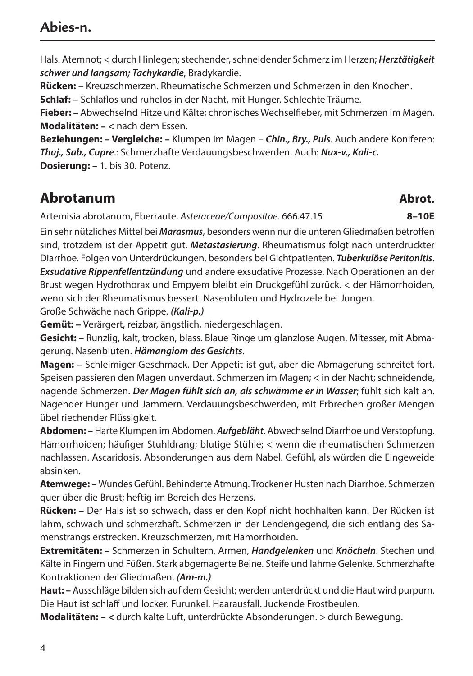# **Abies-n.**

Hals. Atemnot; < durch Hinlegen; stechender, schneidender Schmerz im Herzen; *Herztätigkeit schwer und langsam; Tachykardie*, Bradykardie.

**Rücken: –** Kreuzschmerzen. Rheumatische Schmerzen und Schmerzen in den Knochen.

**Schlaf: –** Schlaflos und ruhelos in der Nacht, mit Hunger. Schlechte Träume.

**Fieber: –** Abwechselnd Hitze und Kälte; chronisches Wechselfieber, mit Schmerzen im Magen. **Modalitäten: –** *<* nach dem Essen.

**Beziehungen: – Vergleiche: –** Klumpen im Magen – *Chin., Bry., Puls*. Auch andere Koniferen: *Thuj., Sab., Cupre*.: Schmerzhafte Verdauungsbeschwerden. Auch: *Nux-v., Kali-c.* **Dosierung: –** 1. bis 30. Potenz.

# **Abrotanum Abrot.**

Artemisia abrotanum, Eberraute. *Asteraceae/Compositae.* 666.47.15 **8–10E**

Ein sehr nützliches Mittel bei *Marasmus*, besonders wenn nur die unteren Gliedmaßen betroffen sind, trotzdem ist der Appetit gut. *Metastasierung*. Rheumatismus folgt nach unterdrückter Diarrhoe. Folgen von Unterdrückungen, besonders bei Gichtpatienten. *Tuberkulöse Peritonitis*. *Exsudative Rippenfellentzündung* und andere exsudative Prozesse. Nach Operationen an der Brust wegen Hydrothorax und Empyem bleibt ein Druckgefühl zurück. < der Hämorrhoiden, wenn sich der Rheumatismus bessert. Nasenbluten und Hydrozele bei Jungen.

Große Schwäche nach Grippe. *(Kali-p.)*

**Gemüt: –** Verärgert, reizbar, ängstlich, niedergeschlagen.

Gesicht: - Runzlig, kalt, trocken, blass. Blaue Ringe um glanzlose Augen. Mitesser, mit Abmagerung. Nasenbluten. *Hämangiom des Gesichts*.

**Magen: –** Schleimiger Geschmack. Der Appetit ist gut, aber die Abmagerung schreitet fort. Speisen passieren den Magen unverdaut. Schmerzen im Magen; < in der Nacht; schneidende, nagende Schmerzen. *Der Magen fühlt sich an, als schwämme er in Wasser*; fühlt sich kalt an. Nagender Hunger und Jammern. Verdauungsbeschwerden, mit Erbrechen großer Mengen übel riechender Flüssigkeit.

**Abdomen: –** Harte Klumpen im Abdomen. *Aufgebläht*. Abwechselnd Diarrhoe und Verstopfung. Hämorrhoiden; häufiger Stuhldrang; blutige Stühle; < wenn die rheumatischen Schmerzen nachlassen. Ascaridosis. Absonderungen aus dem Nabel. Gefühl, als würden die Eingeweide absinken.

**Atemwege: –** Wundes Gefühl. Behinderte Atmung. Trockener Husten nach Diarrhoe. Schmerzen quer über die Brust; heftig im Bereich des Herzens.

**Rücken: –** Der Hals ist so schwach, dass er den Kopf nicht hochhalten kann. Der Rücken ist lahm, schwach und schmerzhaft. Schmerzen in der Lendengegend, die sich entlang des Samenstrangs erstrecken. Kreuzschmerzen, mit Hämorrhoiden.

**Extremitäten: –** Schmerzen in Schultern, Armen, *Handgelenken* und *Knöcheln*. Stechen und Kälte in Fingern und Füßen. Stark abgemagerte Beine. Steife und lahme Gelenke. Schmerzhafte Kontraktionen der Gliedmaßen. *(Am-m.)*

**Haut: –** Ausschläge bilden sich auf dem Gesicht; werden unterdrückt und die Haut wird purpurn. Die Haut ist schlaff und locker. Furunkel. Haarausfall. Juckende Frostbeulen.

**Modalitäten: – <** durch kalte Luft, unterdrückte Absonderungen. > durch Bewegung.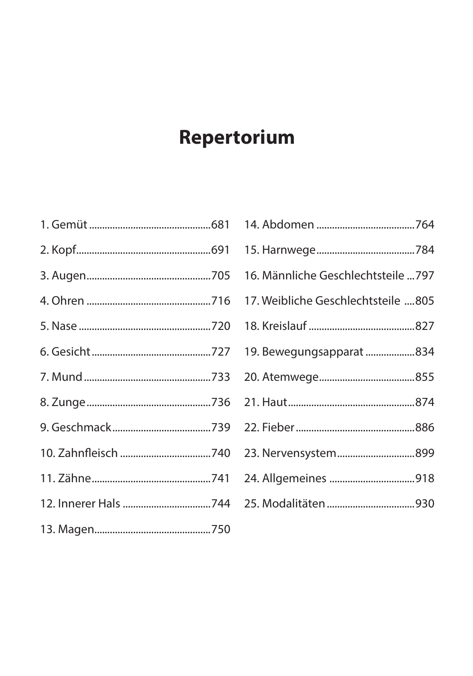# Repertorium

| 16. Männliche Geschlechtsteile  797 |
|-------------------------------------|
| 17. Weibliche Geschlechtsteile 805  |
|                                     |
| 19. Bewegungsapparat 834            |
|                                     |
|                                     |
|                                     |
| 23. Nervensystem899                 |
|                                     |
|                                     |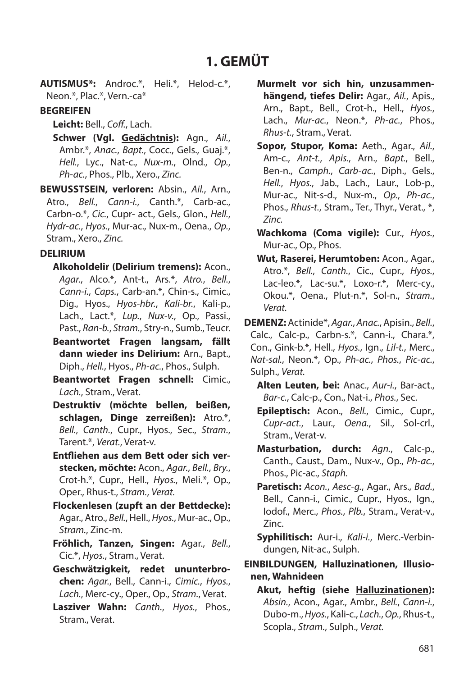# **1. GEMÜT**

**AUTISMUS\*:** Androc.\*, Heli.\*, Helod‑c.\*, Neon.\*, Plac.\*, Vern.-ca\*

#### **BEGREIFEN**

**Leicht:** Bell., *Coff.*, Lach.

**Schwer (Vgl. Gedächtnis):** Agn., *Ail.*, Ambr.\*, *Anac.*, *Bapt.*, Cocc., Gels., Guaj.\*, *Hell.*, Lyc., Nat‑c., *Nux‑m.*, Olnd., *Op.*, *Ph‑ac.*, Phos., Plb., Xero., *Zinc.*

**BEWUSSTSEIN, verloren:** Absin., *Ail.*, Arn., Atro., *Bell.*, *Cann‑i.*, Canth.\*, Carb‑ac., Carbn‑o.\*, *Cic.*, Cupr‑ act., Gels., Glon., *Hell.*, *Hydr‑ac.*, *Hyos.*, Mur‑ac., Nux‑m., Oena., *Op.*, Stram., Xero., *Zinc.*

#### **DELIRIUM**

**Alkoholdelir (Delirium tremens):** Acon., *Agar.*, Alco.\*, Ant‑t., Ars.\*, *Atro.*, *Bell.*, *Cann‑i.*, *Caps.*, Carb‑an.\*, Chin‑s., Cimic., Dig., Hyos., *Hyos‑hbr.*, *Kali‑br.*, Kali‑p., Lach., Lact.\*, *Lup.*, *Nux‑v.*, Op., Passi., Past., *Ran‑b.*, *Stram.*, Stry‑n., Sumb., Teucr.

**Beantwortet Fragen langsam, fällt dann wieder ins Delirium:** Arn., Bapt., Diph., *Hell.*, Hyos., *Ph‑ac.*, Phos., Sulph.

- **Beantwortet Fragen schnell:** Cimic., *Lach.*, Stram., Verat.
- **Destruktiv (möchte bellen, beißen, schlagen, Dinge zerreißen):** Atro.\*, *Bell.*, *Canth.*, Cupr., Hyos., Sec., *Stram.*, Tarent.\*, *Verat.*, Verat‑v.
- **Entfliehen aus dem Bett oder sich verstecken, möchte:** Acon., *Agar.*, *Bell.*, *Bry.*, Crot‑h.\*, Cupr., Hell., *Hyos.*, Meli.\*, Op., Oper., Rhus‑t., *Stram.*, *Verat.*
- **Flockenlesen (zupft an der Bettdecke):** Agar., Atro., *Bell.*, Hell., *Hyos.*, Mur‑ac., Op., *Stram.*, Zinc‑m.
- **Fröhlich, Tanzen, Singen:** Agar., *Bell.*, Cic.\*, *Hyos.*, Stram., Verat.
- **Geschwätzigkeit, redet ununterbrochen:** *Agar.*, Bell., Cann‑i., *Cimic.*, *Hyos.*, *Lach.*, Merc‑cy., Oper., Op., *Stram.*, Verat.
- **Lasziver Wahn:** *Canth.*, *Hyos.*, Phos., Stram., Verat.
- **Murmelt vor sich hin, unzusammenhängend, tiefes Delir:** Agar., *Ail.*, Apis., Arn., Bapt., Bell., Crot‑h., Hell., *Hyos.*, Lach., *Mur‑ac.*, Neon.\*, *Ph‑ac.*, Phos., *Rhus‑t.*, Stram., Verat.
- **Sopor, Stupor, Koma:** Aeth., Agar., *Ail.*, Am‑c., *Ant‑t.*, *Apis.*, Arn., *Bapt.*, Bell., Ben‑n., *Camph.*, *Carb‑ac.*, Diph., Gels., *Hell.*, *Hyos.*, Jab., Lach., Laur., Lob‑p., Mur‑ac., Nit‑s‑d., Nux‑m., *Op.*, *Ph‑ac.*, Phos., *Rhus‑t.*, Stram., Ter., Thyr., Verat., \*, *Zinc.*
- **Wachkoma (Coma vigile):** Cur., *Hyos.*, Mur‑ac., Op., Phos.
- **Wut, Raserei, Herumtoben:** Acon., Agar., Atro.\*, *Bell.*, *Canth.*, Cic., Cupr., *Hyos.*, Lac-leo.\*, Lac-su.\*, Loxo-r.\*, Merc-cy., Okou.\*, Oena., Plut‑n.\*, Sol‑n., *Stram.*, *Verat.*

**DEMENZ:** Actinide\*, *Agar.*, *Anac.*, Apisin., *Bell.*, Calc., Calc-p., Carbn-s.\*, Cann-i., Chara.\*, Con., Gink‑b.\*, Hell., *Hyos.*, Ign., *Lil‑t.*, Merc., *Nat‑sal.*, Neon.\*, Op., *Ph‑ac.*, *Phos.*, *Pic‑ac.*, Sulph., *Verat.*

**Alten Leuten, bei:** Anac., *Aur‑i.*, Bar‑act., *Bar‑c.*, Calc‑p., Con., Nat‑i., *Phos.*, Sec.

- **Epileptisch:** Acon., *Bell.*, Cimic., Cupr., *Cupr‑act.*, Laur., *Oena.*, Sil., Sol‑crl., Stram., Verat-v.
- **Masturbation, durch:** *Agn.*, Calc‑p., Canth., Caust., Dam., Nux‑v., Op., *Ph‑ac.*, Phos., Pic‑ac., *Staph.*
- **Paretisch:** *Acon.*, *Aesc‑g.*, Agar., Ars., *Bad.*, Bell., Cann-i., Cimic., Cupr., Hyos., Ign., Iodof., Merc., *Phos.*, *Plb.*, Stram., Verat‑v., Zinc.

**Syphilitisch:** Aur‑i., *Kali‑i.*, Merc.‑Verbin‑ dungen, Nit‑ac., Sulph.

**EINBILDUNGEN, Halluzinationen, Illusionen, Wahnideen**

**Akut, heftig (siehe Halluzinationen):** *Absin.*, Acon., Agar., Ambr., *Bell.*, *Cann‑i.*, Dubo‑m., *Hyos.*, Kali‑c., *Lach.*, *Op.*, Rhus‑t., Scopla., *Stram.*, Sulph., *Verat.*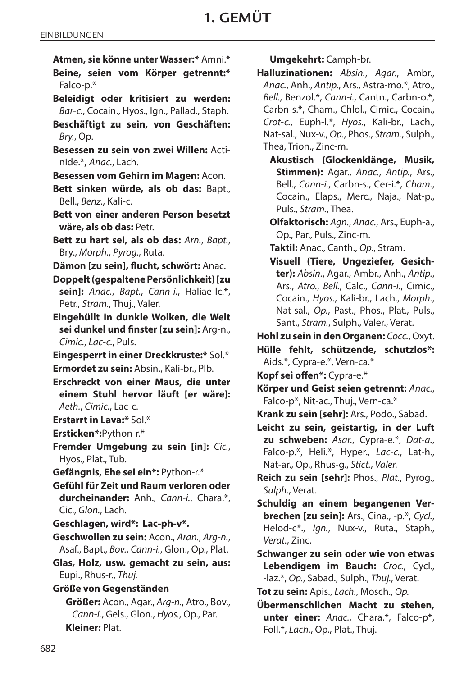- **Atmen, sie könne unter Wasser:\*** Amni.\*
- **Beine, seien vom Körper getrennt:\***  Falco-p.\*
- **Beleidigt oder kritisiert zu werden:** *Bar‑c.*, Cocain., Hyos., Ign., Pallad., Staph.
- **Beschäftigt zu sein, von Geschäften:** *Bry.*, Op.
- **Besessen zu sein von zwei Willen:** Acti‑ nide.\***,** *Anac.*, Lach.
- **Besessen vom Gehirn im Magen:** Acon.
- **Bett sinken würde, als ob das:** Bapt., Bell., *Benz.*, Kali‑c.
- **Bett von einer anderen Person besetzt wäre, als ob das:** Petr.
- **Bett zu hart sei, als ob das:** *Arn.*, *Bapt.*, Bry., *Morph.*, *Pyrog.*, Ruta.
- **Dämon [zu sein], flucht, schwört:** Anac.
- **Doppelt (gespaltene Persönlichkeit) [zu sein]:** *Anac.*, *Bapt.*, *Cann‑i.*, Haliae‑lc.\*, Petr., *Stram.*, Thuj., Valer.
- **Eingehüllt in dunkle Wolken, die Welt sei dunkel und finster [zu sein]:** Arg‑n., *Cimic.*, *Lac‑c.*, Puls.
- **Eingesperrt in einer Dreckkruste:\*** Sol.\*

**Ermordet zu sein:** Absin., Kali‑br., Plb.

- **Erschreckt von einer Maus, die unter einem Stuhl hervor läuft [er wäre]:** *Aeth.*, *Cimic.*, Lac‑c.
- **Erstarrt in Lava:\*** Sol.\*

**Ersticken\*:**Python-r.\*

**Fremder Umgebung zu sein [in]:** *Cic.*, Hyos., Plat., Tub.

**Gefängnis, Ehe sei ein\*:** Python-r.\*

**Gefühl für Zeit und Raum verloren oder durcheinander:** Anh., *Cann‑i.*, Chara.\*, Cic., *Glon.*, Lach.

- **Geschlagen, wird\*: Lac-ph-v\*.**
- **Geschwollen zu sein:** Acon., *Aran.*, *Arg‑n.*, Asaf., Bapt., *Bov.*, *Cann‑i.*, Glon., Op., Plat.
- **Glas, Holz, usw. gemacht zu sein, aus:** Eupi., Rhus‑r., *Thuj.*
- **Größe von Gegenständen**

**Größer:** Acon., Agar., *Arg‑n.*, Atro., Bov., *Cann‑i.*, Gels., Glon., *Hyos.*, Op., Par. **Kleiner:** Plat.

**Umgekehrt:** Camph‑br.

- **Halluzinationen:** *Absin.*, *Agar.*, Ambr., *Anac.*, Anh., *Antip.*, Ars., Astra‑mo.\*, Atro., *Bell.*, Benzol.\*, *Cann‑i.*, Cantn., Carbn‑o.\*, Carbn‑s.\*, Cham., Chlol., Cimic., Cocain., *Crot‑c.*, Euph‑l.\*, *Hyos.*, Kali‑br., Lach., Nat‑sal., Nux‑v., *Op.*, Phos., *Stram.*, Sulph., Thea, Trion., Zinc‑m.
	- **Akustisch (Glockenklänge, Musik, Stimmen):** Agar., *Anac.*, *Antip.*, Ars., Bell., *Cann‑i.*, Carbn‑s., Cer-i.\*, *Cham.*, Cocain., Elaps., Merc., Naja., Nat-p., Puls., *Stram.*, Thea.
	- **Olfaktorisch:** *Agn.*, *Anac.*, Ars., Euph‑a., Op., Par., Puls., Zinc‑m.

**Taktil:** Anac., Canth., *Op.*, Stram.

- **Visuell (Tiere, Ungeziefer, Gesichter):** *Absin.*, Agar., Ambr., Anh., *Antip.*, Ars., *Atro.*, *Bell.*, Calc., *Cann‑i.*, Cimic., Cocain., *Hyos.*, Kali‑br., Lach., *Morph.*, Nat‑sal., *Op.*, Past., Phos., Plat., Puls., Sant., *Stram.*, Sulph., Valer., Verat.
- **Hohl zu sein in den Organen:** *Cocc.*, Oxyt.
- **Hülle fehlt, schützende, schutzlos\*:** Aids.\*, Cypra-e.\*, Vern-ca.\*

**Kopf sei offen\*:** Cypra-e.\*

- **Körper und Geist seien getrennt:** *Anac.*, Falco-p\*, Nit‑ac., Thuj., Vern-ca.\*
- **Krank zu sein [sehr]:** Ars., Podo., Sabad.
- **Leicht zu sein, geistartig, in der Luft zu schweben:** *Asar.*, Cypra‑e.\*, *Dat‑a.*, Falco-p.\*, Heli.\*, Hyper., Lac-c., Lat-h., Nat‑ar., Op., Rhus‑g., *Stict.*, *Valer.*
- **Reich zu sein [sehr]:** Phos., *Plat.*, Pyrog., *Sulph.*, Verat.
- **Schuldig an einem begangenen Verbrechen [zu sein]:** Ars., Cina., ‑p.\*, *Cycl.*, Helod‑c\*., *Ign.*, Nux‑v., Ruta., Staph., *Verat.*, Zinc.
- **Schwanger zu sein oder wie von etwas Lebendigem im Bauch:** *Croc.*, Cycl., -laz.\*, *Op.*, Sabad., Sulph., *Thuj.*, Verat.
- **Tot zu sein:** Apis., *Lach.*, Mosch., *Op.*
- **Übermenschlichen Macht zu stehen, unter einer:** *Anac.*, Chara.\*, Falco-p\*, Foll.\*, *Lach.*, Op., Plat., Thuj.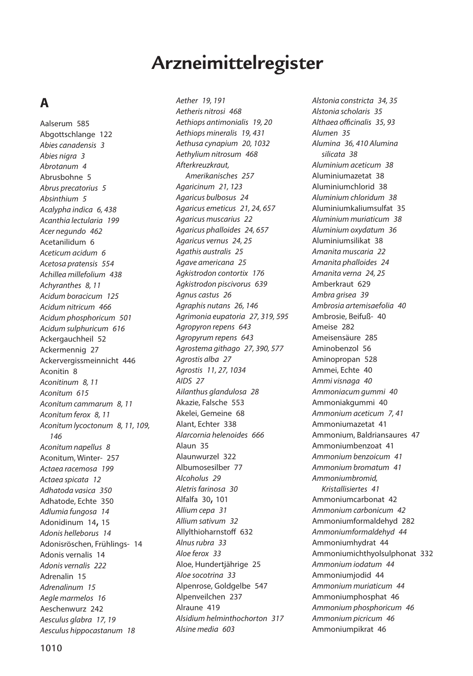# **Arzneimittelregister**

# **A**

Aalserum 585 Abgottschlange 122 *Abies canadensis 3 Abies nigra 3 Abrotanum 4* Abrusbohne 5 *Abrus precatorius 5 Absinthium 5 Acalypha indica 6, 438 Acanthia lectularia 199 Acer negundo 462* Acetanilidum 6 *Aceticum acidum 6 Acetosa pratensis 554 Achillea millefolium 438 Achyranthes 8, 11 Acidum boracicum 125 Acidum nitricum 466 Acidum phosphoricum 501 Acidum sulphuricum 616* Ackergauchheil 52 Ackermennig 27 Ackervergissmeinnicht 446 Aconitin 8 *Aconitinum 8, 11 Aconitum 615 Aconitum cammarum 8, 11 Aconitum ferox 8, 11 Aconitum lycoctonum 8, 11, 109, 146 Aconitum napellus 8* Aconitum, Winter- 257 *Actaea racemosa 199 Actaea spicata 12 Adhatoda vasica 350* Adhatode, Echte 350 *Adlumia fungosa 14* Adonidinum 14, 15 *Adonis helleborus 14* Adonisröschen, Frühlings- 14 Adonis vernalis 14 *Adonis vernalis 222* Adrenalin 15 *Adrenalinum 15 Aegle marmelos 16* Aeschenwurz 242 *Aesculus glabra 17, 19 Aesculus hippocastanum 18*

*Aether 19, 191 Aetheris nitrosi 468 Aethiops antimonialis 19, 20 Aethiops mineralis 19, 431 Aethusa cynapium 20, 1032 Aethylium nitrosum 468 Afterkreuzkraut, Amerikanisches 257 Agaricinum 21, 123 Agaricus bulbosus 24 Agaricus emeticus 21, 24, 657 Agaricus muscarius 22 Agaricus phalloides 24, 657 Agaricus vernus 24, 25 Agathis australis 25 Agave americana 25 Agkistrodon contortix 176 Agkistrodon piscivorus 639 Agnus castus 26 Agraphis nutans 26, 146 Agrimonia eupatoria 27, 319, 595 Agropyron repens 643 Agropyrum repens 643 Agrostema githago 27, 390, 577 Agrostis alba 27 Agrostis 11, 27, 1034 AIDS 27 Ailanthus glandulosa 28* Akazie, Falsche 553 Akelei, Gemeine 68 Alant, Echter 338 *Alarcornia helenoides 666* Alaun 35 Alaunwurzel 322 Albumosesilber 77 *Alcoholus 29 Aletris farinosa 30* Alfalfa 30, 101 *Allium cepa 31 Allium sativum 32* Allylthioharnstoff 632 *Alnus rubra 33 Aloe ferox 33* Aloe, Hundertjährige 25 *Aloe socotrina 33* Alpenrose, Goldgelbe 547 Alpenveilchen 237 Alraune 419 *Alsidium helminthochorton 317 Alsine media 603*

*Alstonia constricta 34, 35 Alstonia scholaris 35 Althaea officinalis 35, 93 Alumen 35 Alumina 36, 410 Alumina silicata 38 Aluminium aceticum 38* Aluminiumazetat 38 Aluminiumchlorid 38 *Aluminium chloridum 38* Aluminiumkaliumsulfat 35 *Aluminium muriaticum 38 Aluminium oxydatum 36* Aluminiumsilikat 38 *Amanita muscaria 22 Amanita phalloides 24 Amanita verna 24, 25* Amberkraut 629 *Ambra grisea 39 Ambrosia artemisaefolia 40* Ambrosie, Beifuß- 40 Ameise 282 Ameisensäure 285 Aminobenzol 56 Aminopropan 528 Ammei, Echte 40 *Ammi visnaga 40 Ammoniacum gummi 40* Ammoniakgummi 40 *Ammonium aceticum 7, 41* Ammoniumazetat 41 Ammonium, Baldriansaures 47 Ammoniumbenzoat 41 *Ammonium benzoicum 41 Ammonium bromatum 41 Ammoniumbromid, Kristallisiertes 41* Ammoniumcarbonat 42 *Ammonium carbonicum 42* Ammoniumformaldehyd 282 *Ammoniumformaldehyd 44* Ammoniumhydrat 44 Ammoniumichthyolsulphonat 332 *Ammonium iodatum 44* Ammoniumjodid 44 *Ammonium muriaticum 44* Ammoniumphosphat 46 *Ammonium phosphoricum 46 Ammonium picricum 46* Ammoniumpikrat 46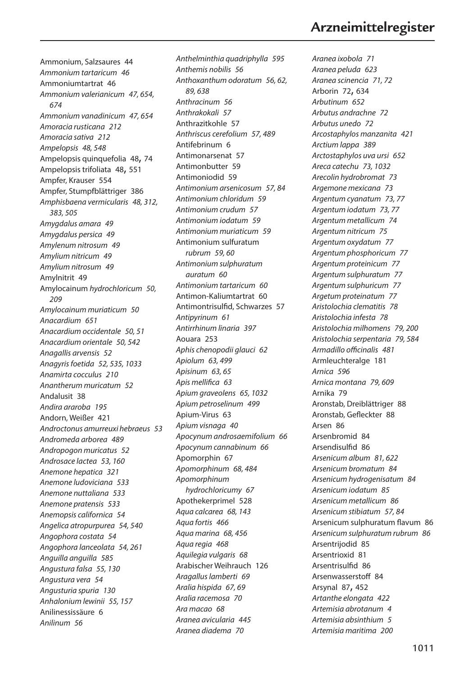# *Aranea ixobola 71 Aranea peluda 623* **Arzneimittelregister**

Ammonium, Salzsaures 44 *Ammonium tartaricum 46* Ammoniumtartrat 46 *Ammonium valerianicum 47, 654, 674 Ammonium vanadinicum 47, 654 Amoracia rusticana 212 Amoracia sativa 212 Ampelopsis 48, 548* Ampelopsis quinquefolia 48, 74 Ampelopsis trifoliata 48, 551 Ampfer, Krauser 554 Ampfer, Stumpfblättriger 386 *Amphisbaena vermicularis 48, 312, 383, 505 Amygdalus amara 49 Amygdalus persica 49 Amylenum nitrosum 49 Amylium nitricum 49 Amylium nitrosum 49* Amylnitrit 49 Amylocainum *hydrochloricum 50, 209 Amylocainum muriaticum 50 Anacardium 651 Anacardium occidentale 50, 51 Anacardium orientale 50, 542 Anagallis arvensis 52 Anagyris foetida 52, 535, 1033 Anamirta cocculus 210 Anantherum muricatum 52* Andalusit 38 *Andira araroba 195* Andorn, Weißer 421 *Androctonus amurreuxi hebraeus 53 Andromeda arborea 489 Andropogon muricatus 52 Androsace lactea 53, 160 Anemone hepatica 321 Anemone ludoviciana 533 Anemone nuttaliana 533 Anemone pratensis 533 Anemopsis californica 54 Angelica atropurpurea 54, 540 Angophora costata 54 Angophora lanceolata 54, 261 Anguilla anguilla 585 Angustura falsa 55, 130 Angustura vera 54 Angusturia spuria 130 Anhalonium lewinii 55, 157* Anilinessissäure 6 *Anilinum 56*

*Anthelminthia quadriphylla 595 Anthemis nobilis 56 Anthoxanthum odoratum 56, 62, 89, 638 Anthracinum 56 Anthrakokali 57* Anthrazitkohle 57 *Anthriscus cerefolium 57, 489* Antifebrinum 6 Antimonarsenat 57 Antimonbutter 59 Antimoniodid 59 *Antimonium arsenicosum 57, 84 Antimonium chloridum 59 Antimonium crudum 57 Antimonium iodatum 59 Antimonium muriaticum 59* Antimonium sulfuratum *rubrum 59, 60 Antimonium sulphuratum auratum 60 Antimonium tartaricum 60* Antimon-Kaliumtartrat 60 Antimontrisulfid, Schwarzes 57 *Antipyrinum 61 Antirrhinum linaria 397* Aouara 253 *Aphis chenopodii glauci 62 Apiolum 63, 499 Apisinum 63, 65 Apis mellifica 63 Apium graveolens 65, 1032 Apium petroselinum 499* Apium-Virus 63 *Apium visnaga 40 Apocynum androsaemifolium 66 Apocynum cannabinum 66* Apomorphin 67 *Apomorphinum 68, 484 Apomorphinum hydrochloricumy 67* Apothekerprimel 528 *Aqua calcarea 68, 143 Aqua fortis 466 Aqua marina 68, 456 Aqua regia 468 Aquilegia vulgaris 68* Arabischer Weihrauch 126 *Aragallus lamberti 69 Aralia hispida 67, 69 Aralia racemosa 70 Ara macao 68 Aranea avicularia 445 Aranea diadema 70*

*Aranea scinencia 71, 72* Arborin 72, 634 *Arbutinum 652 Arbutus andrachne 72 Arbutus unedo 72 Arcostaphylos manzanita 421 Arctium lappa 389 Arctostaphylos uva ursi 652 Areca catechu 73, 1032 Arecolin hydrobromat 73 Argemone mexicana 73 Argentum cyanatum 73, 77 Argentum iodatum 73, 77 Argentum metallicum 74 Argentum nitricum 75 Argentum oxydatum 77 Argentum phosphoricum 77 Argentum proteinicum 77 Argentum sulphuratum 77 Argentum sulphuricum 77 Argetum proteinatum 77 Aristolochia clematitis 78 Aristolochia infesta 78 Aristolochia milhomens 79, 200 Aristolochia serpentaria 79, 584 Armadillo officinalis 481* Armleuchteralge 181 *Arnica 596 Arnica montana 79, 609* Arnika 79 Aronstab, Dreiblättriger 88 Aronstab, Gefleckter 88 Arsen 86 Arsenbromid 84 Arsendisulfid 86 *Arsenicum album 81, 622 Arsenicum bromatum 84 Arsenicum hydrogenisatum 84 Arsenicum iodatum 85 Arsenicum metallicum 86 Arsenicum stibiatum 57, 84* Arsenicum sulphuratum flavum 86 *Arsenicum sulphuratum rubrum 86* Arsentrijodid 85 Arsentrioxid 81 Arsentrisulfid 86 Arsenwasserstoff 84 Arsynal 87, 452 *Artanthe elongata 422 Artemisia abrotanum 4 Artemisia absinthium 5 Artemisia maritima 200*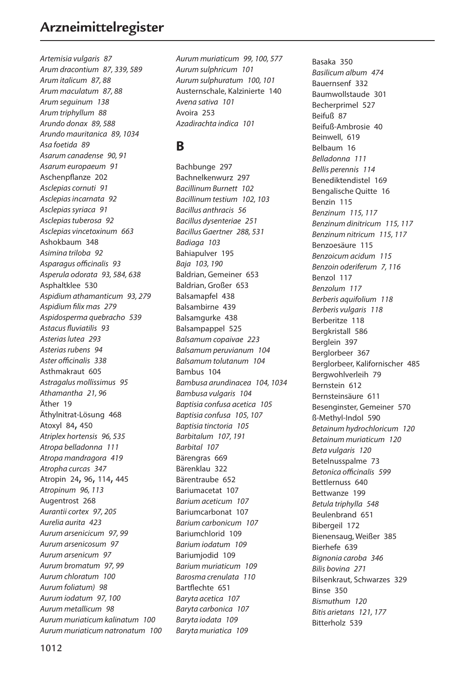# **Arzneimittelregister**

*Artemisia vulgaris 87 Arum dracontium 87, 339, 589 Arum italicum 87, 88 Arum maculatum 87, 88 Arum seguinum 138 Arum triphyllum 88 Arundo donax 89, 588 Arundo mauritanica 89, 1034 Asa foetida 89 Asarum canadense 90, 91 Asarum europaeum 91* Aschenpflanze 202 *Asclepias cornuti 91 Asclepias incarnata 92 Asclepias syriaca 91 Asclepias tuberosa 92 Asclepias vincetoxinum 663* Ashokbaum 348 *Asimina triloba 92 Asparagus officinalis 93 Asperula odorata 93, 584, 638* Asphaltklee 530 *Aspidium athamanticum 93, 279 Aspidium filix mas 279 Aspidosperma quebracho 539 Astacus fluviatilis 93 Asterias lutea 293 Asterias rubens 94 Aster officinalis 338* Asthmakraut 605 *Astragalus mollissimus 95 Athamantha 21, 96* Äther 19 Äthylnitrat-Lösung 468 Atoxyl 84, 450 *Atriplex hortensis 96, 535 Atropa belladonna 111 Atropa mandragora 419 Atropha curcas 347* Atropin 24, 96, 114, 445 *Atropinum 96, 113* Augentrost 268 *Aurantii cortex 97, 205 Aurelia aurita 423 Aurum arsenicicum 97, 99 Aurum arsenicosum 97 Aurum arsenicum 97 Aurum bromatum 97, 99 Aurum chloratum 100 Aurum foliatum) 98 Aurum iodatum 97, 100 Aurum metallicum 98 Aurum muriaticum kalinatum 100 Aurum muriaticum natronatum 100* *Aurum muriaticum 99, 100, 577 Aurum sulphricum 101 Aurum sulphuratum 100, 101* Austernschale, Kalzinierte 140 *Avena sativa 101* Avoira 253 *Azadirachta indica 101*

### **B**

Bachbunge 297 Bachnelkenwurz 297 *Bacillinum Burnett 102 Bacillinum testium 102, 103 Bacillus anthracis 56 Bacillus dysenteriae 251 Bacillus Gaertner 288, 531 Badiaga 103* Bahiapulver 195 *Baja 103, 190* Baldrian, Gemeiner 653 Baldrian, Großer 653 Balsamapfel 438 Balsambirne 439 Balsamgurke 438 Balsampappel 525 *Balsamum copaivae 223 Balsamum peruvianum 104 Balsamum tolutanum 104* Bambus 104 *Bambusa arundinacea 104, 1034 Bambusa vulgaris 104 Baptisia confusa acetica 105 Baptisia confusa 105, 107 Baptisia tinctoria 105 Barbitalum 107, 191 Barbital 107* Bärengras 669 Bärenklau 322 Bärentraube 652 Bariumacetat 107 *Barium aceticum 107* Bariumcarbonat 107 *Barium carbonicum 107* Bariumchlorid 109 *Barium iodatum 109* Bariumjodid 109 *Barium muriaticum 109 Barosma crenulata 110* Bartflechte 651 *Baryta acetica 107 Baryta carbonica 107 Baryta iodata 109 Baryta muriatica 109*

Basaka 350 *Basilicum album 474* Bauernsenf 332 Baumwollstaude 301 Becherprimel 527 Beifuß 87 Beifuß-Ambrosie 40 Beinwell, 619 Belbaum 16 *Belladonna 111 Bellis perennis 114* Benediktendistel 169 Bengalische Quitte 16 Benzin 115 *Benzinum 115, 117 Benzinum dinitricum 115, 117 Benzinum nitricum 115, 117* Benzoesäure 115 *Benzoicum acidum 115 Benzoin oderiferum 7, 116* Benzol 117 *Benzolum 117 Berberis aquifolium 118 Berberis vulgaris 118* Berberitze 118 Bergkristall 586 Berglein 397 Berglorbeer 367 Berglorbeer, Kalifornischer 485 Bergwohlverleih 79 Bernstein 612 Bernsteinsäure 611 Besenginster, Gemeiner 570 ß-Methyl-Indol 590 *Betainum hydrochloricum 120 Betainum muriaticum 120 Beta vulgaris 120* Betelnusspalme 73 *Betonica officinalis 599* Bettlernuss 640 Bettwanze 199 *Betula triphylla 548* Beulenbrand 651 Bibergeil 172 Bienensaug, Weißer 385 Bierhefe 639 *Bignonia caroba 346 Bilis bovina 271* Bilsenkraut, Schwarzes 329 Binse 350 *Bismuthum 120 Bitis arietans 121, 177* Bitterholz 539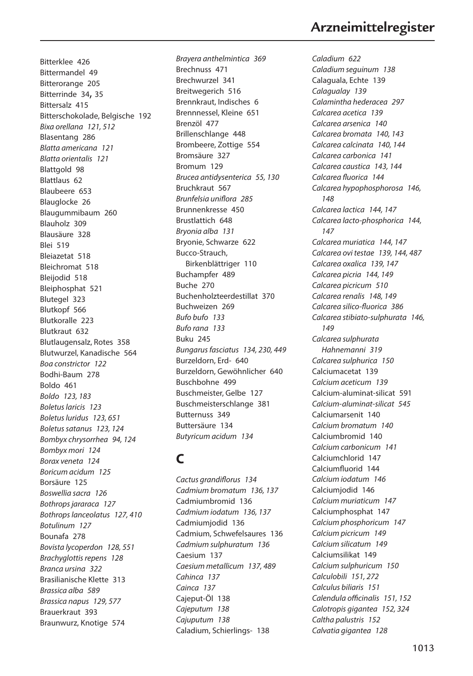Bitterklee 426 Bittermandel 49 Bitterorange 205 Bitterrinde 34, 35 Bittersalz 415 Bitterschokolade, Belgische 192 *Bixa orellana 121, 512* Blasentang 286 *Blatta americana 121 Blatta orientalis 121* Blattgold 98 Blattlaus 62 Blaubeere 653 Blauglocke 26 Blaugummibaum 260 Blauholz 309 Blausäure 328 Blei 519 Bleiazetat 518 Bleichromat 518 Bleijodid 518 Bleiphosphat 521 Blutegel 323 Blutkopf 566 Blutkoralle 223 Blutkraut 632 Blutlaugensalz, Rotes 358 Blutwurzel, Kanadische 564 *Boa constrictor 122* Bodhi-Baum 278 Boldo 461 *Boldo 123, 183 Boletus laricis 123 Boletus luridus 123, 651 Boletus satanus 123, 124 Bombyx chrysorrhea 94, 124 Bombyx mori 124 Borax veneta 124 Boricum acidum 125* Borsäure 125 *Boswellia sacra 126 Bothrops jararaca 127 Bothrops lanceolatus 127, 410 Botulinum 127* Bounafa 278 *Bovista lycoperdon 128, 551 Brachyglottis repens 128 Branca ursina 322* Brasilianische Klette 313 *Brassica alba 589 Brassica napus 129, 577* Brauerkraut 393 Braunwurz, Knotige 574

*Brayera anthelmintica 369* Brechnuss 471 Brechwurzel 341 Breitwegerich 516 Brennkraut, Indisches 6 Brennnessel, Kleine 651 Brenzöl 477 Brillenschlange 448 Brombeere, Zottige 554 Bromsäure 327 Bromum 129 *Brucea antidysenterica 55, 130* Bruchkraut 567 *Brunfelsia uniflora 285* Brunnenkresse 450 Brustlattich 648 *Bryonia alba 131* Bryonie, Schwarze 622 Bucco-Strauch, Birkenblättriger 110 Buchampfer 489 Buche 270 Buchenholzteerdestillat 370 Buchweizen 269 *Bufo bufo 133 Bufo rana 133* Buku 245 *Bungarus fasciatus 134, 230, 449* Burzeldorn, Erd- 640 Burzeldorn, Gewöhnlicher 640 Buschbohne 499 Buschmeister, Gelbe 127 Buschmeisterschlange 381 Butternuss 349 Buttersäure 134 *Butyricum acidum 134*

# **C**

*Cactus grandiflorus 134 Cadmium bromatum 136, 137* Cadmiumbromid 136 *Cadmium iodatum 136, 137* Cadmiumjodid 136 Cadmium, Schwefelsaures 136 *Cadmium sulphuratum 136* Caesium 137 *Caesium metallicum 137, 489 Cahinca 137 Cainca 137* Cajeput-Öl 138 *Cajeputum 138 Cajuputum 138* Caladium, Schierlings- 138

# **Arzneimittelregister**

*Caladium 622 Caladium seguinum 138* Calaguala, Echte 139 *Calagualay 139 Calamintha hederacea 297 Calcarea acetica 139 Calcarea arsenica 140 Calcarea bromata 140, 143 Calcarea calcinata 140, 144 Calcarea carbonica 141 Calcarea caustica 143, 144 Calcarea fluorica 144 Calcarea hypophosphorosa 146, 148 Calcarea lactica 144, 147 Calcarea lacto-phosphorica 144, 147 Calcarea muriatica 144, 147 Calcarea ovi testae 139, 144, 487 Calcarea oxalica 139, 147 Calcarea picria 144, 149 Calcarea picricum 510 Calcarea renalis 148, 149 Calcarea silico-fluorica 386 Calcarea stibiato-sulphurata 146, 149 Calcarea sulphurata Hahnemanni 319 Calcarea sulphurica 150* Calciumacetat 139 *Calcium aceticum 139* Calcium-aluminat-silicat 591 *Calcium-aluminat-silicat 545* Calciumarsenit 140 *Calcium bromatum 140* Calciumbromid 140 *Calcium carbonicum 141* Calciumchlorid 147 Calciumfluorid 144 *Calcium iodatum 146* Calciumjodid 146 *Calcium muriaticum 147* Calciumphosphat 147 *Calcium phosphoricum 147 Calcium picricum 149 Calcium silicatum 149* Calciumsilikat 149 *Calcium sulphuricum 150 Calculobili 151, 272 Calculus biliaris 151 Calendula officinalis 151, 152 Calotropis gigantea 152, 324 Caltha palustris 152 Calvatia gigantea 128*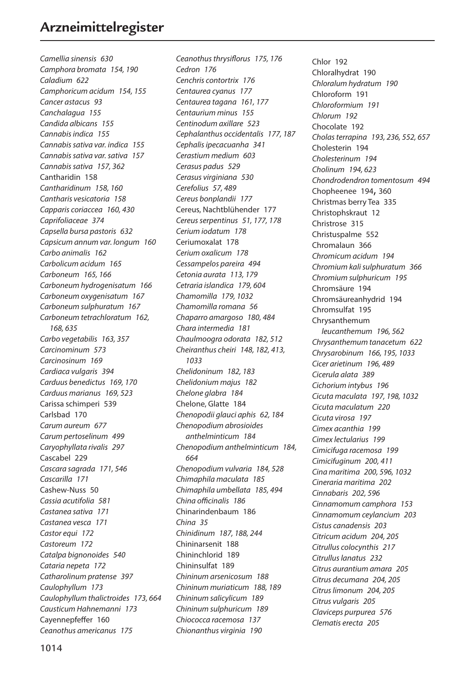*Camellia sinensis 630 Camphora bromata 154, 190 Caladium 622 Camphoricum acidum 154, 155 Cancer astacus 93 Canchalagua 155 Candida albicans 155 Cannabis indica 155 Cannabis sativa var. indica 155 Cannabis sativa var. sativa 157 Cannabis sativa 157, 362* Cantharidin 158 *Cantharidinum 158, 160 Cantharis vesicatoria 158 Capparis coriaccea 160, 430 Caprifoliaceae 374 Capsella bursa pastoris 632 Capsicum annum var. longum 160 Carbo animalis 162 Carbolicum acidum 165 Carboneum 165, 166 Carboneum hydrogenisatum 166 Carboneum oxygenisatum 167 Carboneum sulphuratum 167 Carboneum tetrachloratum 162, 168, 635 Carbo vegetabilis 163, 357 Carcinominum 573 Carcinosinum 169 Cardiaca vulgaris 394 Carduus benedictus 169, 170 Carduus marianus 169, 523* Carissa schimperi 539 Carlsbad 170 *Carum aureum 677 Carum pertoselinum 499 Caryophyllata rivalis 297* Cascabel 229 *Cascara sagrada 171, 546 Cascarilla 171* Cashew-Nuss 50 *Cassia acutifolia 581 Castanea sativa 171 Castanea vesca 171 Castor equi 172 Castoreum 172 Catalpa bignonoides 540 Cataria nepeta 172 Catharolinum pratense 397 Caulophyllum 173 Caulophyllum thalictroides 173, 664 Causticum Hahnemanni 173* Cayennepfeffer 160 *Ceanothus americanus 175*

*Ceanothus thrysiflorus 175, 176 Cedron 176 Cenchris contortrix 176 Centaurea cyanus 177 Centaurea tagana 161, 177 Centaurium minus 155 Centinodum axillare 523 Cephalanthus occidentalis 177, 187 Cephalis ipecacuanha 341 Cerastium medium 603 Cerasus padus 529 Cerasus virginiana 530 Cerefolius 57, 489 Cereus bonplandii 177* Cereus, Nachtblühender 177 *Cereus serpentinus 51, 177, 178 Cerium iodatum 178* Ceriumoxalat 178 *Cerium oxalicum 178 Cessampelos pareira 494 Cetonia aurata 113, 179 Cetraria islandica 179, 604 Chamomilla 179, 1032 Chamomilla romana 56 Chaparro amargoso 180, 484 Chara intermedia 181 Chaulmoogra odorata 182, 512 Cheiranthus cheiri 148, 182, 413, 1033 Chelidoninum 182, 183 Chelidonium majus 182 Chelone glabra 184* Chelone, Glatte 184 *Chenopodii glauci aphis 62, 184 Chenopodium abrosioides anthelminticum 184 Chenopodium anthelminticum 184, 664 Chenopodium vulvaria 184, 528 Chimaphila maculata 185 Chimaphila umbellata 185, 494 China officinalis 186* Chinarindenbaum 186 *China 35 Chinidinum 187, 188, 244* Chininarsenit 188 Chininchlorid 189 Chininsulfat 189 *Chininum arsenicosum 188 Chininum muriaticum 188, 189 Chininum salicylicum 189 Chininum sulphuricum 189 Chiococca racemosa 137 Chionanthus virginia 190*

Chlor 192 Chloralhydrat 190 *Chloralum hydratum 190* Chloroform 191 *Chloroformium 191 Chlorum 192* Chocolate 192 *Cholas terrapina 193, 236, 552, 657* Cholesterin 194 *Cholesterinum 194 Cholinum 194, 623 Chondrodendron tomentosum 494* Chopheenee 194, 360 Christmas berry Tea 335 Christophskraut 12 Christrose 315 Christuspalme 552 Chromalaun 366 *Chromicum acidum 194 Chromium kali sulphuratum 366 Chromium sulphuricum 195* Chromsäure 194 Chromsäureanhydrid 194 Chromsulfat 195 Chrysanthemum *leucanthemum 196, 562 Chrysanthemum tanacetum 622 Chrysarobinum 166, 195, 1033 Cicer arietinum 196, 489 Cicerula alata 389 Cichorium intybus 196 Cicuta maculata 197, 198, 1032 Cicuta maculatum 220 Cicuta virosa 197 Cimex acanthia 199 Cimex lectularius 199 Cimicifuga racemosa 199 Cimicifuginum 200, 411 Cina maritima 200, 596, 1032 Cineraria maritima 202 Cinnabaris 202, 596 Cinnamomum camphora 153 Cinnamomum ceylancium 203 Cistus canadensis 203 Citricum acidum 204, 205 Citrullus colocynthis 217 Citrullus lanatus 232 Citrus aurantium amara 205 Citrus decumana 204, 205 Citrus limonum 204, 205 Citrus vulgaris 205 Claviceps purpurea 576 Clematis erecta 205*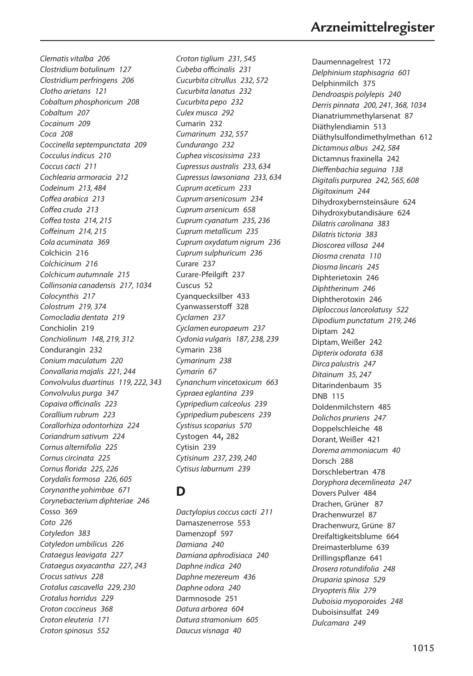*Clematis vitalba 206 Clostridium botulinum 127 Clostridium perfringens 206 Clotho arietans 121 Cobaltum phosphoricum 208 Cobaltum 207 Cocainum 209 Coca 208 Coccinella septempunctata 209 Cocculus indicus 210 Coccus cacti 211 Cochlearia armoracia 212 Codeinum 213, 484 Coffea arabica 213 Coffea cruda 213 Coffea tosta 214, 215 Coffeinum 214, 215 Cola acuminata 369* Colchicin 216 *Colchicinum 216 Colchicum autumnale 215 Collinsonia canadensis 217, 1034 Colocynthis 217 Colostrum 219, 374 Comocladia dentata 219* Conchiolin 219 *Conchiolinum 148, 219, 312* Condurangin 232 *Conium maculatum 220 Convallaria majalis 221, 244 Convolvulus duartinus 119, 222, 343 Convolvulus purga 347 Copaiva officinalis 223 Corallium rubrum 223 Corallorhiza odontorhiza 224 Coriandrum sativum 224 Cornus alternifolia 225 Cornus circinata 225 Cornus florida 225, 226 Corydalis formosa 226, 605 Corynanthe yohimbae 671 Corynebacterium diphteriae 246* Cosso 369 *Coto 226 Cotyledon 383 Cotyledon umbilicus 226 Crataegus leavigata 227 Crataegus oxyacantha 227, 243 Crocus sativus 228 Crotalus cascavella 229, 230 Crotalus horridus 229 Croton coccineus 368 Croton eleuteria 171 Croton spinosus 552*

*Croton tiglium 231, 545 Cubeba officinalis 231 Cucurbita citrullus 232, 572 Cucurbita lanatus 232 Cucurbita pepo 232 Culex musca 292* Cumarin 232 *Cumarinum 232, 557 Cundurango 232 Cuphea viscosissima 233 Cupressus australis 233, 634 Cupressus lawsoniana 233, 634 Cuprum aceticum 233 Cuprum arsenicosum 234 Cuprum arsenicum 658 Cuprum cyanatum 235, 236 Cuprum metallicum 235 Cuprum oxydatum nigrum 236 Cuprum sulphuricum 236* Curare 237 Curare-Pfeilgift 237 Cuscus 52 Cyanquecksilber 433 Cyanwasserstoff 328 *Cyclamen 237 Cyclamen europaeum 237 Cydonia vulgaris 187, 238, 239* Cymarin 238 *Cymarinum 238 Cymarin 67 Cynanchum vincetoxicum 663 Cypraea eglantina 239 Cypripedium calceolus 239 Cypripedium pubescens 239 Cystisus scoparius 570* Cystogen 44, 282 Cytisin 239 *Cytisinum 237, 239, 240 Cytisus laburnum 239*

### **D**

*Dactylopius coccus cacti 211* Damaszenerrose 553 Damenzopf 597 *Damiana 240 Damiana aphrodisiaca 240 Daphne indica 240 Daphne mezereum 436 Daphne odora 240* Darmnosode 251 *Datura arborea 604 Datura stramonium 605 Daucus visnaga 40*

Daumennagelrest 172 *Delphinium staphisagria 601* Delphinmilch 375 *Dendroaspis polylepis 240 Derris pinnata 200, 241, 368, 1034* Dianatriummethylarsenat 87 Diäthylendiamin 513 Diäthylsulfondimethylmethan 612 *Dictamnus albus 242, 584* Dictamnus fraxinella 242 *Dieffenbachia seguina 138 Digitalis purpurea 242, 565, 608 Digitoxinum 244* Dihydroxybernsteinsäure 624 Dihydroxybutandisäure 624 *Dilatris carolinana 383 Dilatris tictoria 383 Dioscorea villosa 244 Diosma crenata 110 Diosma lincaris 245* Diphterietoxin 246 *Diphtherinum 246* Diphtherotoxin 246 *Diploccous lanceolatusy 522 Dipodium punctatum 219, 246* Diptam 242 Diptam, Weißer 242 *Dipterix odorata 638 Dirca palustris 247 Ditainum 35, 247* Ditarindenbaum 35 DNB 115 Doldenmilchstern 485 *Dolichos pruriens 247* Doppelschleiche 48 Dorant, Weißer 421 *Dorema ammoniacum 40* Dorsch 288 Dorschlebertran 478 *Doryphora decemlineata 247* Dovers Pulver 484 Drachen, Grüner 87 Drachenwurzel 87 Drachenwurz, Grüne 87 Dreifaltigkeitsblume 664 Dreimasterblume 639 Drillingspflanze 641 *Drosera rotundifolia 248 Druparia spinosa 529 Dryopteris filix 279 Duboisia myoporoides 248* Duboisinsulfat 249 *Dulcamara 249*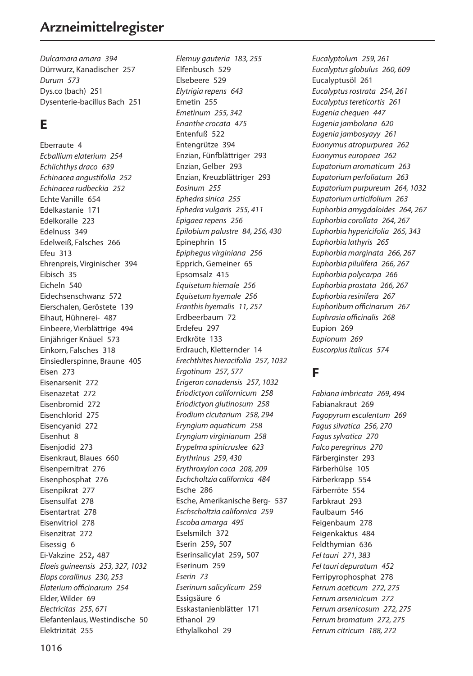# **Arzneimittelregister**

*Dulcamara amara 394* Dürrwurz, Kanadischer 257 *Durum 573* Dys.co (bach) 251 Dysenterie-bacillus Bach 251

### **E**

Eberraute 4 *Ecballium elaterium 254 Echiichthys draco 639 Echinacea angustifolia 252 Echinacea rudbeckia 252* Echte Vanille 654 Edelkastanie 171 Edelkoralle 223 Edelnuss 349 Edelweiß, Falsches 266 Efeu 313 Ehrenpreis, Virginischer 394 Eibisch 35 Eicheln 540 Eidechsenschwanz 572 Eierschalen, Geröstete 139 Eihaut, Hühnerei- 487 Einbeere, Vierblättrige 494 Einjähriger Knäuel 573 Einkorn, Falsches 318 Einsiedlerspinne, Braune 405 Eisen 273 Eisenarsenit 272 Eisenazetat 272 Eisenbromid 272 Eisenchlorid 275 Eisencyanid 272 Eisenhut 8 Eisenjodid 273 Eisenkraut, Blaues 660 Eisenpernitrat 276 Eisenphosphat 276 Eisenpikrat 277 Eisensulfat 278 Eisentartrat 278 Eisenvitriol 278 Eisenzitrat 272 Eisessig 6 Ei-Vakzine 252, 487 *Elaeis guineensis 253, 327, 1032 Elaps corallinus 230, 253 Elaterium officinarum 254* Elder, Wilder 69 *Electricitas 255, 671* Elefantenlaus, Westindische 50 Elektrizität 255

*Elemuy gauteria 183, 255* Elfenbusch 529 Elsebeere 529 *Elytrigia repens 643* Emetin 255 *Emetinum 255, 342 Enanthe crocata 475* Entenfuß 522 Entengrütze 394 Enzian, Fünfblättriger 293 Enzian, Gelber 293 Enzian, Kreuzblättriger 293 *Eosinum 255 Ephedra sinica 255 Ephedra vulgaris 255, 411 Epigaea repens 256 Epilobium palustre 84, 256, 430* Epinephrin 15 *Epiphegus virginiana 256* Epprich, Gemeiner 65 Epsomsalz 415 *Equisetum hiemale 256 Equisetum hyemale 256 Eranthis hyemalis 11, 257* Erdbeerbaum 72 Erdefeu 297 Erdkröte 133 Erdrauch, Kletternder 14 *Erechthites hieracifolia 257, 1032 Ergotinum 257, 577 Erigeron canadensis 257, 1032 Eriodictyon californicum 258 Eriodictyon glutinosum 258 Erodium cicutarium 258, 294 Eryngium aquaticum 258 Eryngium virginianum 258 Erypelma spinicruslee 623 Erythrinus 259, 430 Erythroxylon coca 208, 209 Eschcholtzia californica 484* Esche 286 Esche, Amerikanische Berg- 537 *Eschscholtzia californica 259 Escoba amarga 495* Eselsmilch 372 Eserin 259, 507 Eserinsalicylat 259, 507 Eserinum 259 *Eserin 73 Eserinum salicylicum 259* Essigsäure 6 Esskastanienblätter 171 Ethanol 29 Ethylalkohol 29

*Eucalyptolum 259, 261 Eucalyptus globulus 260, 609* Eucalyptusöl 261 *Eucalyptus rostrata 254, 261 Eucalyptus tereticortis 261 Eugenia chequen 447 Eugenia jambolana 620 Eugenia jambosyayy 261 Euonymus atropurpurea 262 Euonymus europaea 262 Eupatorium aromaticum 263 Eupatorium perfoliatum 263 Eupatorium purpureum 264, 1032 Eupatorium urticifolium 263 Euphorbia amygdaloides 264, 267 Euphorbia corollata 264, 267 Euphorbia hypericifolia 265, 343 Euphorbia lathyris 265 Euphorbia marginata 266, 267 Euphorbia pilulifera 266, 267 Euphorbia polycarpa 266 Euphorbia prostata 266, 267 Euphorbia resinifera 267 Euphoribum officinarum 267 Euphrasia officinalis 268* Eupion 269 *Eupionum 269 Euscorpius italicus 574*

### **F**

*Fabiana imbricata 269, 494* Fabianakraut 269 *Fagopyrum esculentum 269 Fagus silvatica 256, 270 Fagus sylvatica 270 Falco peregrinus 270* Färberginster 293 Färberhülse 105 Färberkrapp 554 Färberröte 554 Farbkraut 293 Faulbaum 546 Feigenbaum 278 Feigenkaktus 484 Feldthymian 636 *Fel tauri 271, 383 Fel tauri depuratum 452* Ferripyrophosphat 278 *Ferrum aceticum 272, 275 Ferrum arsenicicum 272 Ferrum arsenicosum 272, 275 Ferrum bromatum 272, 275 Ferrum citricum 188, 272*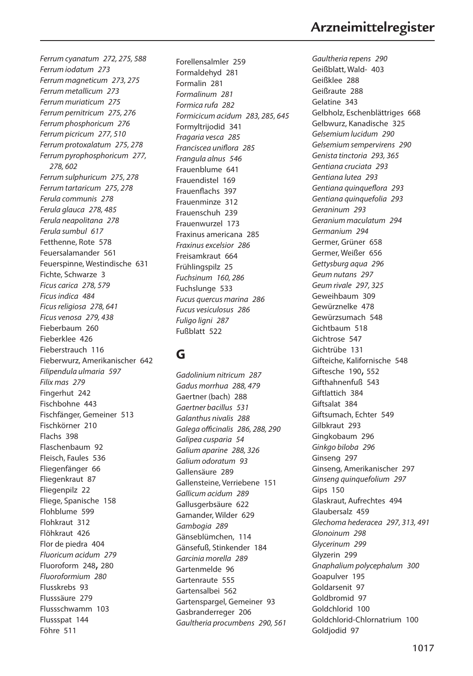*Ferrum cyanatum 272, 275, 588 Ferrum iodatum 273 Ferrum magneticum 273, 275 Ferrum metallicum 273 Ferrum muriaticum 275 Ferrum pernitricum 275, 276 Ferrum phosphoricum 276 Ferrum picricum 277, 510 Ferrum protoxalatum 275, 278 Ferrum pyrophosphoricum 277, 278, 602 Ferrum sulphuricum 275, 278 Ferrum tartaricum 275, 278 Ferula communis 278 Ferula glauca 278, 485 Ferula neapolitana 278 Ferula sumbul 617* Fetthenne, Rote 578 Feuersalamander 561 Feuerspinne, Westindische 631 Fichte, Schwarze 3 *Ficus carica 278, 579 Ficus indica 484 Ficus religiosa 278, 641 Ficus venosa 279, 438* Fieberbaum 260 Fieberklee 426 Fieberstrauch 116 Fieberwurz, Amerikanischer 642 *Filipendula ulmaria 597 Filix mas 279* Fingerhut 242 Fischbohne 443 Fischfänger, Gemeiner 513 Fischkörner 210 Flachs 398 Flaschenbaum 92 Fleisch, Faules 536 Fliegenfänger 66 Fliegenkraut 87 Fliegenpilz 22 Fliege, Spanische 158 Flohblume 599 Flohkraut 312 Flöhkraut 426 Flor de piedra 404 *Fluoricum acidum 279* Fluoroform 248, 280 *Fluoroformium 280* Flusskrebs 93 Flusssäure 279 Flussschwamm 103 Flussspat 144 Föhre 511

Forellensalmler 259 Formaldehyd 281 Formalin 281 *Formalinum 281 Formica rufa 282 Formicicum acidum 283, 285, 645* Formyltrijodid 341 *Fragaria vesca 285 Franciscea uniflora 285 Frangula alnus 546* Frauenblume 641 Frauendistel 169 Frauenflachs 397 Frauenminze 312 Frauenschuh 239 Frauenwurzel 173 Fraxinus americana 285 *Fraxinus excelsior 286* Freisamkraut 664 Frühlingspilz 25 *Fuchsinum 160, 286* Fuchslunge 533 *Fucus quercus marina 286 Fucus vesiculosus 286 Fuligo ligni 287* Fußblatt 522

# **G**

*Gadolinium nitricum 287 Gadus morrhua 288, 479* Gaertner (bach) 288 *Gaertner bacillus 531 Galanthus nivalis 288 Galega officinalis 286, 288, 290 Galipea cusparia 54 Galium aparine 288, 326 Galium odoratum 93* Gallensäure 289 Gallensteine, Verriebene 151 *Gallicum acidum 289* Gallusgerbsäure 622 Gamander, Wilder 629 *Gambogia 289* Gänseblümchen, 114 Gänsefuß, Stinkender 184 *Garcinia morella 289* Gartenmelde 96 Gartenraute 555 Gartensalbei 562 Gartenspargel, Gemeiner 93 Gasbranderreger 206 *Gaultheria procumbens 290, 561*

# **Arzneimittelregister**

*Gaultheria repens 290* Geißblatt, Wald- 403 Geißklee 288 Geißraute 288 Gelatine 343 Gelbholz, Eschenblättriges 668 Gelbwurz, Kanadische 325 *Gelsemium lucidum 290 Gelsemium sempervirens 290 Genista tinctoria 293, 365 Gentiana cruciata 293 Gentiana lutea 293 Gentiana quinqueflora 293 Gentiana quinquefolia 293 Geraninum 293 Geranium maculatum 294 Germanium 294* Germer, Grüner 658 Germer, Weißer 656 *Gettysburg aqua 296 Geum nutans 297 Geum rivale 297, 325* Geweihbaum 309 Gewürznelke 478 Gewürzsumach 548 Gichtbaum 518 Gichtrose 547 Gichtrübe 131 Gifteiche, Kalifornische 548 Giftesche 190, 552 Gifthahnenfuß 543 Giftlattich 384 Giftsalat 384 Giftsumach, Echter 549 Gilbkraut 293 Gingkobaum 296 *Ginkgo biloba 296* Ginseng 297 Ginseng, Amerikanischer 297 *Ginseng quinquefolium 297* Gips 150 Glaskraut, Aufrechtes 494 Glaubersalz 459 *Glechoma hederacea 297, 313, 491 Glonoinum 298 Glycerinum 299* Glyzerin 299 *Gnaphalium polycephalum 300* Goapulver 195 Goldarsenit 97 Goldbromid 97 Goldchlorid 100 Goldchlorid-Chlornatrium 100 Goldjodid 97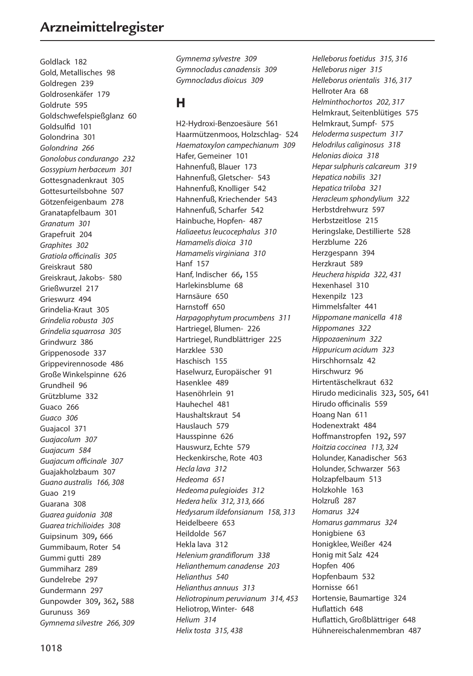# **Arzneimittelregister**

Goldlack 182 Gold, Metallisches 98 Goldregen 239 Goldrosenkäfer 179 Goldrute 595 Goldschwefelspießglanz 60 Goldsulfid 101 Golondrina 301 *Golondrina 266 Gonolobus condurango 232 Gossypium herbaceum 301* Gottesgnadenkraut 305 Gottesurteilsbohne 507 Götzenfeigenbaum 278 Granatapfelbaum 301 *Granatum 301* Grapefruit 204 *Graphites 302 Gratiola officinalis 305* Greiskraut 580 Greiskraut, Jakobs- 580 Grießwurzel 217 Grieswurz 494 Grindelia-Kraut 305 *Grindelia robusta 305 Grindelia squarrosa 305* Grindwurz 386 Grippenosode 337 Grippevirennosode 486 Große Winkelspinne 626 Grundheil 96 Grützblume 332 Guaco 266 *Guaco 306* Guajacol 371 *Guajacolum 307 Guajacum 584 Guajacum officinale 307* Guajakholzbaum 307 *Guano australis 166, 308* Guao 219 Guarana 308 *Guarea guidonia 308 Guarea trichilioides 308* Guipsinum 309, 666 Gummibaum, Roter 54 Gummi gutti 289 Gummiharz 289 Gundelrebe 297 Gundermann 297 Gunpowder 309, 362, 588 Gurunuss 369 *Gymnema silvestre 266, 309*

*Gymnema sylvestre 309 Gymnocladus canadensis 309 Gymnocladus dioicus 309*

### **H**

H2-Hydroxi-Benzoesäure 561 Haarmützenmoos, Holzschlag- 524 *Haematoxylon campechianum 309* Hafer, Gemeiner 101 Hahnenfuß, Blauer 173 Hahnenfuß, Gletscher- 543 Hahnenfuß, Knolliger 542 Hahnenfuß, Kriechender 543 Hahnenfuß, Scharfer 542 Hainbuche, Hopfen- 487 *Haliaeetus leucocephalus 310 Hamamelis dioica 310 Hamamelis virginiana 310* Hanf 157 Hanf, Indischer 66, 155 Harlekinsblume 68 Harnsäure 650 Harnstoff 650 *Harpagophytum procumbens 311* Hartriegel, Blumen- 226 Hartriegel, Rundblättriger 225 Harzklee 530 Haschisch 155 Haselwurz, Europäischer 91 Hasenklee 489 Hasenöhrlein 91 Hauhechel 481 Haushaltskraut 54 Hauslauch 579 Hausspinne 626 Hauswurz, Echte 579 Heckenkirsche, Rote 403 *Hecla lava 312 Hedeoma 651 Hedeoma pulegioides 312 Hedera helix 312, 313, 666 Hedysarum ildefonsianum 158, 313* Heidelbeere 653 Heildolde 567 Hekla lava 312 *Helenium grandiflorum 338 Helianthemum canadense 203 Helianthus 540 Helianthus annuus 313 Heliotropinum peruvianum 314, 453* Heliotrop, Winter- 648 *Helium 314 Helix tosta 315, 438*

*Helleborus foetidus 315, 316 Helleborus niger 315 Helleborus orientalis 316, 317* Hellroter Ara 68 *Helminthochortos 202, 317* Helmkraut, Seitenblütiges 575 Helmkraut, Sumpf- 575 *Heloderma suspectum 317 Helodrilus caliginosus 318 Helonias dioica 318 Hepar sulphuris calcareum 319 Hepatica nobilis 321 Hepatica triloba 321 Heracleum sphondylium 322* Herbstdrehwurz 597 Herbstzeitlose 215 Heringslake, Destillierte 528 Herzblume 226 Herzgespann 394 Herzkraut 589 *Heuchera hispida 322, 431* Hexenhasel 310 Hexenpilz 123 Himmelsfalter 441 *Hippomane manicella 418 Hippomanes 322 Hippozaeninum 322 Hippuricum acidum 323* Hirschhornsalz 42 Hirschwurz 96 Hirtentäschelkraut 632 Hirudo medicinalis 323, 505, 641 Hirudo officinalis 559 Hoang Nan 611 Hodenextrakt 484 Hoffmanstropfen 192, 597 *Hoitzia coccinea 113, 324* Holunder, Kanadischer 563 Holunder, Schwarzer 563 Holzapfelbaum 513 Holzkohle 163 Holzruß 287 *Homarus 324 Homarus gammarus 324* Honigbiene 63 Honigklee, Weißer 424 Honig mit Salz 424 Hopfen 406 Hopfenbaum 532 Hornisse 661 Hortensie, Baumartige 324 Huflattich 648 Huflattich, Großblättriger 648 Hühnereischalenmembran 487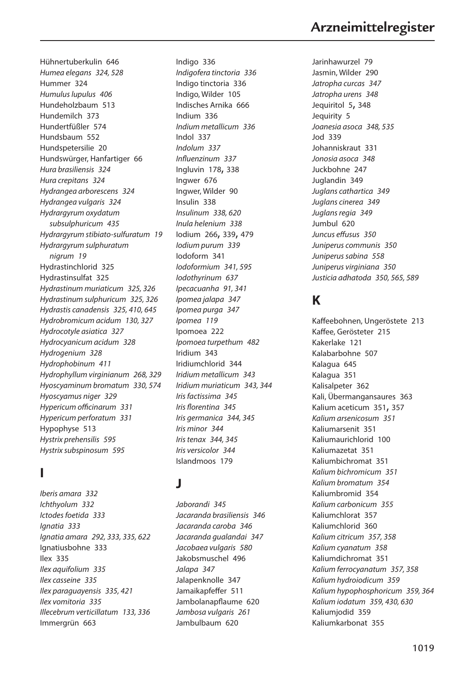Hühnertuberkulin 646 *Humea elegans 324, 528* Hummer 324 *Humulus lupulus 406* Hundeholzbaum 513 Hundemilch 373 Hundertfüßler 574 Hundsbaum 552 Hundspetersilie 20 Hundswürger, Hanfartiger 66 *Hura brasiliensis 324 Hura crepitans 324 Hydrangea arborescens 324 Hydrangea vulgaris 324 Hydrargyrum oxydatum subsulphuricum 435 Hydrargyrum stibiato-sulfuratum 19 Hydrargyrum sulphuratum nigrum 19* Hydrastinchlorid 325 Hydrastinsulfat 325 *Hydrastinum muriaticum 325, 326 Hydrastinum sulphuricum 325, 326 Hydrastis canadensis 325, 410, 645 Hydrobromicum acidum 130, 327 Hydrocotyle asiatica 327 Hydrocyanicum acidum 328 Hydrogenium 328 Hydrophobinum 411 Hydrophyllum virginianum 268, 329 Hyoscyaminum bromatum 330, 574 Hyoscyamus niger 329 Hypericum officinarum 331 Hypericum perforatum 331* Hypophyse 513 *Hystrix prehensilis 595 Hystrix subspinosum 595*

### **I**

*Iberis amara 332 Ichthyolum 332 Ictodes foetida 333 Ignatia 333 Ignatia amara 292, 333, 335, 622* Ignatiusbohne 333 Ilex 335 *Ilex aquifolium 335 Ilex casseine 335 Ilex paraguayensis 335, 421 Ilex vomitoria 335 Illecebrum verticillatum 133, 336* Immergrün 663

Indigo 336 *Indigofera tinctoria 336* Indigo tinctoria 336 Indigo, Wilder 105 Indisches Arnika 666 Indium 336 *Indium metallicum 336* Indol 337 *Indolum 337 Influenzinum 337* Ingluvin 178, 338 Ingwer 676 Ingwer, Wilder 90 Insulin 338 *Insulinum 338, 620 Inula helenium 338* Iodium 266, 339, 479 *Iodium purum 339* Iodoform 341 *Iodoformium 341, 595 Iodothyrinum 637 Ipecacuanha 91, 341 Ipomea jalapa 347 Ipomea purga 347 Ipomea 119* Ipomoea 222 *Ipomoea turpethum 482* Iridium 343 Iridiumchlorid 344 *Iridium metallicum 343 Iridium muriaticum 343, 344 Iris factissima 345 Iris florentina 345 Iris germanica 344, 345 Iris minor 344 Iris tenax 344, 345 Iris versicolor 344* Islandmoos 179

#### **J**

*Jaborandi 345 Jacaranda brasiliensis 346 Jacaranda caroba 346 Jacaranda gualandai 347 Jacobaea vulgaris 580* Jakobsmuschel 496 *Jalapa 347* Jalapenknolle 347 Jamaikapfeffer 511 Jambolanapflaume 620 *Jambosa vulgaris 261* Jambulbaum 620

Jarinhawurzel 79 Jasmin, Wilder 290 *Jatropha curcas 347 Jatropha urens 348* Jequiritol 5, 348 Jequirity 5 *Joanesia asoca 348, 535* Jod 339 Johanniskraut 331 *Jonosia asoca 348* Juckbohne 247 Juglandin 349 *Juglans cathartica 349 Juglans cinerea 349 Juglans regia 349* Jumbul 620 *Juncus effusus 350 Juniperus communis 350 Juniperus sabina 558 Juniperus virginiana 350 Justicia adhatoda 350, 565, 589*

# **K**

Kaffeebohnen, Ungeröstete 213 Kaffee, Gerösteter 215 Kakerlake 121 Kalabarbohne 507 Kalagua 645 Kalagua 351 Kalisalpeter 362 Kali, Übermangansaures 363 Kalium aceticum 351, 357 *Kalium arsenicosum 351* Kaliumarsenit 351 Kaliumaurichlorid 100 Kaliumazetat 351 Kaliumbichromat 351 *Kalium bichromicum 351 Kalium bromatum 354* Kaliumbromid 354 *Kalium carbonicum 355* Kaliumchlorat 357 Kaliumchlorid 360 *Kalium citricum 357, 358 Kalium cyanatum 358* Kaliumdichromat 351 *Kalium ferrocyanatum 357, 358 Kalium hydroiodicum 359 Kalium hypophosphoricum 359, 364 Kalium iodatum 359, 430, 630* Kaliumjodid 359 Kaliumkarbonat 355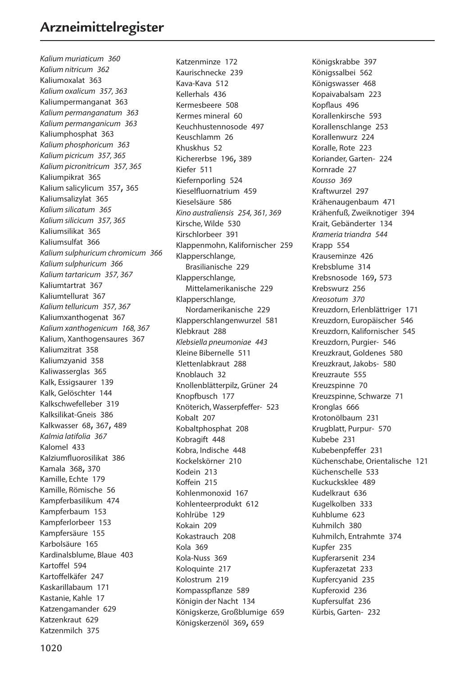*Kalium muriaticum 360 Kalium nitricum 362* Kaliumoxalat 363 *Kalium oxalicum 357, 363* Kaliumpermanganat 363 *Kalium permanganatum 363 Kalium permanganicum 363* Kaliumphosphat 363 *Kalium phosphoricum 363 Kalium picricum 357, 365 Kalium picronitricum 357, 365* Kaliumpikrat 365 Kalium salicylicum 357, 365 Kaliumsalizylat 365 *Kalium silicatum 365 Kalium silicicum 357, 365* Kaliumsilikat 365 Kaliumsulfat 366 *Kalium sulphuricum chromicum 366 Kalium sulphuricum 366 Kalium tartaricum 357, 367* Kaliumtartrat 367 Kaliumtellurat 367 *Kalium telluricum 357, 367* Kaliumxanthogenat 367 *Kalium xanthogenicum 168, 367* Kalium, Xanthogensaures 367 Kaliumzitrat 358 Kaliumzyanid 358 Kaliwasserglas 365 Kalk, Essigsaurer 139 Kalk, Gelöschter 144 Kalkschwefelleber 319 Kalksilikat-Gneis 386 Kalkwasser 68, 367, 489 *Kalmia latifolia 367* Kalomel 433 Kalziumfluorosilikat 386 Kamala 368, 370 Kamille, Echte 179 Kamille, Römische 56 Kampferbasilikum 474 Kampferbaum 153 Kampferlorbeer 153 Kampfersäure 155 Karbolsäure 165 Kardinalsblume, Blaue 403 Kartoffel 594 Kartoffelkäfer 247 Kaskarillabaum 171 Kastanie, Kahle 17 Katzengamander 629 Katzenkraut 629 Katzenmilch 375

Katzenminze 172 Kaurischnecke 239 Kava-Kava 512 Kellerhals 436 Kermesbeere 508 Kermes mineral 60 Keuchhustennosode 497 Keuschlamm 26 Khuskhus 52 Kichererbse 196, 389 Kiefer 511 Kiefernporling 524 Kieselfluornatrium 459 Kieselsäure 586 *Kino australiensis 254, 361, 369* Kirsche, Wilde 530 Kirschlorbeer 391 Klappenmohn, Kalifornischer 259 Klapperschlange, Brasilianische 229 Klapperschlange, Mittelamerikanische 229 Klapperschlange, Nordamerikanische 229 Klapperschlangenwurzel 581 Klebkraut 288 *Klebsiella pneumoniae 443* Kleine Bibernelle 511 Klettenlabkraut 288 Knoblauch 32 Knollenblätterpilz, Grüner 24 Knopfbusch 177 Knöterich, Wasserpfeffer- 523 Kobalt 207 Kobaltphosphat 208 Kobragift 448 Kobra, Indische 448 Kockelskörner 210 Kodein 213 Koffein 215 Kohlenmonoxid 167 Kohlenteerprodukt 612 Kohlrübe 129 Kokain 209 Kokastrauch 208 Kola 369 Kola-Nuss 369 Koloquinte 217 Kolostrum 219 Kompasspflanze 589 Königin der Nacht 134 Königskerze, Großblumige 659 Königskerzenöl 369, 659

Königskrabbe 397 Königssalbei 562 Königswasser 468 Kopaivabalsam 223 Kopflaus 496 Korallenkirsche 593 Korallenschlange 253 Korallenwurz 224 Koralle, Rote 223 Koriander, Garten- 224 Kornrade 27 *Kousso 369* Kraftwurzel 297 Krähenaugenbaum 471 Krähenfuß, Zweiknotiger 394 Krait, Gebänderter 134 *Krameria triandra 544* Krapp 554 Krauseminze 426 Krebsblume 314 Krebsnosode 169, 573 Krebswurz 256 *Kreosotum 370* Kreuzdorn, Erlenblättriger 171 Kreuzdorn, Europäischer 546 Kreuzdorn, Kalifornischer 545 Kreuzdorn, Purgier- 546 Kreuzkraut, Goldenes 580 Kreuzkraut, Jakobs- 580 Kreuzraute 555 Kreuzspinne 70 Kreuzspinne, Schwarze 71 Kronglas 666 Krotonölbaum 231 Krugblatt, Purpur- 570 Kubebe 231 Kubebenpfeffer 231 Küchenschabe, Orientalische 121 Küchenschelle 533 Kuckucksklee 489 Kudelkraut 636 Kugelkolben 333 Kuhblume 623 Kuhmilch 380 Kuhmilch, Entrahmte 374 Kupfer 235 Kupferarsenit 234 Kupferazetat 233 Kupfercyanid 235 Kupferoxid 236 Kupfersulfat 236 Kürbis, Garten- 232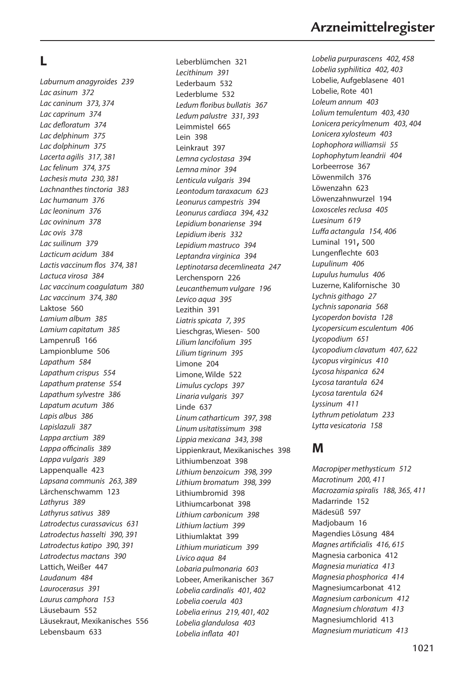### **L**

*Laburnum anagyroides 239 Lac asinum 372 Lac caninum 373, 374 Lac caprinum 374 Lac defloratum 374 Lac delphinum 375 Lac dolphinum 375 Lacerta agilis 317, 381 Lac felinum 374, 375 Lachesis muta 230, 381 Lachnanthes tinctoria 383 Lac humanum 376 Lac leoninum 376 Lac ovininum 378 Lac ovis 378 Lac suilinum 379 Lacticum acidum 384 Lactis vaccinum flos 374, 381 Lactuca virosa 384 Lac vaccinum coagulatum 380 Lac vaccinum 374, 380* Laktose 560 *Lamium album 385 Lamium capitatum 385* Lampenruß 166 Lampionblume 506 *Lapathum 584 Lapathum crispus 554 Lapathum pratense 554 Lapathum sylvestre 386 Lapatum acutum 386 Lapis albus 386 Lapislazuli 387 Lappa arctium 389 Lappa officinalis 389 Lappa vulgaris 389* Lappenqualle 423 *Lapsana communis 263, 389* Lärchenschwamm 123 *Lathyrus 389 Lathyrus sativus 389 Latrodectus curassavicus 631 Latrodectus hasselti 390, 391 Latrodectus katipo 390, 391 Latrodectus mactans 390* Lattich, Weißer 447 *Laudanum 484 Laurocerasus 391 Laurus camphora 153* Läusebaum 552 Läusekraut, Mexikanisches 556 Lebensbaum 633

Leberblümchen 321 *Lecithinum 391* Lederbaum 532 Lederblume 532 *Ledum floribus bullatis 367 Ledum palustre 331, 393* Leimmistel 665 Lein 398 Leinkraut 397 *Lemna cyclostasa 394 Lemna minor 394 Lenticula vulgaris 394 Leontodum taraxacum 623 Leonurus campestris 394 Leonurus cardiaca 394, 432 Lepidium bonariense 394 Lepidium iberis 332 Lepidium mastruco 394 Leptandra virginica 394 Leptinotarsa decemlineata 247* Lerchensporn 226 *Leucanthemum vulgare 196 Levico aqua 395* Lezithin 391 *Liatris spicata 7, 395* Lieschgras, Wiesen- 500 *Lilium lancifolium 395 Lilium tigrinum 395* Limone 204 Limone, Wilde 522 *Limulus cyclops 397 Linaria vulgaris 397* Linde 637 *Linum catharticum 397, 398 Linum usitatissimum 398 Lippia mexicana 343, 398* Lippienkraut, Mexikanisches 398 Lithiumbenzoat 398 *Lithium benzoicum 398, 399 Lithium bromatum 398, 399* Lithiumbromid 398 Lithiumcarbonat 398 *Lithium carbonicum 398 Lithium lactium 399* Lithiumlaktat 399 *Lithium muriaticum 399 Livico aqua 84 Lobaria pulmonaria 603* Lobeer, Amerikanischer 367 *Lobelia cardinalis 401, 402 Lobelia coerula 403 Lobelia erinus 219, 401, 402 Lobelia glandulosa 403 Lobelia inflata 401*

*Lobelia purpurascens 402, 458 Lobelia syphilitica 402, 403* Lobelie, Aufgeblasene 401 Lobelie, Rote 401 *Loleum annum 403 Lolium temulentum 403, 430 Lonicera pericylmenum 403, 404 Lonicera xylosteum 403 Lophophora williamsii 55 Lophophytum leandrii 404* Lorbeerrose 367 Löwenmilch 376 Löwenzahn 623 Löwenzahnwurzel 194 *Loxosceles reclusa 405 Luesinum 619 Luffa actangula 154, 406* Luminal 191, 500 Lungenflechte 603 *Lupulinum 406 Lupulus humulus 406* Luzerne, Kalifornische 30 *Lychnis githago 27 Lychnis saponaria 568 Lycoperdon bovista 128 Lycopersicum esculentum 406 Lycopodium 651 Lycopodium clavatum 407, 622 Lycopus virginicus 410 Lycosa hispanica 624 Lycosa tarantula 624 Lycosa tarentula 624 Lyssinum 411 Lythrum petiolatum 233 Lytta vesicatoria 158*

#### **M**

*Macropiper methysticum 512 Macrotinum 200, 411 Macrozamia spiralis 188, 365, 411* Madarrinde 152 Mädesüß 597 Madjobaum 16 Magendies Lösung 484 *Magnes artificialis 416, 615* Magnesia carbonica 412 *Magnesia muriatica 413 Magnesia phosphorica 414* Magnesiumcarbonat 412 *Magnesium carbonicum 412 Magnesium chloratum 413* Magnesiumchlorid 413 *Magnesium muriaticum 413*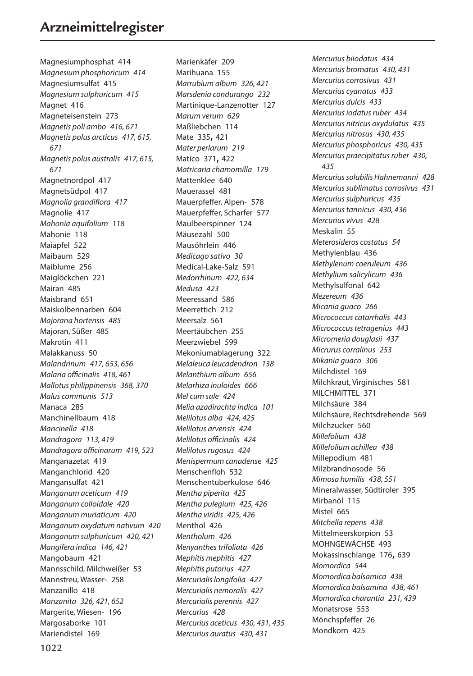Magnesiumphosphat 414 *Magnesium phosphoricum 414* Magnesiumsulfat 415 *Magnesium sulphuricum 415* Magnet 416 Magneteisenstein 273 *Magnetis poli ambo 416, 671 Magnetis polus arcticus 417, 615, 671 Magnetis polus australis 417, 615, 671* Magnetnordpol 417 Magnetsüdpol 417 *Magnolia grandiflora 417* Magnolie 417 *Mahonia aquifolium 118* Mahonie 118 Maiapfel 522 Maibaum 529 Maiblume 256 Maiglöckchen 221 Mairan 485 Maisbrand 651 Maiskolbennarben 604 *Majorana hortensis 485* Majoran, Süßer 485 Makrotin 411 Malakkanuss 50 *Malandrinum 417, 653, 656 Malaria officinalis 418, 461 Mallotus philippinensis 368, 370 Malus communis 513* Manaca 285 Manchinellbaum 418 *Mancinella 418 Mandragora 113, 419 Mandragora officinarum 419, 523* Manganazetat 419 Manganchlorid 420 Mangansulfat 421 *Manganum aceticum 419 Manganum colloidale 420 Manganum muriaticum 420 Manganum oxydatum nativum 420 Manganum sulphuricum 420, 421 Mangifera indica 146, 421* Mangobaum 421 Mannsschild, Milchweißer 53 Mannstreu, Wasser- 258 Manzanillo 418 *Manzanita 326, 421, 652* Margerite, Wiesen- 196 Margosaborke 101 Mariendistel 169

Marienkäfer 209 Marihuana 155 *Marrubium album 326, 421 Marsdenia condurango 232* Martinique-Lanzenotter 127 *Marum verum 629* Maßliebchen 114 Mate 335, 421 *Mater perlarum 219* Matico 371, 422 *Matricaria chamomilla 179* Mattenklee 640 Mauerassel 481 Mauerpfeffer, Alpen- 578 Mauerpfeffer, Scharfer 577 Maulbeerspinner 124 Mäusezahl 500 Mausöhrlein 446 *Medicago sativo 30* Medical-Lake-Salz 591 *Medorrhinum 422, 634 Medusa 423* Meeressand 586 Meerrettich 212 Meersalz 561 Meertäubchen 255 Meerzwiebel 599 Mekoniumablagerung 322 *Melaleuca leucadendron 138 Melanthium album 656 Melarhiza inuloides 666 Mel cum sale 424 Melia azadirachta indica 101 Melilotus alba 424, 425 Melilotus arvensis 424 Melilotus officinalis 424 Melilotus rugosus 424 Menispermum canadense 425* Menschenfloh 532 Menschentuberkulose 646 *Mentha piperita 425 Mentha pulegium 425, 426 Mentha viridis 425, 426* Menthol 426 *Mentholum 426 Menyanthes trifoliata 426 Mephitis mephitis 427 Mephitis putorius 427 Mercurialis longifolia 427 Mercurialis nemoralis 427 Mercurialis perennis 427 Mercurius 428 Mercurius aceticus 430, 431, 435 Mercurius auratus 430, 431*

*Mercurius biiodatus 434 Mercurius bromatus 430, 431 Mercurius corrosivus 431 Mercurius cyanatus 433 Mercurius dulcis 433 Mercurius iodatus ruber 434 Mercurius nitricus oxydulatus 435 Mercurius nitrosus 430, 435 Mercurius phosphoricus 430, 435 Mercurius praecipitatus ruber 430, 435 Mercurius solubilis Hahnemanni 428 Mercurius sublimatus corrosivus 431 Mercurius sulphuricus 435 Mercurius tannicus 430, 436 Mercurius vivus 428* Meskalin 55 *Meterosideros costatus 54* Methylenblau 436 *Methylenum coeruleum 436 Methylium salicylicum 436* Methylsulfonal 642 *Mezereum 436 Micania guaco 266 Micrococcus catarrhalis 443 Micrococcus tetragenius 443 Micromeria douglasii 437 Micrurus corralinus 253 Mikania guaco 306* Milchdistel 169 Milchkraut, Virginisches 581 MILCHMITTEL 371 Milchsäure 384 Milchsäure, Rechtsdrehende 569 Milchzucker 560 *Millefolium 438 Millefolium achillea 438* Millepodium 481 Milzbrandnosode 56 *Mimosa humilis 438, 551* Mineralwasser, Südtiroler 395 Mirbanöl 115 Mistel 665 *Mitchella repens 438* Mittelmeerskorpion 53 MOHNGEWÄCHSE 493 Mokassinschlange 176, 639 *Momordica 544 Momordica balsamica 438 Momordica balsamina 438, 461 Momordica charantia 231, 439* Monatsrose 553 Mönchspfeffer 26 Mondkorn 425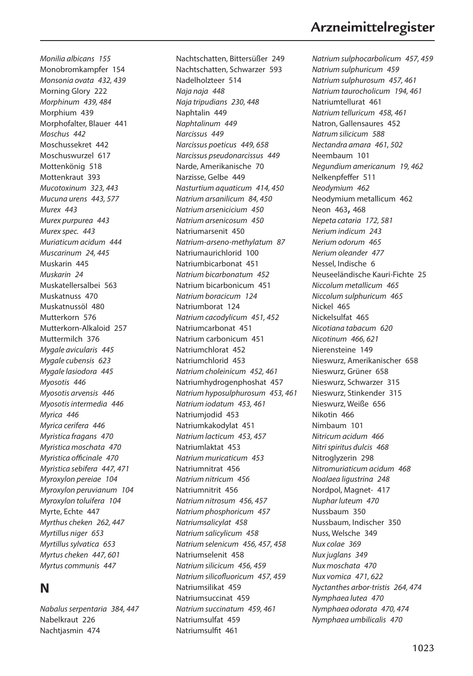*Monilia albicans 155* Monobromkampfer 154 *Monsonia ovata 432, 439* Morning Glory 222 *Morphinum 439, 484* Morphium 439 Morphofalter, Blauer 441 *Moschus 442* Moschussekret 442 Moschuswurzel 617 Mottenkönig 518 Mottenkraut 393 *Mucotoxinum 323, 443 Mucuna urens 443, 577 Murex 443 Murex purpurea 443 Murex spec. 443 Muriaticum acidum 444 Muscarinum 24, 445* Muskarin 445 *Muskarin 24* Muskatellersalbei 563 Muskatnuss 470 Muskatnussöl 480 Mutterkorn 576 Mutterkorn-Alkaloid 257 Muttermilch 376 *Mygale avicularis 445 Mygale cubensis 623 Mygale lasiodora 445 Myosotis 446 Myosotis arvensis 446 Myosotis intermedia 446 Myrica 446 Myrica cerifera 446 Myristica fragans 470 Myristica moschata 470 Myristica officinale 470 Myristica sebifera 447, 471 Myroxylon pereiae 104 Myroxylon peruvianum 104 Myroxylon toluifera 104* Myrte, Echte 447 *Myrthus cheken 262, 447 Myrtillus niger 653 Myrtillus sylvatica 653 Myrtus cheken 447, 601 Myrtus communis 447*

## **N**

*Nabalus serpentaria 384, 447* Nabelkraut 226 Nachtjasmin 474

Nachtschatten, Bittersüßer 249 Nachtschatten, Schwarzer 593 Nadelholzteer 514 *Naja naja 448 Naja tripudians 230, 448* Naphtalin 449 *Naphtalinum 449 Narcissus 449 Narcissus poeticus 449, 658 Narcissus pseudonarcissus 449* Narde, Amerikanische 70 Narzisse, Gelbe 449 *Nasturtium aquaticum 414, 450 Natrium arsanilicum 84, 450 Natrium arsenicicium 450 Natrium arsenicosum 450* Natriumarsenit 450 *Natrium-arseno-methylatum 87* Natriumaurichlorid 100 Natriumbicarbonat 451 *Natrium bicarbonatum 452* Natrium bicarbonicum 451 *Natrium boracicum 124* Natriumborat 124 *Natrium cacodylicum 451, 452* Natriumcarbonat 451 Natrium carbonicum 451 Natriumchlorat 452 Natriumchlorid 453 *Natrium choleinicum 452, 461* Natriumhydrogenphoshat 457 *Natrium hyposulphurosum 453, 461 Natrium iodatum 453, 461* Natriumjodid 453 Natriumkakodylat 451 *Natrium lacticum 453, 457* Natriumlaktat 453 *Natrium muricaticum 453* Natriumnitrat 456 *Natrium nitricum 456* Natriumnitrit 456 *Natrium nitrosum 456, 457 Natrium phosphoricum 457 Natriumsalicylat 458 Natrium salicylicum 458 Natrium selenicum 456, 457, 458* Natriumselenit 458 *Natrium silicicum 456, 459 Natrium silicofluoricum 457, 459* Natriumsilikat 459 Natriumsuccinat 459 *Natrium succinatum 459, 461* Natriumsulfat 459 Natriumsulfit 461

# **Arzneimittelregister**

*Natrium sulphocarbolicum 457, 459 Natrium sulphuricum 459 Natrium sulphurosum 457, 461 Natrium taurocholicum 194, 461* Natriumtellurat 461 *Natrium telluricum 458, 461* Natron, Gallensaures 452 *Natrum silicicum 588 Nectandra amara 461, 502* Neembaum 101 *Negundium americanum 19, 462* Nelkenpfeffer 511 *Neodymium 462* Neodymium metallicum 462 Neon 463, 468 *Nepeta cataria 172, 581 Nerium indicum 243 Nerium odorum 465 Nerium oleander 477* Nessel, Indische 6 Neuseeländische Kauri-Fichte 25 *Niccolum metallicum 465 Niccolum sulphuricum 465* Nickel 465 Nickelsulfat 465 *Nicotiana tabacum 620 Nicotinum 466, 621* Nierensteine 149 Nieswurz, Amerikanischer 658 Nieswurz, Grüner 658 Nieswurz, Schwarzer 315 Nieswurz, Stinkender 315 Nieswurz, Weiße 656 Nikotin 466 Nimbaum 101 *Nitricum acidum 466 Nitri spiritus dulcis 468* Nitroglyzerin 298 *Nitromuriaticum acidum 468 Noalaea ligustrina 248* Nordpol, Magnet- 417 *Nuphar luteum 470* Nussbaum 350 Nussbaum, Indischer 350 Nuss, Welsche 349 *Nux colae 369 Nux juglans 349 Nux moschata 470 Nux vomica 471, 622 Nyctanthes arbor-tristis 264, 474 Nymphaea lutea 470 Nymphaea odorata 470, 474 Nymphaea umbilicalis 470*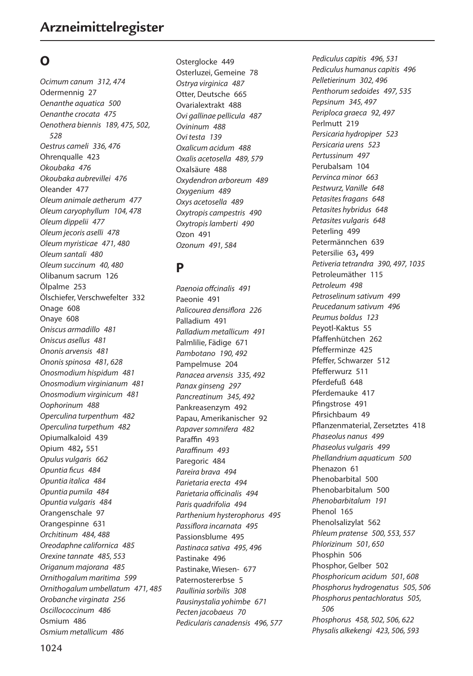# **O**

*Ocimum canum 312, 474* Odermennig 27 *Oenanthe aquatica 500 Oenanthe crocata 475 Oenothera biennis 189, 475, 502, 528 Oestrus cameli 336, 476* Ohrenqualle 423 *Okoubaka 476 Okoubaka aubrevillei 476* Oleander 477 *Oleum animale aetherum 477 Oleum caryophyllum 104, 478 Oleum dippelii 477 Oleum jecoris aselli 478 Oleum myristicae 471, 480 Oleum santali 480 Oleum succinum 40, 480* Olibanum sacrum 126 Ölpalme 253 Ölschiefer, Verschwefelter 332 Onage 608 Onaye 608 *Oniscus armadillo 481 Oniscus asellus 481 Ononis arvensis 481 Ononis spinosa 481, 628 Onosmodium hispidum 481 Onosmodium virginianum 481 Onosmodium virginicum 481 Oophorinum 488 Operculina turpenthum 482 Operculina turpethum 482* Opiumalkaloid 439 Opium 482, 551 *Opulus vulgaris 662 Opuntia ficus 484 Opuntia italica 484 Opuntia pumila 484 Opuntia vulgaris 484* Orangenschale 97 Orangespinne 631 *Orchitinum 484, 488 Oreodaphne californica 485 Orexine tannate 485, 553 Origanum majorana 485 Ornithogalum maritima 599 Ornithogalum umbellatum 471, 485 Orobanche virginata 256 Oscillococcinum 486* Osmium 486 *Osmium metallicum 486*

Osterglocke 449 Osterluzei, Gemeine 78 *Ostrya virginica 487* Otter, Deutsche 665 Ovarialextrakt 488 *Ovi gallinae pellicula 487 Ovininum 488 Ovi testa 139 Oxalicum acidum 488 Oxalis acetosella 489, 579* Oxalsäure 488 *Oxydendron arboreum 489 Oxygenium 489 Oxys acetosella 489 Oxytropis campestris 490 Oxytropis lamberti 490* Ozon 491 *Ozonum 491, 584*

# **P**

*Paenoia offcinalis 491* Paeonie 491 *Palicourea densiflora 226* Palladium 491 *Palladium metallicum 491* Palmlilie, Fädige 671 *Pambotano 190, 492* Pampelmuse 204 *Panacea arvensis 335, 492 Panax ginseng 297 Pancreatinum 345, 492* Pankreasenzym 492 Papau, Amerikanischer 92 *Papaver somnifera 482* Paraffin 493 *Paraffinum 493* Paregoric 484 *Pareira brava 494 Parietaria erecta 494 Parietaria officinalis 494 Paris quadrifolia 494 Parthenium hysterophorus 495 Passiflora incarnata 495* Passionsblume 495 *Pastinaca sativa 495, 496* Pastinake 496 Pastinake, Wiesen- 677 Paternostererbse 5 *Paullinia sorbilis 308 Pausinystalia yohimbe 671 Pecten jacobaeus 70 Pedicularis canadensis 496, 577* *Pediculus capitis 496, 531 Pediculus humanus capitis 496 Pelletierinum 302, 496 Penthorum sedoides 497, 535 Pepsinum 345, 497 Periploca graeca 92, 497* Perlmutt 219 *Persicaria hydropiper 523 Persicaria urens 523 Pertussinum 497* Perubalsam 104 *Pervinca minor 663 Pestwurz, Vanille 648 Petasites fragans 648 Petasites hybridus 648 Petasites vulgaris 648* Peterling 499 Petermännchen 639 Petersilie 63, 499 *Petiveria tetrandra 390, 497, 1035* Petroleumäther 115 *Petroleum 498 Petroselinum sativum 499 Peucedanum sativum 496 Peumus boldus 123* Peyotl-Kaktus 55 Pfaffenhütchen 262 Pfefferminze 425 Pfeffer, Schwarzer 512 Pfefferwurz 511 Pferdefuß 648 Pferdemauke 417 Pfingstrose 491 Pfirsichbaum 49 Pflanzenmaterial, Zersetztes 418 *Phaseolus nanus 499 Phaseolus vulgaris 499 Phellandrium aquaticum 500* Phenazon 61 Phenobarbital 500 Phenobarbitalum 500 *Phenobarbitalum 191* Phenol 165 Phenolsalizylat 562 *Phleum pratense 500, 553, 557 Phlorizinum 501, 650* Phosphin 506 Phosphor, Gelber 502 *Phosphoricum acidum 501, 608 Phosphorus hydrogenatus 505, 506 Phosphorus pentachloratus 505, 506 Phosphorus 458, 502, 506, 622 Physalis alkekengi 423, 506, 593*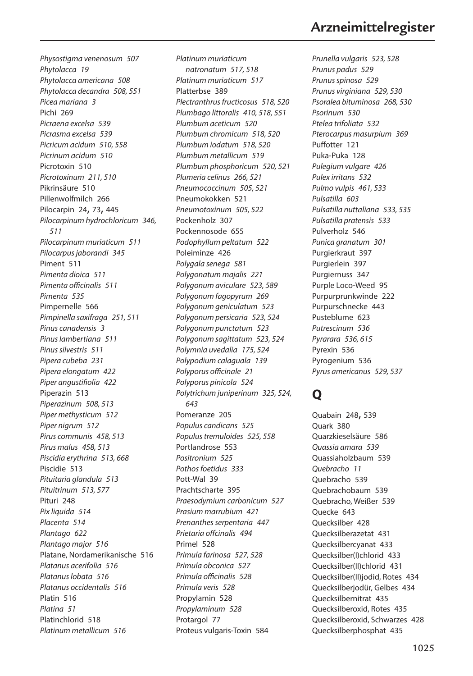*Physostigma venenosum 507 Phytolacca 19 Phytolacca americana 508 Phytolacca decandra 508, 551 Picea mariana 3* Pichi 269 *Picraena excelsa 539 Picrasma excelsa 539 Picricum acidum 510, 558 Picrinum acidum 510* Picrotoxin 510 *Picrotoxinum 211, 510* Pikrinsäure 510 Pillenwolfmilch 266 Pilocarpin 24, 73, 445 *Pilocarpinum hydrochloricum 346, 511 Pilocarpinum muriaticum 511 Pilocarpus jaborandi 345* Piment 511 *Pimenta dioica 511 Pimenta officinalis 511 Pimenta 535* Pimpernelle 566 *Pimpinella saxifraga 251, 511 Pinus canadensis 3 Pinus lambertiana 511 Pinus silvestris 511 Pipera cubeba 231 Pipera elongatum 422 Piper angustifiolia 422* Piperazin 513 *Piperazinum 508, 513 Piper methysticum 512 Piper nigrum 512 Pirus communis 458, 513 Pirus malus 458, 513 Piscidia erythrina 513, 668* Piscidie 513 *Pituitaria glandula 513 Pituitrinum 513, 577* Pituri 248 *Pix liquida 514 Placenta 514 Plantago 622 Plantago major 516* Platane, Nordamerikanische 516 *Platanus acerifolia 516 Platanus lobata 516 Platanus occidentalis 516* Platin 516 *Platina 51* Platinchlorid 518 *Platinum metallicum 516*

*Platinum muriaticum natronatum 517, 518 Platinum muriaticum 517* Platterbse 389 *Plectranthrus fructicosus 518, 520 Plumbago littoralis 410, 518, 551 Plumbum aceticum 520 Plumbum chromicum 518, 520 Plumbum iodatum 518, 520 Plumbum metallicum 519 Plumbum phosphoricum 520, 521 Plumeria celinus 266, 521 Pneumococcinum 505, 521* Pneumokokken 521 *Pneumotoxinum 505, 522* Pockenholz 307 Pockennosode 655 *Podophyllum peltatum 522* Poleiminze 426 *Polygala senega 581 Polygonatum majalis 221 Polygonum aviculare 523, 589 Polygonum fagopyrum 269 Polygonum geniculatum 523 Polygonum persicaria 523, 524 Polygonum punctatum 523 Polygonum sagittatum 523, 524 Polymnia uvedalia 175, 524 Polypodium calaguala 139 Polyporus officinale 21 Polyporus pinicola 524 Polytrichum juniperinum 325, 524, 643* Pomeranze 205 *Populus candicans 525 Populus tremuloides 525, 558* Portlandrose 553 *Positronium 525 Pothos foetidus 333* Pott-Wal 39 Prachtscharte 395 *Praesodymium carbonicum 527 Prasium marrubium 421 Prenanthes serpentaria 447 Prietaria offcinalis 494* Primel 528 *Primula farinosa 527, 528 Primula obconica 527 Primula officinalis 528 Primula veris 528* Propylamin 528 *Propylaminum 528* Protargol 77 Proteus vulgaris-Toxin 584

# **Arzneimittelregister**

*Prunella vulgaris 523, 528 Prunus padus 529 Prunus spinosa 529 Prunus virginiana 529, 530 Psoralea bituminosa 268, 530 Psorinum 530 Ptelea trifoliata 532 Pterocarpus masurpium 369* Puffotter 121 Puka-Puka 128 *Pulegium vulgare 426 Pulex irritans 532 Pulmo vulpis 461, 533 Pulsatilla 603 Pulsatilla nuttaliana 533, 535 Pulsatilla pratensis 533* Pulverholz 546 *Punica granatum 301* Purgierkraut 397 Purgierlein 397 Purgiernuss 347 Purple Loco-Weed 95 Purpurprunkwinde 222 Purpurschnecke 443 Pusteblume 623 *Putrescinum 536 Pyrarara 536, 615* Pyrexin 536 Pyrogenium 536 *Pyrus americanus 529, 537*

### **Q**

Quabain 248, 539 Quark 380 Quarzkieselsäure 586 *Quassia amara 539* Quassiaholzbaum 539 *Quebracho 11* Quebracho 539 Quebrachobaum 539 Quebracho, Weißer 539 Quecke 643 Quecksilber 428 Quecksilberazetat 431 Quecksilbercyanat 433 Quecksilber(I)chlorid 433 Quecksilber(II)chlorid 431 Quecksilber(II)jodid, Rotes 434 Quecksilberjodür, Gelbes 434 Quecksilbernitrat 435 Quecksilberoxid, Rotes 435 Quecksilberoxid, Schwarzes 428 Quecksilberphosphat 435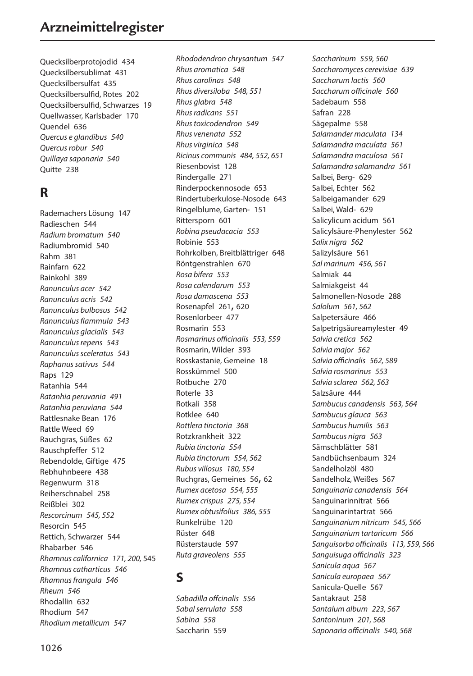Quecksilberprotojodid 434 Quecksilbersublimat 431 Quecksilbersulfat 435 Quecksilbersulfid, Rotes 202 Quecksilbersulfid, Schwarzes 19 Quellwasser, Karlsbader 170 Quendel 636 *Quercus e glandibus 540 Quercus robur 540 Quillaya saponaria 540* Quitte 238

### **R**

Rademachers Lösung 147 Radieschen 544 *Radium bromatum 540* Radiumbromid 540 Rahm 381 Rainfarn 622 Rainkohl 389 *Ranunculus acer 542 Ranunculus acris 542 Ranunculus bulbosus 542 Ranunculus flammula 543 Ranunculus glacialis 543 Ranunculus repens 543 Ranunculus sceleratus 543 Raphanus sativus 544* Raps 129 Ratanhia 544 *Ratanhia peruvania 491 Ratanhia peruviana 544* Rattlesnake Bean 176 Rattle Weed 69 Rauchgras, Süßes 62 Rauschpfeffer 512 Rebendolde, Giftige 475 Rebhuhnbeere 438 Regenwurm 318 Reiherschnabel 258 Reißblei 302 *Rescorcinum 545, 552* Resorcin 545 Rettich, Schwarzer 544 Rhabarber 546 *Rhamnus californica 171, 200,* 545 *Rhamnus catharticus 546 Rhamnus frangula 546 Rheum 546* Rhodallin 632 Rhodium 547 *Rhodium metallicum 547*

*Rhododendron chrysantum 547 Rhus aromatica 548 Rhus carolinas 548 Rhus diversiloba 548, 551 Rhus glabra 548 Rhus radicans 551 Rhus toxicodendron 549 Rhus venenata 552 Rhus virginica 548 Ricinus communis 484, 552, 651* Riesenbovist 128 Rindergalle 271 Rinderpockennosode 653 Rindertuberkulose-Nosode 643 Ringelblume, Garten- 151 Rittersporn 601 *Robina pseudacacia 553* Robinie 553 Rohrkolben, Breitblättriger 648 Röntgenstrahlen 670 *Rosa bifera 553 Rosa calendarum 553 Rosa damascena 553* Rosenapfel 261, 620 Rosenlorbeer 477 Rosmarin 553 *Rosmarinus officinalis 553, 559* Rosmarin, Wilder 393 Rosskastanie, Gemeine 18 Rosskümmel 500 Rotbuche 270 Roterle 33 Rotkali 358 Rotklee 640 *Rottlera tinctoria 368* Rotzkrankheit 322 *Rubia tinctoria 554 Rubia tinctorum 554, 562 Rubus villosus 180, 554* Ruchgras, Gemeines 56, 62 *Rumex acetosa 554, 555 Rumex crispus 275, 554 Rumex obtusifolius 386, 555* Runkelrübe 120 Rüster 648 Rüsterstaude 597 *Ruta graveolens 555*

# **S**

*Sabadilla offcinalis 556 Sabal serrulata 558 Sabina 558* Saccharin 559

*Saccharinum 559, 560 Saccharomyces cerevisiae 639 Saccharum lactis 560 Saccharum officinale 560* Sadebaum 558 Safran 228 Sägepalme 558 *Salamander maculata 134 Salamandra maculata 561 Salamandra maculosa 561 Salamandra salamandra 561* Salbei, Berg- 629 Salbei, Echter 562 Salbeigamander 629 Salbei, Wald- 629 Salicylicum acidum 561 Salicylsäure-Phenylester 562 *Salix nigra 562* Salizylsäure 561 *Sal marinum 456, 561* Salmiak 44 Salmiakgeist 44 Salmonellen-Nosode 288 *Salolum 561, 562* Salpetersäure 466 Salpetrigsäureamylester 49 *Salvia cretica 562 Salvia major 562 Salvia officinalis 562, 589 Salvia rosmarinus 553 Salvia sclarea 562, 563* Salzsäure 444 *Sambucus canadensis 563, 564 Sambucus glauca 563 Sambucus humilis 563 Sambucus nigra 563* Sämschblätter 581 Sandbüchsenbaum 324 Sandelholzöl 480 Sandelholz, Weißes 567 *Sanguinaria canadensis 564* Sanguinarinnitrat 566 Sanguinarintartrat 566 *Sanguinarium nitricum 545, 566 Sanguinarium tartaricum 566 Sanguisorba officinalis 113, 559, 566 Sanguisuga officinalis 323 Sanicula aqua 567 Sanicula europaea 567* Sanicula-Quelle 567 Santakraut 258 *Santalum album 223, 567 Santoninum 201, 568 Saponaria officinalis 540, 568*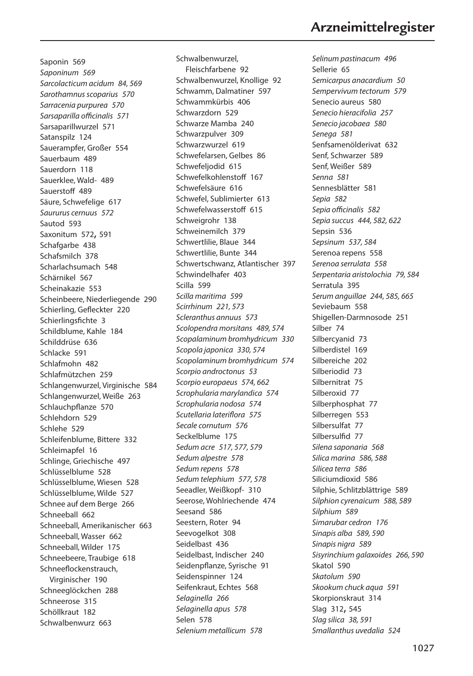**Arzneimittelregister**

Saponin 569 *Saponinum 569 Sarcolacticum acidum 84, 569 Sarothamnus scoparius 570 Sarracenia purpurea 570 Sarsaparilla officinalis 571* Sarsaparillwurzel 571 Satanspilz 124 Sauerampfer, Großer 554 Sauerbaum 489 Sauerdorn 118 Sauerklee, Wald- 489 Sauerstoff 489 Säure, Schwefelige 617 *Saururus cernuus 572* Sautod 593 Saxonitum 572, 591 Schafgarbe 438 Schafsmilch 378 Scharlachsumach 548 Schärnikel 567 Scheinakazie 553 Scheinbeere, Niederliegende 290 Schierling, Gefleckter 220 Schierlingsfichte 3 Schildblume, Kahle 184 Schilddrüse 636 Schlacke 591 Schlafmohn 482 Schlafmützchen 259 Schlangenwurzel, Virginische 584 Schlangenwurzel, Weiße 263 Schlauchpflanze 570 Schlehdorn 529 Schlehe 529 Schleifenblume, Bittere 332 Schleimapfel 16 Schlinge, Griechische 497 Schlüsselblume 528 Schlüsselblume, Wiesen 528 Schlüsselblume, Wilde 527 Schnee auf dem Berge 266 Schneeball 662 Schneeball, Amerikanischer 663 Schneeball, Wasser 662 Schneeball, Wilder 175 Schneebeere, Traubige 618 Schneeflockenstrauch, Virginischer 190 Schneeglöckchen 288 Schneerose 315 Schöllkraut 182 Schwalbenwurz 663

Schwalbenwurzel, Fleischfarbene 92 Schwalbenwurzel, Knollige 92 Schwamm, Dalmatiner 597 Schwammkürbis 406 Schwarzdorn 529 Schwarze Mamba 240 Schwarzpulver 309 Schwarzwurzel 619 Schwefelarsen, Gelbes 86 Schwefeljodid 615 Schwefelkohlenstoff 167 Schwefelsäure 616 Schwefel, Sublimierter 613 Schwefelwasserstoff 615 Schweigrohr 138 Schweinemilch 379 Schwertlilie, Blaue 344 Schwertlilie, Bunte 344 Schwertschwanz, Atlantischer 397 Schwindelhafer 403 Scilla 599 *Scilla maritima 599 Scirrhinum 221, 573 Scleranthus annuus 573 Scolopendra morsitans 489, 574 Scopalaminum bromhydricum 330 Scopola japonica 330, 574 Scopolaminum bromhydricum 574 Scorpio androctonus 53 Scorpio europaeus 574, 662 Scrophularia marylandica 574 Scrophularia nodosa 574 Scutellaria lateriflora 575 Secale cornutum 576* Seckelblume 175 *Sedum acre 517, 577, 579 Sedum alpestre 578 Sedum repens 578 Sedum telephium 577, 578* Seeadler, Weißkopf- 310 Seerose, Wohlriechende 474 Seesand 586 Seestern, Roter 94 Seevogelkot 308 Seidelbast 436 Seidelbast, Indischer 240 Seidenpflanze, Syrische 91 Seidenspinner 124 Seifenkraut, Echtes 568 *Selaginella 266 Selaginella apus 578* Selen 578 *Selenium metallicum 578*

*Selinum pastinacum 496* Sellerie 65 *Semicarpus anacardium 50 Sempervivum tectorum 579* Senecio aureus 580 *Senecio hieracifolia 257 Senecio jacobaea 580 Senega 581* Senfsamenölderivat 632 Senf, Schwarzer 589 Senf, Weißer 589 *Senna 581* Sennesblätter 581 *Sepia 582 Sepia officinalis 582 Sepia succus 444, 582, 622* Sepsin 536 *Sepsinum 537, 584* Serenoa repens 558 *Serenoa serrulata 558 Serpentaria aristolochia 79, 584* Serratula 395 *Serum anguillae 244, 585, 665* Seviebaum 558 Shigellen-Darmnosode 251 Silber 74 Silbercyanid 73 Silberdistel 169 Silbereiche 202 Silberiodid 73 Silbernitrat 75 Silberoxid 77 Silberphosphat 77 Silberregen 553 Silbersulfat 77 Silbersulfid 77 *Silena saponaria 568 Silica marina 586, 588 Silicea terra 586* Siliciumdioxid 586 Silphie, Schlitzblättrige 589 *Silphion cyrenaicum 588, 589 Silphium 589 Simarubar cedron 176 Sinapis alba 589, 590 Sinapis nigra 589 Sisyrinchium galaxoides 266, 590* Skatol 590 *Skatolum 590 Skookum chuck aqua 591* Skorpionskraut 314 Slag 312, 545 *Slag silica 38, 591 Smallanthus uvedalia 524*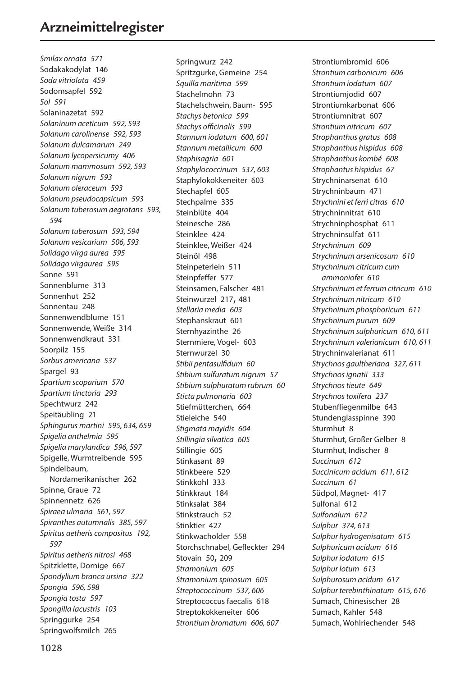*Smilax ornata 571* Sodakakodylat 146 *Soda vitriolata 459* Sodomsapfel 592 *Sol 591* Solaninazetat 592 *Solaninum aceticum 592, 593 Solanum carolinense 592, 593 Solanum dulcamarum 249 Solanum lycopersicumy 406 Solanum mammosum 592, 593 Solanum nigrum 593 Solanum oleraceum 593 Solanum pseudocapsicum 593 Solanum tuberosum aegrotans 593, 594 Solanum tuberosum 593, 594 Solanum vesicarium 506, 593 Solidago virga aurea 595 Solidago virgaurea 595* Sonne 591 Sonnenblume 313 Sonnenhut 252 Sonnentau 248 Sonnenwendblume 151 Sonnenwende, Weiße 314 Sonnenwendkraut 331 Soorpilz 155 *Sorbus americana 537* Spargel 93 *Spartium scoparium 570 Spartium tinctoria 293* Spechtwurz 242 Speitäubling 21 *Sphingurus martini 595, 634, 659 Spigelia anthelmia 595 Spigelia marylandica 596, 597* Spigelle, Wurmtreibende 595 Spindelbaum, Nordamerikanischer 262 Spinne, Graue 72 Spinnennetz 626 *Spiraea ulmaria 561, 597 Spiranthes autumnalis 385, 597 Spiritus aetheris compositus 192, 597 Spiritus aetheris nitrosi 468* Spitzklette, Dornige 667 *Spondylium branca ursina 322 Spongia 596, 598 Spongia tosta 597 Spongilla lacustris 103* Springgurke 254 Springwolfsmilch 265

Springwurz 242 Spritzgurke, Gemeine 254 *Squilla maritima 599* Stachelmohn 73 Stachelschwein, Baum- 595 *Stachys betonica 599 Stachys officinalis 599 Stannum iodatum 600, 601 Stannum metallicum 600 Staphisagria 601 Staphylococcinum 537, 603* Staphylokokkeneiter 603 Stechapfel 605 Stechpalme 335 Steinblüte 404 Steinesche 286 Steinklee 424 Steinklee, Weißer 424 Steinöl 498 Steinpeterlein 511 Steinpfeffer 577 Steinsamen, Falscher 481 Steinwurzel 217, 481 *Stellaria media 603* Stephanskraut 601 Sternhyazinthe 26 Sternmiere, Vogel- 603 Sternwurzel 30 *Stibii pentasulfidum 60 Stibium sulfuratum nigrum 57 Stibium sulphuratum rubrum 60 Sticta pulmonaria 603* Stiefmütterchen, 664 Stieleiche 540 *Stigmata mayidis 604 Stillingia silvatica 605* Stillingie 605 Stinkasant 89 Stinkbeere 529 Stinkkohl 333 Stinkkraut 184 Stinksalat 384 Stinkstrauch 52 Stinktier 427 Stinkwacholder 558 Storchschnabel, Gefleckter 294 Stovain 50, 209 *Stramonium 605 Stramonium spinosum 605 Streptococcinum 537, 606* Streptococcus faecalis 618 Streptokokkeneiter 606 *Strontium bromatum 606, 607*

Strontiumbromid 606 *Strontium carbonicum 606 Strontium iodatum 607* Strontiumjodid 607 Strontiumkarbonat 606 Strontiumnitrat 607 *Strontium nitricum 607 Strophanthus gratus 608 Strophanthus hispidus 608 Strophanthus kombé 608 Strophantus hispidus 67* Strychninarsenat 610 Strychninbaum 471 *Strychnini et ferri citras 610* Strychninnitrat 610 Strychninphosphat 611 Strychninsulfat 611 *Strychninum 609 Strychninum arsenicosum 610 Strychninum citricum cum ammoniofer 610 Strychninum et ferrum citricum 610 Strychninum nitricum 610 Strychninum phosphoricum 611 Strychninum purum 609 Strychninum sulphuricum 610, 611 Strychninum valerianicum 610, 611* Strychninvalerianat 611 *Strychnos gaultheriana 327, 611 Strychnos ignatii 333 Strychnos tieute 649 Strychnos toxifera 237* Stubenfliegenmilbe 643 Stundenglasspinne 390 Sturmhut 8 Sturmhut, Großer Gelber 8 Sturmhut, Indischer 8 *Succinum 612 Succinicum acidum 611, 612 Succinum 61* Südpol, Magnet- 417 Sulfonal 612 *Sulfonalum 612 Sulphur 374, 613 Sulphur hydrogenisatum 615 Sulphuricum acidum 616 Sulphur iodatum 615 Sulphur lotum 613 Sulphurosum acidum 617 Sulphur terebinthinatum 615, 616* Sumach, Chinesischer 28 Sumach, Kahler 548 Sumach, Wohlriechender 548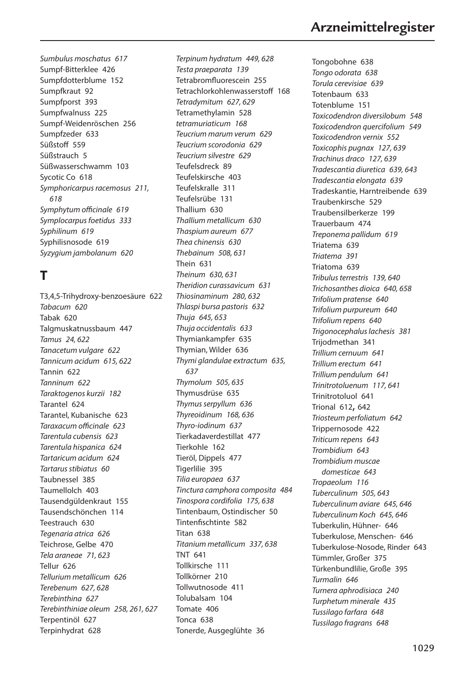*Sumbulus moschatus 617* Sumpf-Bitterklee 426 Sumpfdotterblume 152 Sumpfkraut 92 Sumpfporst 393 Sumpfwalnuss 225 Sumpf-Weidenröschen 256 Sumpfzeder 633 Süßstoff 559 Süßstrauch 5 Süßwasserschwamm 103 Sycotic Co 618 *Symphoricarpus racemosus 211, 618 Symphytum officinale 619 Symplocarpus foetidus 333 Syphilinum 619* Syphilisnosode 619 *Syzygium jambolanum 620*

# **T**

T3,4,5-Trihydroxy-benzoesäure 622 *Tabacum 620* Tabak 620 Talgmuskatnussbaum 447 *Tamus 24, 622 Tanacetum vulgare 622 Tannicum acidum 615, 622* Tannin 622 *Tanninum 622 Taraktogenos kurzii 182* Tarantel 624 Tarantel, Kubanische 623 *Taraxacum officinale 623 Tarentula cubensis 623 Tarentula hispanica 624 Tartaricum acidum 624 Tartarus stibiatus 60* Taubnessel 385 Taumellolch 403 Tausendgüldenkraut 155 Tausendschönchen 114 Teestrauch 630 *Tegenaria atrica 626* Teichrose, Gelbe 470 *Tela araneae 71, 623* Tellur 626 *Tellurium metallicum 626 Terebenum 627, 628 Terebinthina 627 Terebinthiniae oleum 258, 261, 627* Terpentinöl 627 Terpinhydrat 628

*Terpinum hydratum 449, 628 Testa praeparata 139* Tetrabromfluorescein 255 Tetrachlorkohlenwasserstoff 168 *Tetradymitum 627, 629* Tetramethylamin 528 *tetramuriaticum 168 Teucrium marum verum 629 Teucrium scorodonia 629 Teucrium silvestre 629* Teufelsdreck 89 Teufelskirsche 403 Teufelskralle 311 Teufelsrübe 131 Thallium 630 *Thallium metallicum 630 Thaspium aureum 677 Thea chinensis 630 Thebainum 508, 631* Thein 631 *Theinum 630, 631 Theridion curassavicum 631 Thiosinaminum 280, 632 Thlaspi bursa pastoris 632 Thuja 645, 653 Thuja occidentalis 633* Thymiankampfer 635 Thymian, Wilder 636 *Thymi glandulae extractum 635, 637 Thymolum 505, 635* Thymusdrüse 635 *Thymus serpyllum 636 Thyreoidinum 168, 636 Thyro-iodinum 637* Tierkadaverdestillat 477 Tierkohle 162 Tieröl, Dippels 477 Tigerlilie 395 *Tilia europaea 637 Tinctura camphora composita 484 Tinospora cordifolia 175, 638* Tintenbaum, Ostindischer 50 Tintenfischtinte 582 Titan 638 *Titanium metallicum 337, 638* TNT 641 Tollkirsche 111 Tollkörner 210 Tollwutnosode 411 Tolubalsam 104 Tomate 406 Tonca 638 Tonerde, Ausgeglühte 36

Tongobohne 638 *Tongo odorata 638 Torula cerevisiae 639* Totenbaum 633 Totenblume 151 *Toxicodendron diversilobum 548 Toxicodendron quercifolium 549 Toxicodendron vernix 552 Toxicophis pugnax 127, 639 Trachinus draco 127, 639 Tradescantia diuretica 639, 643 Tradescantia elongata 639* Tradeskantie, Harntreibende 639 Traubenkirsche 529 Traubensilberkerze 199 Trauerbaum 474 *Treponema pallidum 619* Triatema 639 *Triatema 391* Triatoma 639 *Tribulus terrestris 139, 640 Trichosanthes dioica 640, 658 Trifolium pratense 640 Trifolium purpureum 640 Trifolium repens 640 Trigonocephalus lachesis 381* Trijodmethan 341 *Trillium cernuum 641 Trillium erectum 641 Trillium pendulum 641 Trinitrotoluenum 117, 641* Trinitrotoluol 641 Trional 612, 642 *Triosteum perfoliatum 642* Trippernosode 422 *Triticum repens 643 Trombidium 643 Trombidium muscae domesticae 643 Tropaeolum 116 Tuberculinum 505, 643 Tuberculinum aviare 645, 646 Tuberculinum Koch 645, 646* Tuberkulin, Hühner- 646 Tuberkulose, Menschen- 646 Tuberkulose-Nosode, Rinder 643 Tümmler, Großer 375 Türkenbundlilie, Große 395 *Turmalin 646 Turnera aphrodisiaca 240 Turphetum minerale 435 Tussilago farfara 648 Tussilago fragrans 648*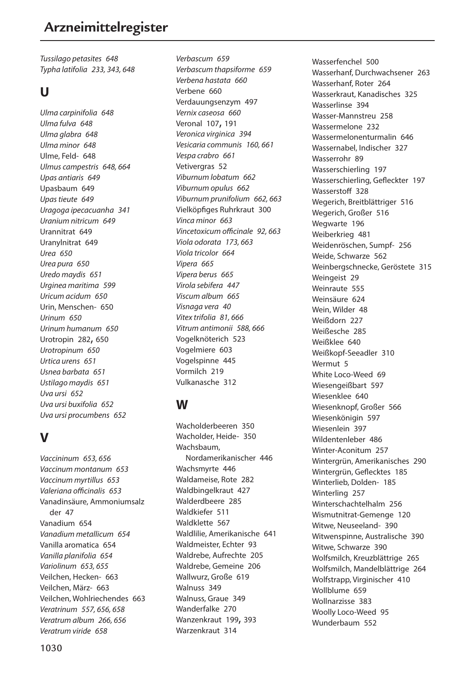*Tussilago petasites 648 Typha latifolia 233, 343, 648*

#### **U**

*Ulma carpinifolia 648 Ulma fulva 648 Ulma glabra 648 Ulma minor 648* Ulme, Feld- 648 *Ulmus campestris 648, 664 Upas antiaris 649* Upasbaum 649 *Upas tieute 649 Uragoga ipecacuanha 341 Uranium nitricum 649* Urannitrat 649 Uranylnitrat 649 *Urea 650 Urea pura 650 Uredo maydis 651 Urginea maritima 599 Uricum acidum 650* Urin, Menschen- 650 *Urinum 650 Urinum humanum 650* Urotropin 282, 650 *Urotropinum 650 Urtica urens 651 Usnea barbata 651 Ustilago maydis 651 Uva ursi 652 Uva ursi buxifolia 652 Uva ursi procumbens 652*

# **V**

*Vaccininum 653, 656 Vaccinum montanum 653 Vaccinum myrtillus 653 Valeriana officinalis 653* Vanadinsäure, Ammoniumsalz der 47 Vanadium 654 *Vanadium metallicum 654* Vanilla aromatica 654 *Vanilla planifolia 654 Variolinum 653, 655* Veilchen, Hecken- 663 Veilchen, März- 663 Veilchen, Wohlriechendes 663 *Veratrinum 557, 656, 658 Veratrum album 266, 656 Veratrum viride 658*

*Verbascum 659 Verbascum thapsiforme 659 Verbena hastata 660* Verbene 660 Verdauungsenzym 497 *Vernix caseosa 660* Veronal 107, 191 *Veronica virginica 394 Vesicaria communis 160, 661 Vespa crabro 661* Vetivergras 52 *Viburnum lobatum 662 Viburnum opulus 662 Viburnum prunifolium 662, 663* Vielköpfiges Ruhrkraut 300 *Vinca minor 663 Vincetoxicum officinale 92, 663 Viola odorata 173, 663 Viola tricolor 664 Vipera 665 Vipera berus 665 Virola sebifera 447 Viscum album 665 Visnaga vera 40 Vitex trifolia 81, 666 Vitrum antimonii 588, 666* Vogelknöterich 523 Vogelmiere 603 Vogelspinne 445 Vormilch 219 Vulkanasche 312

# **W**

Wacholderbeeren 350 Wacholder, Heide- 350 Wachsbaum Nordamerikanischer 446 Wachsmyrte 446 Waldameise, Rote 282 Waldbingelkraut 427 Walderdbeere 285 Waldkiefer 511 Waldklette 567 Waldlilie, Amerikanische 641 Waldmeister, Echter 93 Waldrebe, Aufrechte 205 Waldrebe, Gemeine 206 Wallwurz, Große 619 Walnuss 349 Walnuss, Graue 349 Wanderfalke 270 Wanzenkraut 199, 393 Warzenkraut 314

Wasserfenchel 500 Wasserhanf, Durchwachsener 263 Wasserhanf, Roter 264 Wasserkraut, Kanadisches 325 Wasserlinse 394 Wasser-Mannstreu 258 Wassermelone 232 Wassermelonenturmalin 646 Wassernabel, Indischer 327 Wasserrohr 89 Wasserschierling 197 Wasserschierling, Gefleckter 197 Wasserstoff 328 Wegerich, Breitblättriger 516 Wegerich, Großer 516 Wegwarte 196 Weiberkrieg 481 Weidenröschen, Sumpf- 256 Weide, Schwarze 562 Weinbergschnecke, Geröstete 315 Weingeist 29 Weinraute 555 Weinsäure 624 Wein, Wilder 48 Weißdorn 227 Weißesche 285 Weißklee 640 Weißkopf-Seeadler 310 Wermut 5 White Loco-Weed 69 Wiesengeißbart 597 Wiesenklee 640 Wiesenknopf, Großer 566 Wiesenkönigin 597 Wiesenlein 397 Wildentenleber 486 Winter-Aconitum 257 Wintergrün, Amerikanisches 290 Wintergrün, Geflecktes 185 Winterlieb, Dolden- 185 Winterling 257 Winterschachtelhalm 256 Wismutnitrat-Gemenge 120 Witwe, Neuseeland- 390 Witwenspinne, Australische 390 Witwe, Schwarze 390 Wolfsmilch, Kreuzblättrige 265 Wolfsmilch, Mandelblättrige 264 Wolfstrapp, Virginischer 410 Wollblume 659 Wollnarzisse 383 Woolly Loco-Weed 95 Wunderbaum 552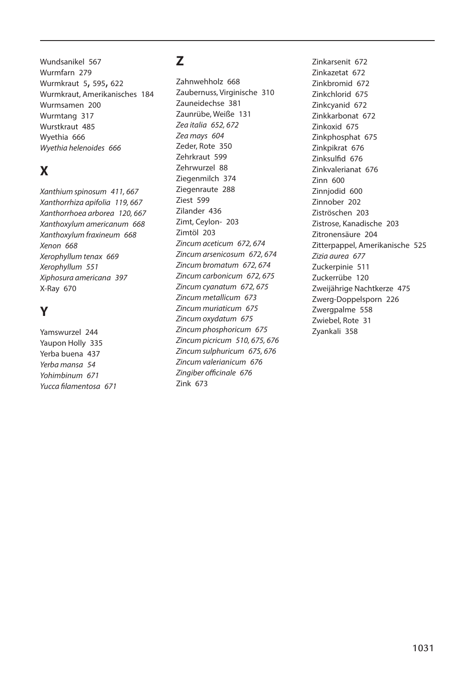Wundsanikel 567 Wurmfarn 279 Wurmkraut 5, 595, 622 Wurmkraut, Amerikanisches 184 Wurmsamen 200 Wurmtang 317 Wurstkraut 485 Wyethia 666 *Wyethia helenoides 666*

# **X**

*Xanthium spinosum 411, 667 Xanthorrhiza apifolia 119, 667 Xanthorrhoea arborea 120, 667 Xanthoxylum americanum 668 Xanthoxylum fraxineum 668 Xenon 668 Xerophyllum tenax 669 Xerophyllum 551 Xiphosura americana 397* X-Ray 670

# **Y**

Yamswurzel 244 Yaupon Holly 335 Yerba buena 437 *Yerba mansa 54 Yohimbinum 671 Yucca filamentosa 671*

# **Z**

Zahnwehholz 668 Zaubernuss, Virginische 310 Zauneidechse 381 Zaunrübe, Weiße 131 *Zea italia 652, 672 Zea mays 604* Zeder, Rote 350 Zehrkraut 599 Zehrwurzel 88 Ziegenmilch 374 Ziegenraute 288 Ziest 599 Zilander 436 Zimt, Ceylon- 203 Zimtöl 203 *Zincum aceticum 672, 674 Zincum arsenicosum 672, 674 Zincum bromatum 672, 674 Zincum carbonicum 672, 675 Zincum cyanatum 672, 675 Zincum metallicum 673 Zincum muriaticum 675 Zincum oxydatum 675 Zincum phosphoricum 675 Zincum picricum 510, 675, 676 Zincum sulphuricum 675, 676 Zincum valerianicum 676 Zingiber officinale 676* Zink 673

Zinkarsenit 672 Zinkazetat 672 Zinkbromid 672 Zinkchlorid 675 Zinkcyanid 672 Zinkkarbonat 672 Zinkoxid 675 Zinkphosphat 675 Zinkpikrat 676 Zinksulfid 676 Zinkvalerianat 676 Zinn 600 Zinnjodid 600 Zinnober 202 Ziströschen 203 Zistrose, Kanadische 203 Zitronensäure 204 Zitterpappel, Amerikanische 525 *Zizia aurea 677* Zuckerpinie 511 Zuckerrübe 120 Zweijährige Nachtkerze 475 Zwerg-Doppelsporn 226 Zwergpalme 558 Zwiebel, Rote 31 Zyankali 358